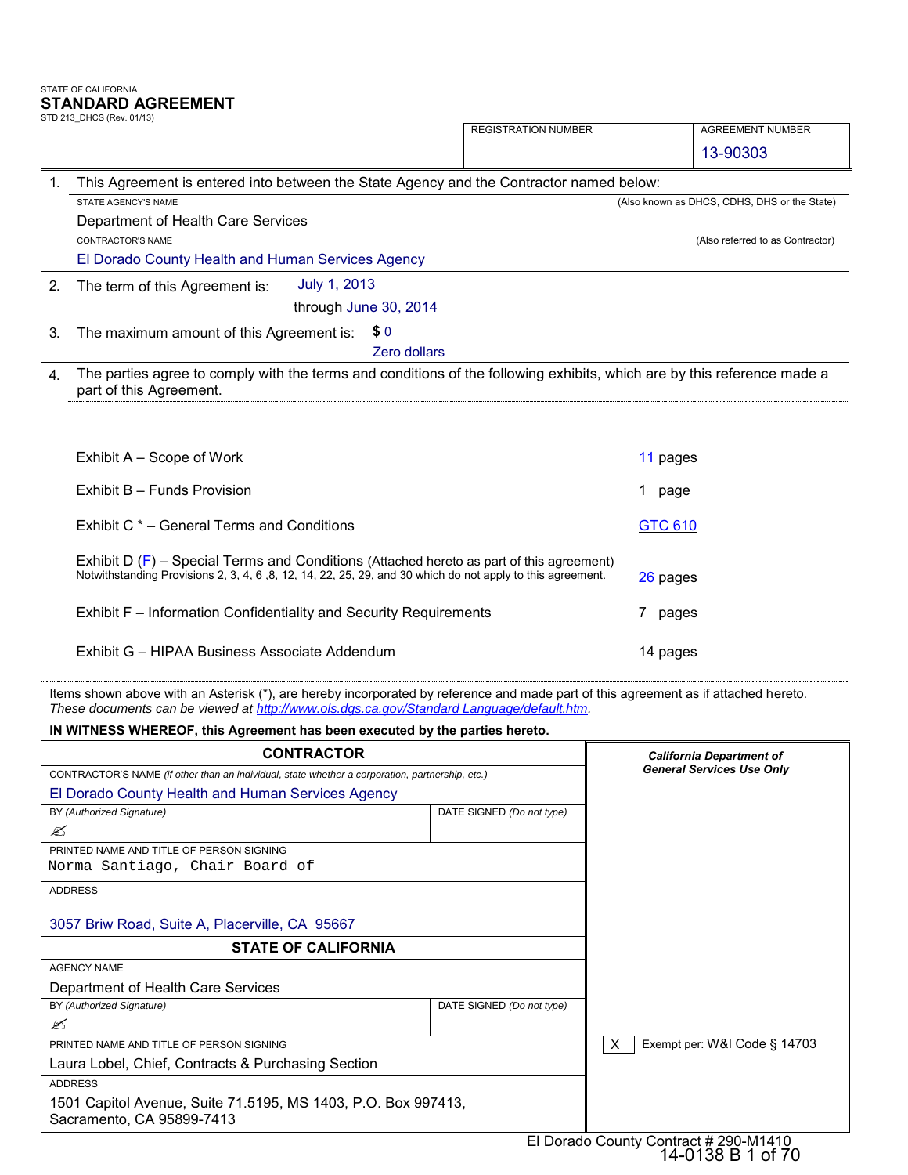# STATE OF CALIFORNIA **STANDARD AGREEMENT**<br>STD 213\_DHCS (Rev. 01/13)

|                | STD 213 DHCS (Rev. 01/13)                                                                                                                                                                                | <b>REGISTRATION NUMBER</b> | <b>AGREEMENT NUMBER</b>                      |
|----------------|----------------------------------------------------------------------------------------------------------------------------------------------------------------------------------------------------------|----------------------------|----------------------------------------------|
|                |                                                                                                                                                                                                          |                            | 13-90303                                     |
| $\mathbf{1}$ . | This Agreement is entered into between the State Agency and the Contractor named below:                                                                                                                  |                            |                                              |
|                | STATE AGENCY'S NAME                                                                                                                                                                                      |                            | (Also known as DHCS, CDHS, DHS or the State) |
|                | Department of Health Care Services                                                                                                                                                                       |                            |                                              |
|                | CONTRACTOR'S NAME                                                                                                                                                                                        |                            | (Also referred to as Contractor)             |
|                | El Dorado County Health and Human Services Agency                                                                                                                                                        |                            |                                              |
| 2.             | July 1, 2013<br>The term of this Agreement is:                                                                                                                                                           |                            |                                              |
|                | through June 30, 2014                                                                                                                                                                                    |                            |                                              |
| 3.             | \$0                                                                                                                                                                                                      |                            |                                              |
|                | The maximum amount of this Agreement is:<br>Zero dollars                                                                                                                                                 |                            |                                              |
|                |                                                                                                                                                                                                          |                            |                                              |
| 4.             | The parties agree to comply with the terms and conditions of the following exhibits, which are by this reference made a<br>part of this Agreement.                                                       |                            |                                              |
|                | Exhibit A – Scope of Work                                                                                                                                                                                |                            | 11 pages                                     |
|                | Exhibit B - Funds Provision                                                                                                                                                                              |                            | 1 page                                       |
|                | Exhibit C * - General Terms and Conditions                                                                                                                                                               |                            | <b>GTC 610</b>                               |
|                | Exhibit D $(F)$ – Special Terms and Conditions (Attached hereto as part of this agreement)<br>Notwithstanding Provisions 2, 3, 4, 6, 8, 12, 14, 22, 25, 29, and 30 which do not apply to this agreement. |                            | 26 pages                                     |
|                | Exhibit F - Information Confidentiality and Security Requirements                                                                                                                                        |                            | 7<br>pages                                   |

| IN WITNESS WHEREOF, this Agreement has been executed by the parties hereto.                     |                                  |                                   |
|-------------------------------------------------------------------------------------------------|----------------------------------|-----------------------------------|
| <b>CONTRACTOR</b>                                                                               |                                  | <b>California Department of</b>   |
| CONTRACTOR'S NAME (if other than an individual, state whether a corporation, partnership, etc.) | <b>General Services Use Only</b> |                                   |
| El Dorado County Health and Human Services Agency                                               |                                  |                                   |
| BY (Authorized Signature)                                                                       | DATE SIGNED (Do not type)        |                                   |
| ✍                                                                                               |                                  |                                   |
| PRINTED NAME AND TITLE OF PERSON SIGNING                                                        |                                  |                                   |
| Norma Santiago, Chair Board of                                                                  |                                  |                                   |
| <b>ADDRESS</b>                                                                                  |                                  |                                   |
| 3057 Briw Road, Suite A, Placerville, CA 95667                                                  |                                  |                                   |
| <b>STATE OF CALIFORNIA</b>                                                                      |                                  |                                   |
| <b>AGENCY NAME</b>                                                                              |                                  |                                   |
| Department of Health Care Services                                                              |                                  |                                   |
| BY (Authorized Signature)                                                                       | DATE SIGNED (Do not type)        |                                   |
| ✍                                                                                               |                                  |                                   |
| PRINTED NAME AND TITLE OF PERSON SIGNING                                                        |                                  | Exempt per: W&I Code § 14703<br>X |
| Laura Lobel, Chief, Contracts & Purchasing Section                                              |                                  |                                   |
| <b>ADDRESS</b>                                                                                  |                                  |                                   |
| 1501 Capitol Avenue, Suite 71.5195, MS 1403, P.O. Box 997413,                                   |                                  |                                   |
| Sacramento, CA 95899-7413                                                                       |                                  |                                   |
|                                                                                                 |                                  | .                                 |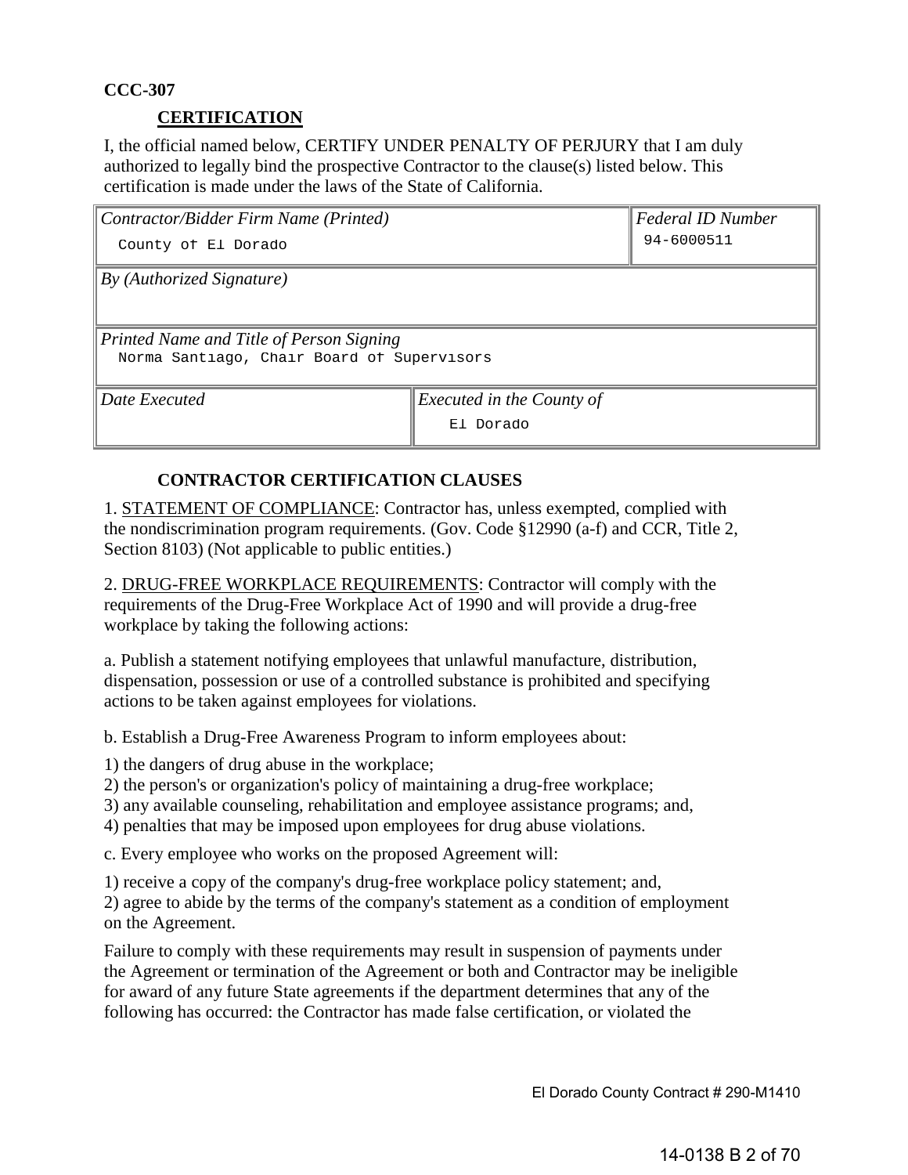# **CCC-307**

# **CERTIFICATION**

I, the official named below, CERTIFY UNDER PENALTY OF PERJURY that I am duly authorized to legally bind the prospective Contractor to the clause(s) listed below. This certification is made under the laws of the State of California.

| Contractor/Bidder Firm Name (Printed)      | <b>Federal ID Number</b>  |  |  |
|--------------------------------------------|---------------------------|--|--|
| County of El Dorado                        | 94-6000511                |  |  |
| By (Authorized Signature)                  |                           |  |  |
|                                            |                           |  |  |
| Printed Name and Title of Person Signing   |                           |  |  |
| Norma Santiago, Chair Board of Supervisors |                           |  |  |
| Date Executed                              | Executed in the County of |  |  |
|                                            | El Dorado                 |  |  |

# **CONTRACTOR CERTIFICATION CLAUSES**

1. STATEMENT OF COMPLIANCE: Contractor has, unless exempted, complied with the nondiscrimination program requirements. (Gov. Code §12990 (a-f) and CCR, Title 2, Section 8103) (Not applicable to public entities.)

2. DRUG-FREE WORKPLACE REQUIREMENTS: Contractor will comply with the requirements of the Drug-Free Workplace Act of 1990 and will provide a drug-free workplace by taking the following actions:

a. Publish a statement notifying employees that unlawful manufacture, distribution, dispensation, possession or use of a controlled substance is prohibited and specifying actions to be taken against employees for violations.

b. Establish a Drug-Free Awareness Program to inform employees about:

1) the dangers of drug abuse in the workplace;

- 2) the person's or organization's policy of maintaining a drug-free workplace;
- 3) any available counseling, rehabilitation and employee assistance programs; and,
- 4) penalties that may be imposed upon employees for drug abuse violations.

c. Every employee who works on the proposed Agreement will:

1) receive a copy of the company's drug-free workplace policy statement; and,

2) agree to abide by the terms of the company's statement as a condition of employment on the Agreement.

Failure to comply with these requirements may result in suspension of payments under the Agreement or termination of the Agreement or both and Contractor may be ineligible for award of any future State agreements if the department determines that any of the following has occurred: the Contractor has made false certification, or violated the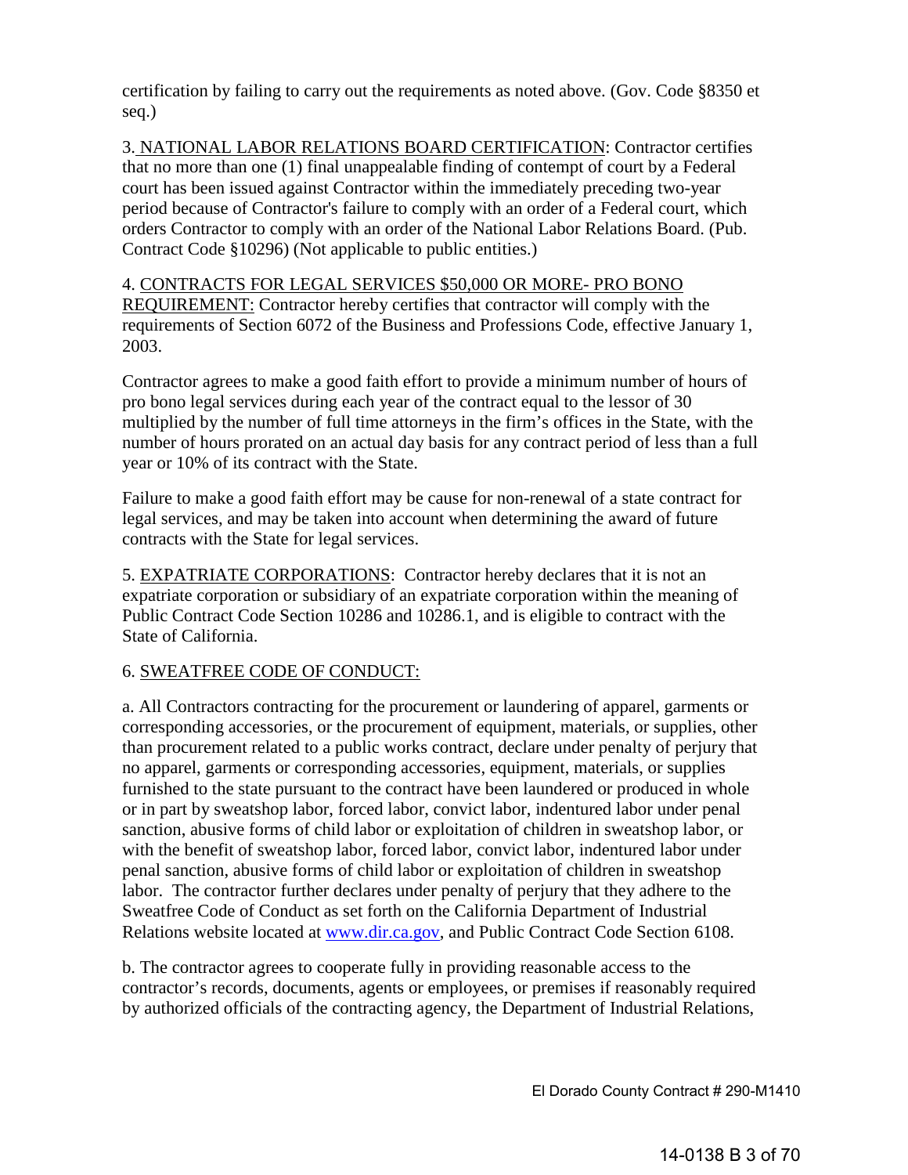certification by failing to carry out the requirements as noted above. (Gov. Code §8350 et seq.)

3. NATIONAL LABOR RELATIONS BOARD CERTIFICATION: Contractor certifies that no more than one (1) final unappealable finding of contempt of court by a Federal court has been issued against Contractor within the immediately preceding two-year period because of Contractor's failure to comply with an order of a Federal court, which orders Contractor to comply with an order of the National Labor Relations Board. (Pub. Contract Code §10296) (Not applicable to public entities.)

4. CONTRACTS FOR LEGAL SERVICES \$50,000 OR MORE- PRO BONO REQUIREMENT: Contractor hereby certifies that contractor will comply with the requirements of Section 6072 of the Business and Professions Code, effective January 1, 2003.

Contractor agrees to make a good faith effort to provide a minimum number of hours of pro bono legal services during each year of the contract equal to the lessor of 30 multiplied by the number of full time attorneys in the firm's offices in the State, with the number of hours prorated on an actual day basis for any contract period of less than a full year or 10% of its contract with the State.

Failure to make a good faith effort may be cause for non-renewal of a state contract for legal services, and may be taken into account when determining the award of future contracts with the State for legal services.

5. EXPATRIATE CORPORATIONS: Contractor hereby declares that it is not an expatriate corporation or subsidiary of an expatriate corporation within the meaning of Public Contract Code Section 10286 and 10286.1, and is eligible to contract with the State of California.

# 6. SWEATFREE CODE OF CONDUCT:

a. All Contractors contracting for the procurement or laundering of apparel, garments or corresponding accessories, or the procurement of equipment, materials, or supplies, other than procurement related to a public works contract, declare under penalty of perjury that no apparel, garments or corresponding accessories, equipment, materials, or supplies furnished to the state pursuant to the contract have been laundered or produced in whole or in part by sweatshop labor, forced labor, convict labor, indentured labor under penal sanction, abusive forms of child labor or exploitation of children in sweatshop labor, or with the benefit of sweatshop labor, forced labor, convict labor, indentured labor under penal sanction, abusive forms of child labor or exploitation of children in sweatshop labor. The contractor furth[er declares under p](http://www.dir.ca.gov/)enalty of perjury that they adhere to the Sweatfree Code of Conduct as set forth on the California Department of Industrial Relations website located at www.dir.ca.gov, and Public Contract Code Section 6108.

b. The contractor agrees to cooperate fully in providing reasonable access to the contractor's records, documents, agents or employees, or premises if reasonably required by authorized officials of the contracting agency, the Department of Industrial Relations,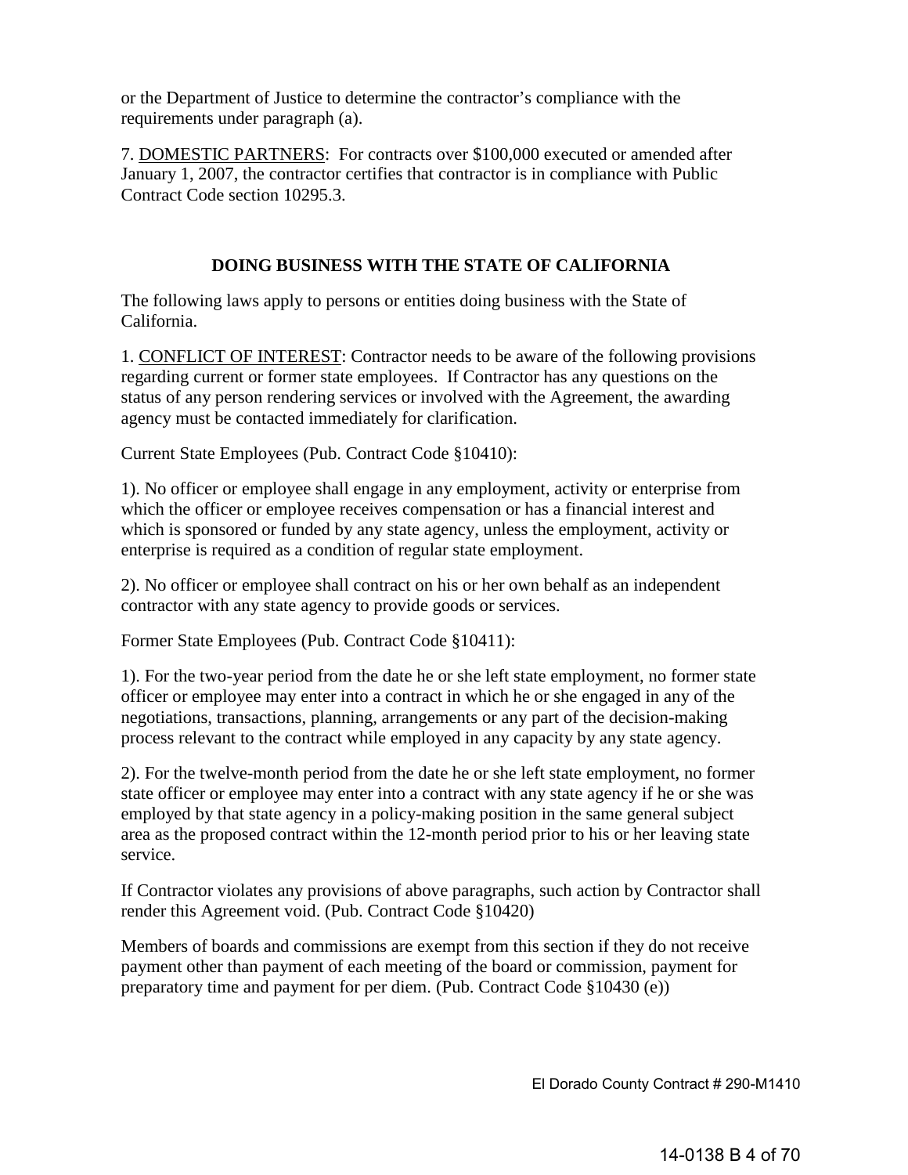or the Department of Justice to determine the contractor's compliance with the requirements under paragraph (a).

7. DOMESTIC PARTNERS: For contracts over \$100,000 executed or amended after January 1, 2007, the contractor certifies that contractor is in compliance with Public Contract Code section 10295.3.

# **DOING BUSINESS WITH THE STATE OF CALIFORNIA**

The following laws apply to persons or entities doing business with the State of California.

1. CONFLICT OF INTEREST: Contractor needs to be aware of the following provisions regarding current or former state employees. If Contractor has any questions on the status of any person rendering services or involved with the Agreement, the awarding agency must be contacted immediately for clarification.

Current State Employees (Pub. Contract Code §10410):

1). No officer or employee shall engage in any employment, activity or enterprise from which the officer or employee receives compensation or has a financial interest and which is sponsored or funded by any state agency, unless the employment, activity or enterprise is required as a condition of regular state employment.

2). No officer or employee shall contract on his or her own behalf as an independent contractor with any state agency to provide goods or services.

Former State Employees (Pub. Contract Code §10411):

1). For the two-year period from the date he or she left state employment, no former state officer or employee may enter into a contract in which he or she engaged in any of the negotiations, transactions, planning, arrangements or any part of the decision-making process relevant to the contract while employed in any capacity by any state agency.

2). For the twelve-month period from the date he or she left state employment, no former state officer or employee may enter into a contract with any state agency if he or she was employed by that state agency in a policy-making position in the same general subject area as the proposed contract within the 12-month period prior to his or her leaving state service.

If Contractor violates any provisions of above paragraphs, such action by Contractor shall render this Agreement void. (Pub. Contract Code §10420)

Members of boards and commissions are exempt from this section if they do not receive payment other than payment of each meeting of the board or commission, payment for preparatory time and payment for per diem. (Pub. Contract Code §10430 (e))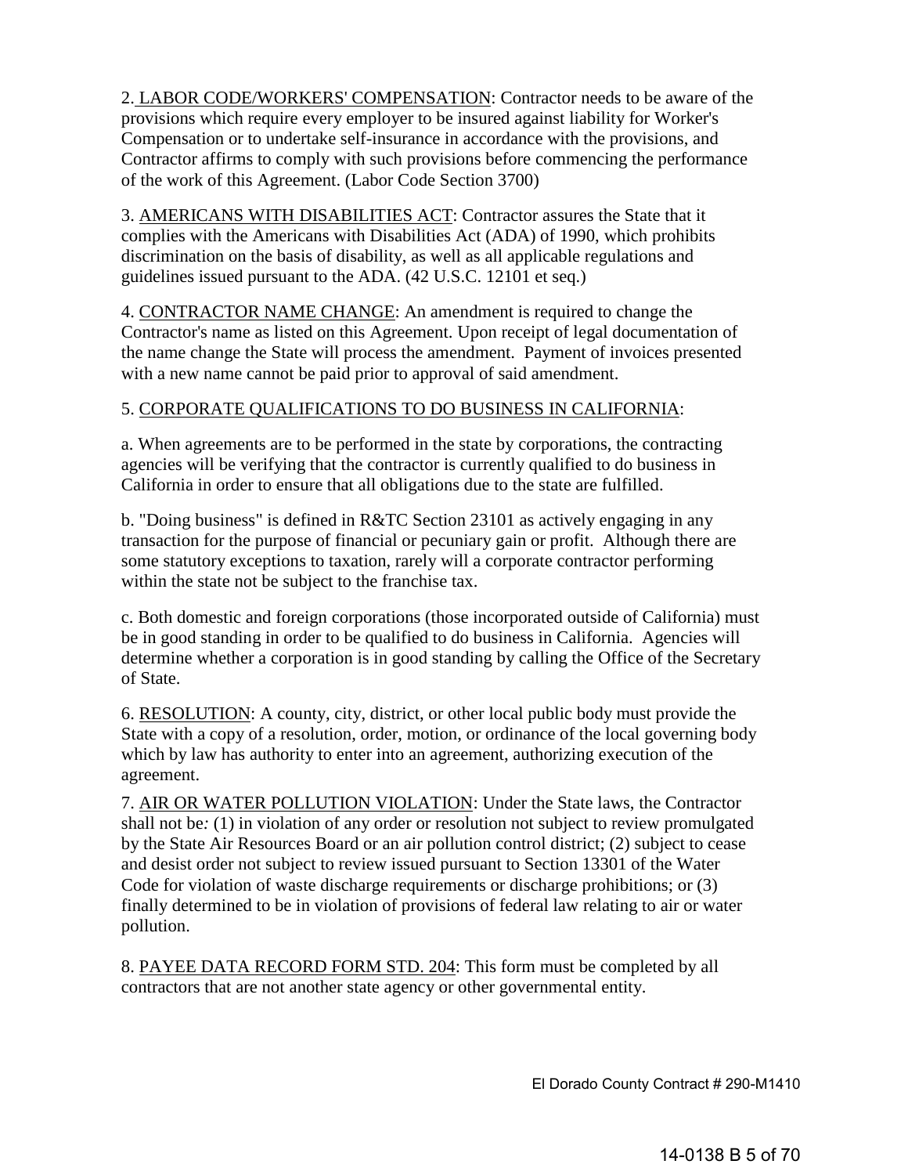2. LABOR CODE/WORKERS' COMPENSATION: Contractor needs to be aware of the provisions which require every employer to be insured against liability for Worker's Compensation or to undertake self-insurance in accordance with the provisions, and Contractor affirms to comply with such provisions before commencing the performance of the work of this Agreement. (Labor Code Section 3700)

3. AMERICANS WITH DISABILITIES ACT: Contractor assures the State that it complies with the Americans with Disabilities Act (ADA) of 1990, which prohibits discrimination on the basis of disability, as well as all applicable regulations and guidelines issued pursuant to the ADA. (42 U.S.C. 12101 et seq.)

4. CONTRACTOR NAME CHANGE: An amendment is required to change the Contractor's name as listed on this Agreement. Upon receipt of legal documentation of the name change the State will process the amendment. Payment of invoices presented with a new name cannot be paid prior to approval of said amendment.

# 5. CORPORATE QUALIFICATIONS TO DO BUSINESS IN CALIFORNIA:

a. When agreements are to be performed in the state by corporations, the contracting agencies will be verifying that the contractor is currently qualified to do business in California in order to ensure that all obligations due to the state are fulfilled.

b. "Doing business" is defined in R&TC Section 23101 as actively engaging in any transaction for the purpose of financial or pecuniary gain or profit. Although there are some statutory exceptions to taxation, rarely will a corporate contractor performing within the state not be subject to the franchise tax.

c. Both domestic and foreign corporations (those incorporated outside of California) must be in good standing in order to be qualified to do business in California. Agencies will determine whether a corporation is in good standing by calling the Office of the Secretary of State.

6. RESOLUTION: A county, city, district, or other local public body must provide the State with a copy of a resolution, order, motion, or ordinance of the local governing body which by law has authority to enter into an agreement, authorizing execution of the agreement.

7. AIR OR WATER POLLUTION VIOLATION: Under the State laws, the Contractor shall not be*:* (1) in violation of any order or resolution not subject to review promulgated by the State Air Resources Board or an air pollution control district; (2) subject to cease and desist order not subject to review issued pursuant to Section 13301 of the Water Code for violation of waste discharge requirements or discharge prohibitions; or (3) finally determined to be in violation of provisions of federal law relating to air or water pollution.

8. PAYEE DATA RECORD FORM STD. 204: This form must be completed by all contractors that are not another state agency or other governmental entity.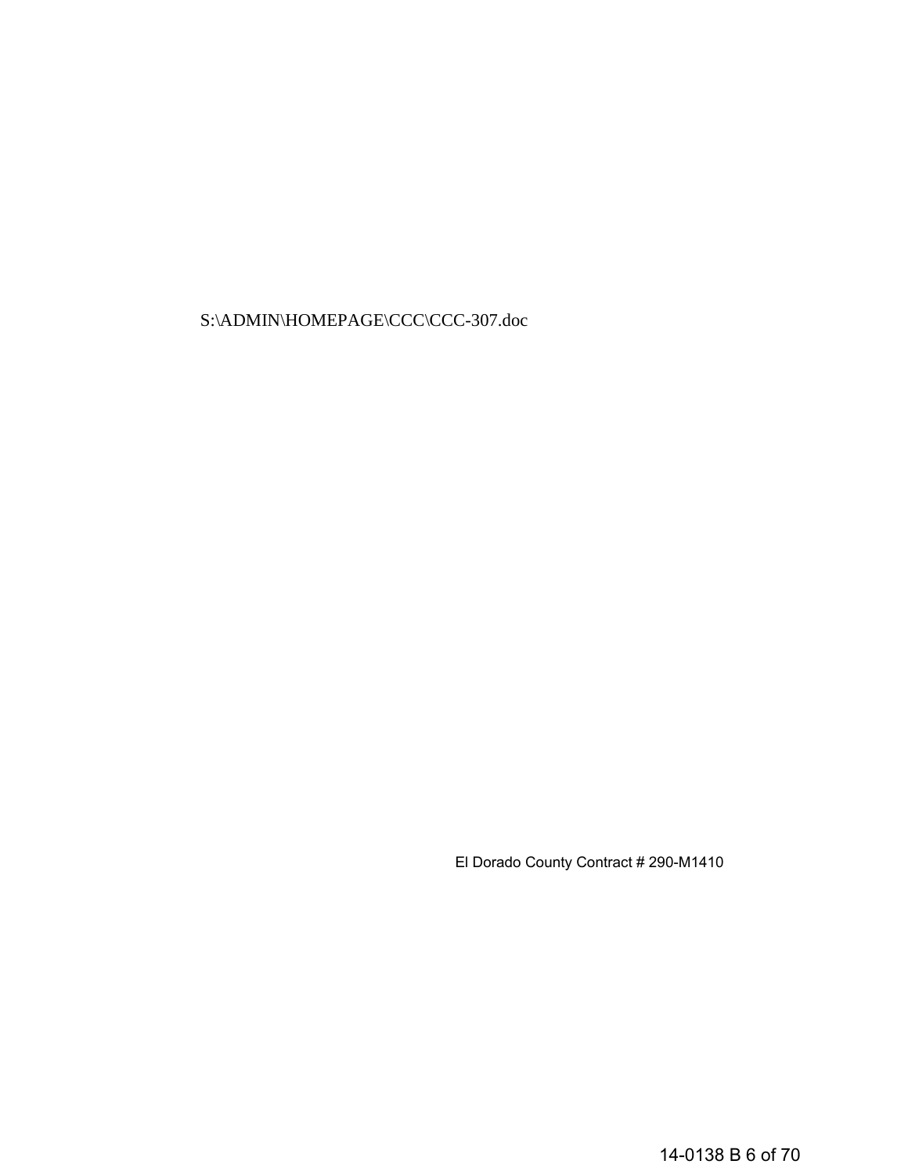S:\ADMIN\HOMEPAGE\CCC\CCC-307.doc

El Dorado County Contract # 290-M1410

14-0138 B 6 of 70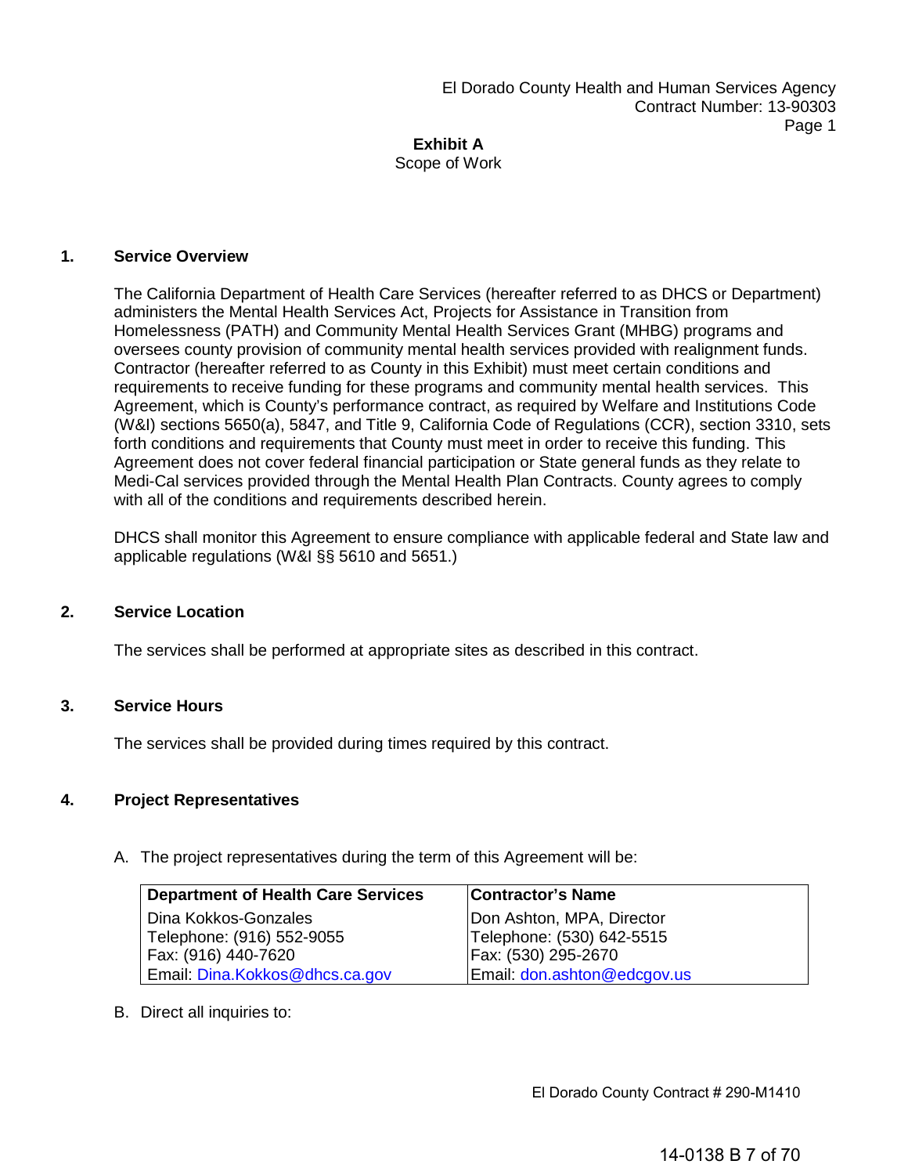# Scope of Work

# **1. Service Overview**

The California Department of Health Care Services (hereafter referred to as DHCS or Department) administers the Mental Health Services Act, Projects for Assistance in Transition from Homelessness (PATH) and Community Mental Health Services Grant (MHBG) programs and oversees county provision of community mental health services provided with realignment funds. Contractor (hereafter referred to as County in this Exhibit) must meet certain conditions and requirements to receive funding for these programs and community mental health services. This Agreement, which is County's performance contract, as required by Welfare and Institutions Code (W&I) sections 5650(a), 5847, and Title 9, California Code of Regulations (CCR), section 3310, sets forth conditions and requirements that County must meet in order to receive this funding. This Agreement does not cover federal financial participation or State general funds as they relate to Medi-Cal services provided through the Mental Health Plan Contracts. County agrees to comply with all of the conditions and requirements described herein.

DHCS shall monitor this Agreement to ensure compliance with applicable federal and State law and applicable regulations (W&I §§ 5610 and 5651.)

# **2. Service Location**

The services shall be performed at appropriate sites as described in this contract.

# **3. Service Hours**

The services shall be provided during times required by this contract.

# **4. Project Representatives**

A. The project representatives during the term of this Agreement will be:

| <b>Department of Health Care Services</b> | <b>Contractor's Name</b>    |
|-------------------------------------------|-----------------------------|
| Dina Kokkos-Gonzales                      | Don Ashton, MPA, Director   |
| Telephone: (916) 552-9055                 | Telephone: (530) 642-5515   |
| Fax: (916) 440-7620                       | Fax: (530) 295-2670         |
| Email: Dina.Kokkos@dhcs.ca.gov            | Email: don.ashton@edcgov.us |

B. Direct all inquiries to: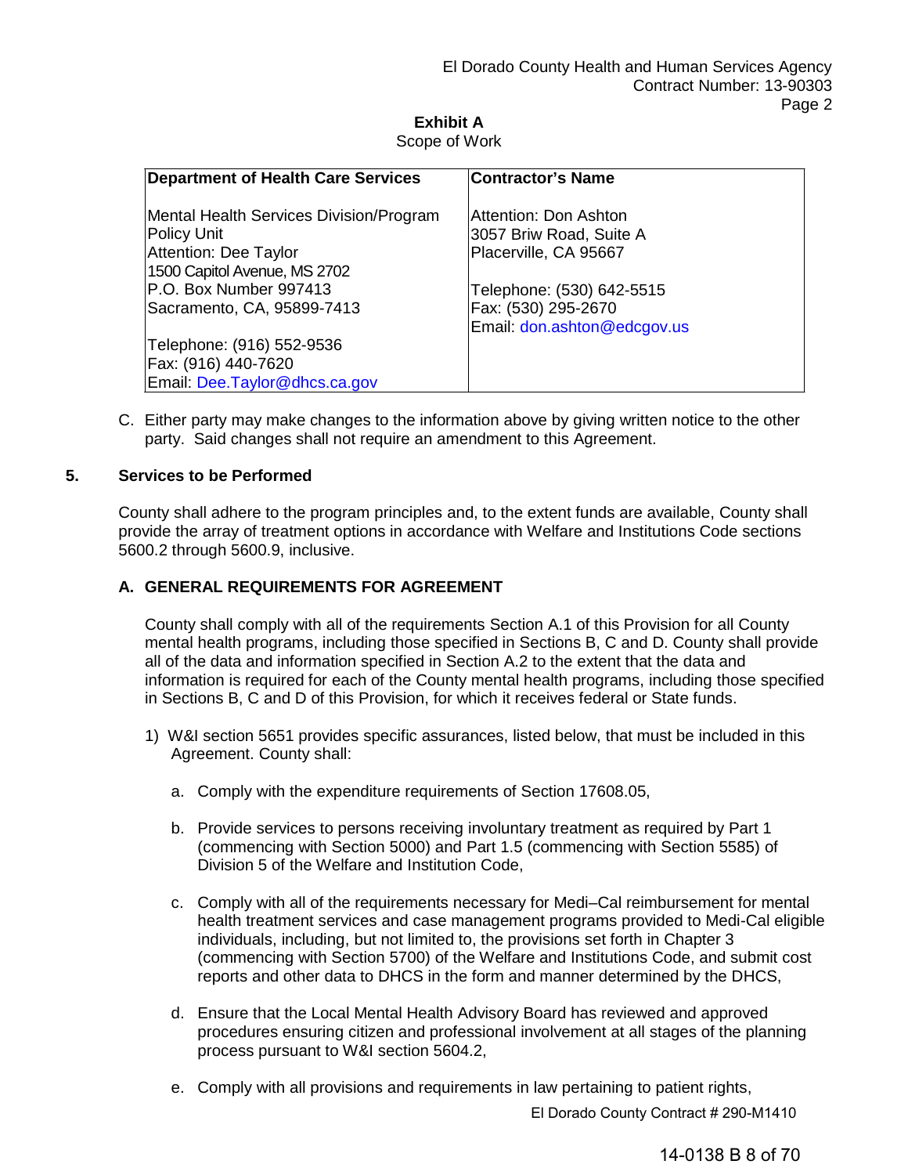# **Exhibit A** Scope of Work

| <b>Department of Health Care Services</b>              | <b>Contractor's Name</b>                           |
|--------------------------------------------------------|----------------------------------------------------|
| Mental Health Services Division/Program                | Attention: Don Ashton                              |
| Policy Unit<br><b>Attention: Dee Taylor</b>            | 3057 Briw Road, Suite A<br>Placerville, CA 95667   |
| 1500 Capitol Avenue, MS 2702<br>P.O. Box Number 997413 | Telephone: (530) 642-5515                          |
| Sacramento, CA, 95899-7413                             | Fax: (530) 295-2670<br>Email: don.ashton@edcgov.us |
| Telephone: (916) 552-9536<br>Fax: (916) 440-7620       |                                                    |
| Email: Dee.Taylor@dhcs.ca.gov                          |                                                    |

C. Either party may make changes to the information above by giving written notice to the other party. Said changes shall not require an amendment to this Agreement.

# **5. Services to be Performed**

County shall adhere to the program principles and, to the extent funds are available, County shall provide the array of treatment options in accordance with Welfare and Institutions Code sections 5600.2 through 5600.9, inclusive.

# **A. GENERAL REQUIREMENTS FOR AGREEMENT**

County shall comply with all of the requirements Section A.1 of this Provision for all County mental health programs, including those specified in Sections B, C and D. County shall provide all of the data and information specified in Section A.2 to the extent that the data and information is required for each of the County mental health programs, including those specified in Sections B, C and D of this Provision, for which it receives federal or State funds.

- 1) W&I section 5651 provides specific assurances, listed below, that must be included in this Agreement. County shall:
	- a. Comply with the expenditure requirements of Section 17608.05,
	- b. Provide services to persons receiving involuntary treatment as required by Part 1 (commencing with Section 5000) and Part 1.5 (commencing with Section 5585) of Division 5 of the Welfare and Institution Code,
	- c. Comply with all of the requirements necessary for Medi–Cal reimbursement for mental health treatment services and case management programs provided to Medi-Cal eligible individuals, including, but not limited to, the provisions set forth in Chapter 3 (commencing with Section 5700) of the Welfare and Institutions Code, and submit cost reports and other data to DHCS in the form and manner determined by the DHCS,
	- d. Ensure that the Local Mental Health Advisory Board has reviewed and approved procedures ensuring citizen and professional involvement at all stages of the planning process pursuant to W&I section 5604.2,
	- e. Comply with all provisions and requirements in law pertaining to patient rights,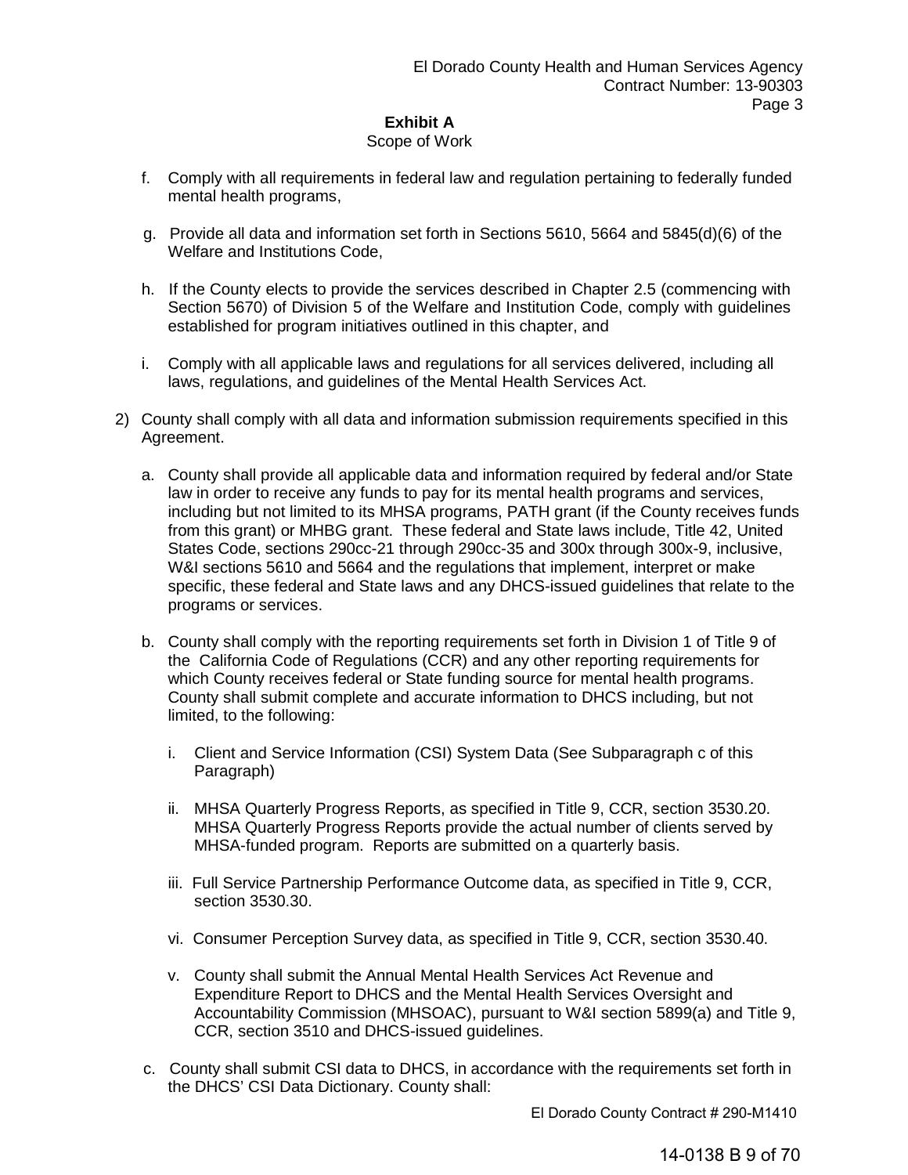# Scope of Work

- f. Comply with all requirements in federal law and regulation pertaining to federally funded mental health programs,
- g. Provide all data and information set forth in Sections 5610, 5664 and 5845(d)(6) of the Welfare and Institutions Code,
- h. If the County elects to provide the services described in Chapter 2.5 (commencing with Section 5670) of Division 5 of the Welfare and Institution Code, comply with guidelines established for program initiatives outlined in this chapter, and
- i. Comply with all applicable laws and regulations for all services delivered, including all laws, regulations, and guidelines of the Mental Health Services Act.
- 2) County shall comply with all data and information submission requirements specified in this Agreement.
	- a. County shall provide all applicable data and information required by federal and/or State law in order to receive any funds to pay for its mental health programs and services, including but not limited to its MHSA programs, PATH grant (if the County receives funds from this grant) or MHBG grant. These federal and State laws include, Title 42, United States Code, sections 290cc-21 through 290cc-35 and 300x through 300x-9, inclusive, W&I sections 5610 and 5664 and the regulations that implement, interpret or make specific, these federal and State laws and any DHCS-issued guidelines that relate to the programs or services.
	- b. County shall comply with the reporting requirements set forth in Division 1 of Title 9 of the California Code of Regulations (CCR) and any other reporting requirements for which County receives federal or State funding source for mental health programs. County shall submit complete and accurate information to DHCS including, but not limited, to the following:
		- i. Client and Service Information (CSI) System Data (See Subparagraph c of this Paragraph)
		- ii. MHSA Quarterly Progress Reports, as specified in Title 9, CCR, section 3530.20. MHSA Quarterly Progress Reports provide the actual number of clients served by MHSA-funded program. Reports are submitted on a quarterly basis.
		- iii. Full Service Partnership Performance Outcome data, as specified in Title 9, CCR, section 3530.30.
		- vi. Consumer Perception Survey data, as specified in Title 9, CCR, section 3530.40.
		- v. County shall submit the Annual Mental Health Services Act Revenue and Expenditure Report to DHCS and the Mental Health Services Oversight and Accountability Commission (MHSOAC), pursuant to W&I section 5899(a) and Title 9, CCR, section 3510 and DHCS-issued guidelines.
	- c. County shall submit CSI data to DHCS, in accordance with the requirements set forth in the DHCS' CSI Data Dictionary. County shall: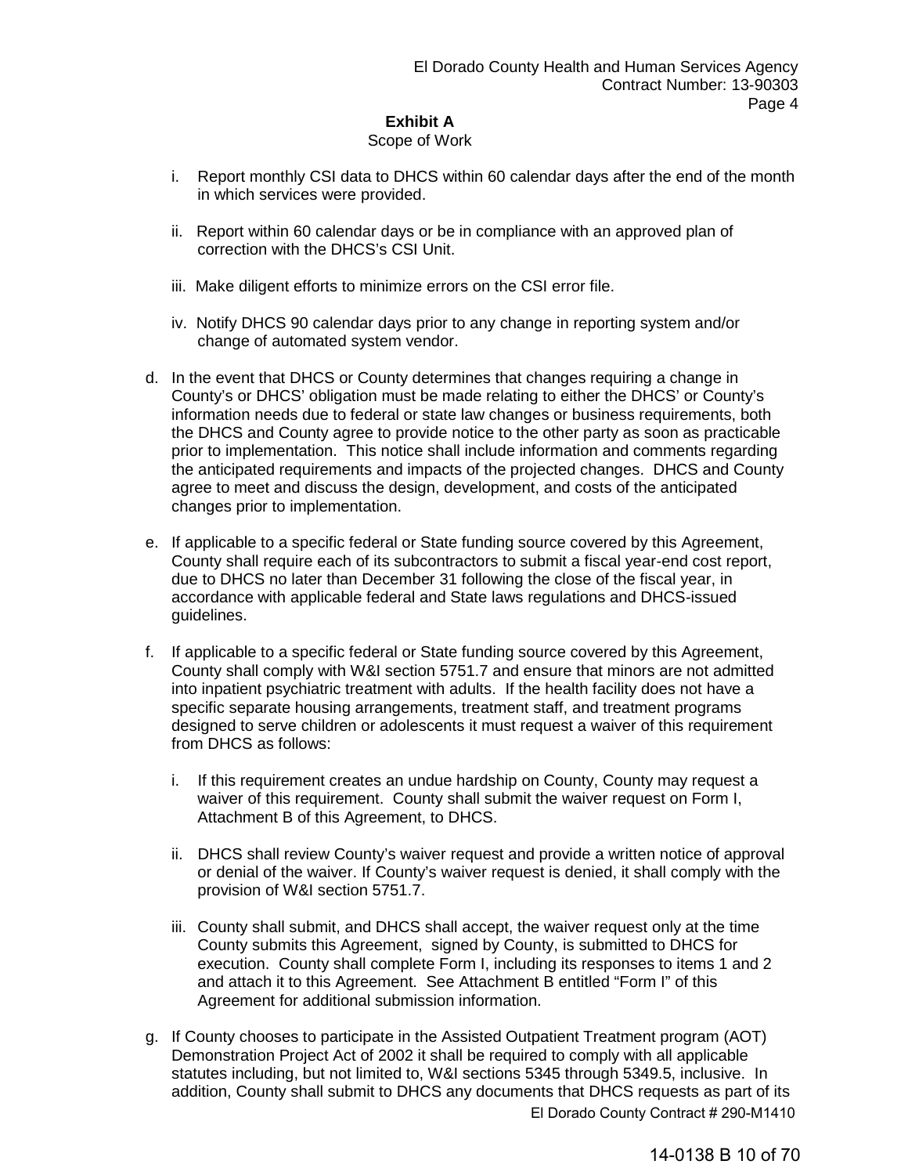# Scope of Work

- i. Report monthly CSI data to DHCS within 60 calendar days after the end of the month in which services were provided.
- ii. Report within 60 calendar days or be in compliance with an approved plan of correction with the DHCS's CSI Unit.
- iii. Make diligent efforts to minimize errors on the CSI error file.
- iv. Notify DHCS 90 calendar days prior to any change in reporting system and/or change of automated system vendor.
- d. In the event that DHCS or County determines that changes requiring a change in County's or DHCS' obligation must be made relating to either the DHCS' or County's information needs due to federal or state law changes or business requirements, both the DHCS and County agree to provide notice to the other party as soon as practicable prior to implementation. This notice shall include information and comments regarding the anticipated requirements and impacts of the projected changes. DHCS and County agree to meet and discuss the design, development, and costs of the anticipated changes prior to implementation.
- e. If applicable to a specific federal or State funding source covered by this Agreement, County shall require each of its subcontractors to submit a fiscal year-end cost report, due to DHCS no later than December 31 following the close of the fiscal year, in accordance with applicable federal and State laws regulations and DHCS-issued guidelines.
- f. If applicable to a specific federal or State funding source covered by this Agreement, County shall comply with W&I section 5751.7 and ensure that minors are not admitted into inpatient psychiatric treatment with adults. If the health facility does not have a specific separate housing arrangements, treatment staff, and treatment programs designed to serve children or adolescents it must request a waiver of this requirement from DHCS as follows:
	- i. If this requirement creates an undue hardship on County, County may request a waiver of this requirement. County shall submit the waiver request on Form I, Attachment B of this Agreement, to DHCS.
	- ii. DHCS shall review County's waiver request and provide a written notice of approval or denial of the waiver. If County's waiver request is denied, it shall comply with the provision of W&I section 5751.7.
	- iii. County shall submit, and DHCS shall accept, the waiver request only at the time County submits this Agreement, signed by County, is submitted to DHCS for execution. County shall complete Form I, including its responses to items 1 and 2 and attach it to this Agreement. See Attachment B entitled "Form I" of this Agreement for additional submission information.
- g. If County chooses to participate in the Assisted Outpatient Treatment program (AOT) Demonstration Project Act of 2002 it shall be required to comply with all applicable statutes including, but not limited to, W&I sections 5345 through 5349.5, inclusive. In addition, County shall submit to DHCS any documents that DHCS requests as part of its El Dorado County Contract # 290-M1410

14-0138 B 10 of 70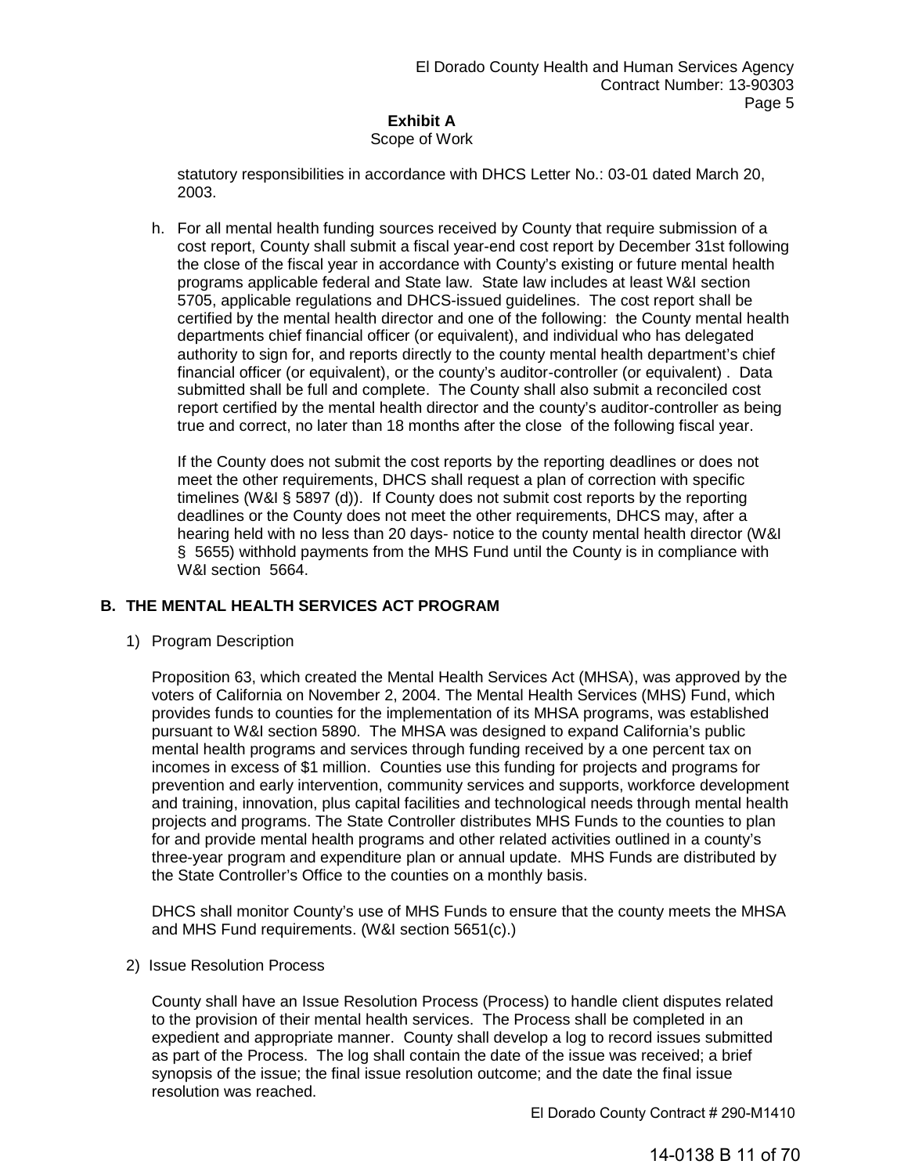# Scope of Work

statutory responsibilities in accordance with DHCS Letter No.: 03-01 dated March 20, 2003.

h. For all mental health funding sources received by County that require submission of a cost report, County shall submit a fiscal year-end cost report by December 31st following the close of the fiscal year in accordance with County's existing or future mental health programs applicable federal and State law. State law includes at least W&I section 5705, applicable regulations and DHCS-issued guidelines. The cost report shall be certified by the mental health director and one of the following: the County mental health departments chief financial officer (or equivalent), and individual who has delegated authority to sign for, and reports directly to the county mental health department's chief financial officer (or equivalent), or the county's auditor-controller (or equivalent) . Data submitted shall be full and complete. The County shall also submit a reconciled cost report certified by the mental health director and the county's auditor-controller as being true and correct, no later than 18 months after the close of the following fiscal year.

If the County does not submit the cost reports by the reporting deadlines or does not meet the other requirements, DHCS shall request a plan of correction with specific timelines (W&I § 5897 (d)). If County does not submit cost reports by the reporting deadlines or the County does not meet the other requirements, DHCS may, after a hearing held with no less than 20 days- notice to the county mental health director (W&I § 5655) withhold payments from the MHS Fund until the County is in compliance with W&I section 5664.

# **B. THE MENTAL HEALTH SERVICES ACT PROGRAM**

1) Program Description

Proposition 63, which created the Mental Health Services Act (MHSA), was approved by the voters of California on November 2, 2004. The Mental Health Services (MHS) Fund, which provides funds to counties for the implementation of its MHSA programs, was established pursuant to W&I section 5890. The MHSA was designed to expand California's public mental health programs and services through funding received by a one percent tax on incomes in excess of \$1 million. Counties use this funding for projects and programs for prevention and early intervention, community services and supports, workforce development and training, innovation, plus capital facilities and technological needs through mental health projects and programs. The State Controller distributes MHS Funds to the counties to plan for and provide mental health programs and other related activities outlined in a county's three-year program and expenditure plan or annual update. MHS Funds are distributed by the State Controller's Office to the counties on a monthly basis.

DHCS shall monitor County's use of MHS Funds to ensure that the county meets the MHSA and MHS Fund requirements. (W&I section 5651(c).)

2) Issue Resolution Process

County shall have an Issue Resolution Process (Process) to handle client disputes related to the provision of their mental health services. The Process shall be completed in an expedient and appropriate manner. County shall develop a log to record issues submitted as part of the Process. The log shall contain the date of the issue was received; a brief synopsis of the issue; the final issue resolution outcome; and the date the final issue resolution was reached.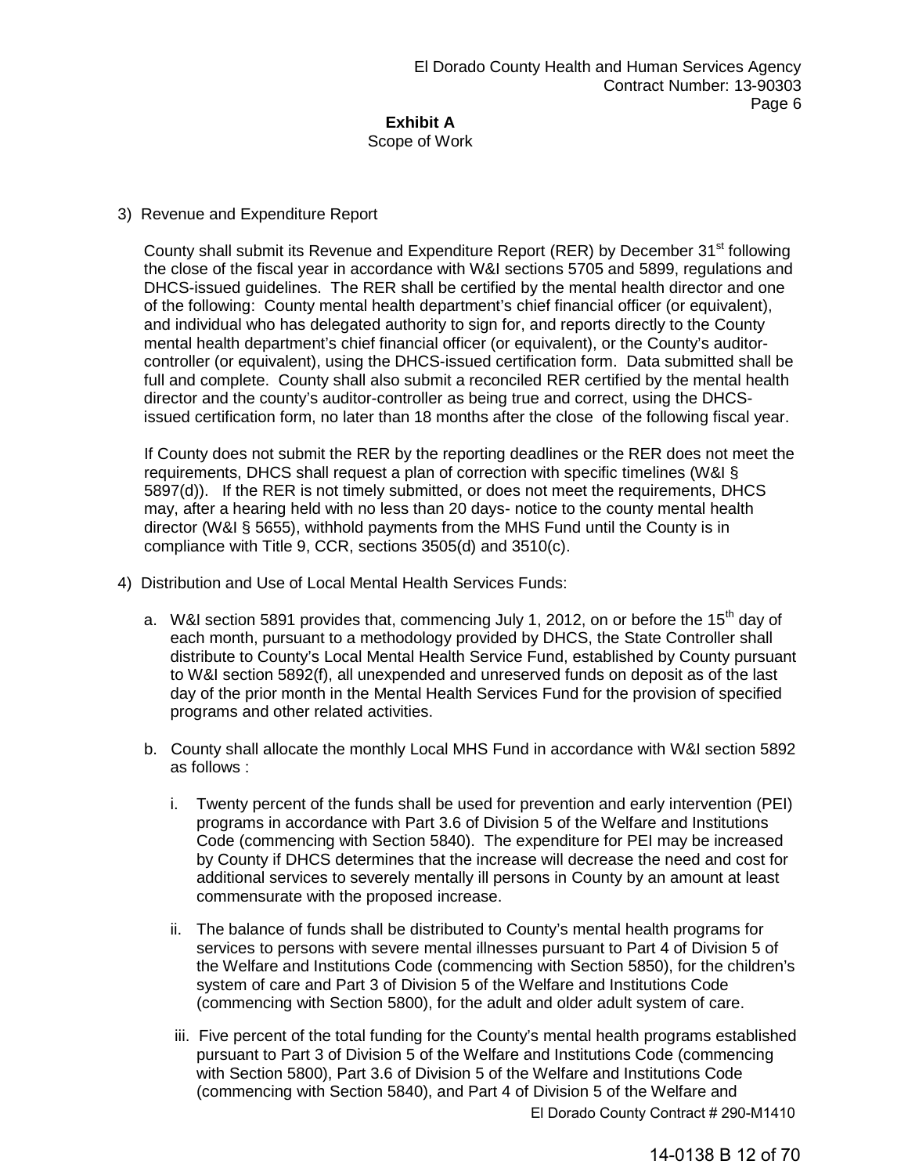Scope of Work

# 3) Revenue and Expenditure Report

County shall submit its Revenue and Expenditure Report (RER) by December 31<sup>st</sup> following the close of the fiscal year in accordance with W&I sections 5705 and 5899, regulations and DHCS-issued guidelines. The RER shall be certified by the mental health director and one of the following: County mental health department's chief financial officer (or equivalent), and individual who has delegated authority to sign for, and reports directly to the County mental health department's chief financial officer (or equivalent), or the County's auditorcontroller (or equivalent), using the DHCS-issued certification form. Data submitted shall be full and complete. County shall also submit a reconciled RER certified by the mental health director and the county's auditor-controller as being true and correct, using the DHCSissued certification form, no later than 18 months after the close of the following fiscal year.

If County does not submit the RER by the reporting deadlines or the RER does not meet the requirements, DHCS shall request a plan of correction with specific timelines (W&I § 5897(d)). If the RER is not timely submitted, or does not meet the requirements, DHCS may, after a hearing held with no less than 20 days- notice to the county mental health director (W&I § 5655), withhold payments from the MHS Fund until the County is in compliance with Title 9, CCR, sections 3505(d) and 3510(c).

- 4) Distribution and Use of Local Mental Health Services Funds:
	- a. W&I section 5891 provides that, commencing July 1, 2012, on or before the 15<sup>th</sup> day of each month, pursuant to a methodology provided by DHCS, the State Controller shall distribute to County's Local Mental Health Service Fund, established by County pursuant to W&I section 5892(f), all unexpended and unreserved funds on deposit as of the last day of the prior month in the Mental Health Services Fund for the provision of specified programs and other related activities.
	- b. County shall allocate the monthly Local MHS Fund in accordance with W&I section 5892 as follows :
		- i. Twenty percent of the funds shall be used for prevention and early intervention (PEI) programs in accordance with Part 3.6 of Division 5 of the Welfare and Institutions Code (commencing with Section 5840). The expenditure for PEI may be increased by County if DHCS determines that the increase will decrease the need and cost for additional services to severely mentally ill persons in County by an amount at least commensurate with the proposed increase.
		- ii. The balance of funds shall be distributed to County's mental health programs for services to persons with severe mental illnesses pursuant to Part 4 of Division 5 of the Welfare and Institutions Code (commencing with Section 5850), for the children's system of care and Part 3 of Division 5 of the Welfare and Institutions Code (commencing with Section 5800), for the adult and older adult system of care.
		- iii. Five percent of the total funding for the County's mental health programs established pursuant to Part 3 of Division 5 of the Welfare and Institutions Code (commencing with Section 5800), Part 3.6 of Division 5 of the Welfare and Institutions Code (commencing with Section 5840), and Part 4 of Division 5 of the Welfare and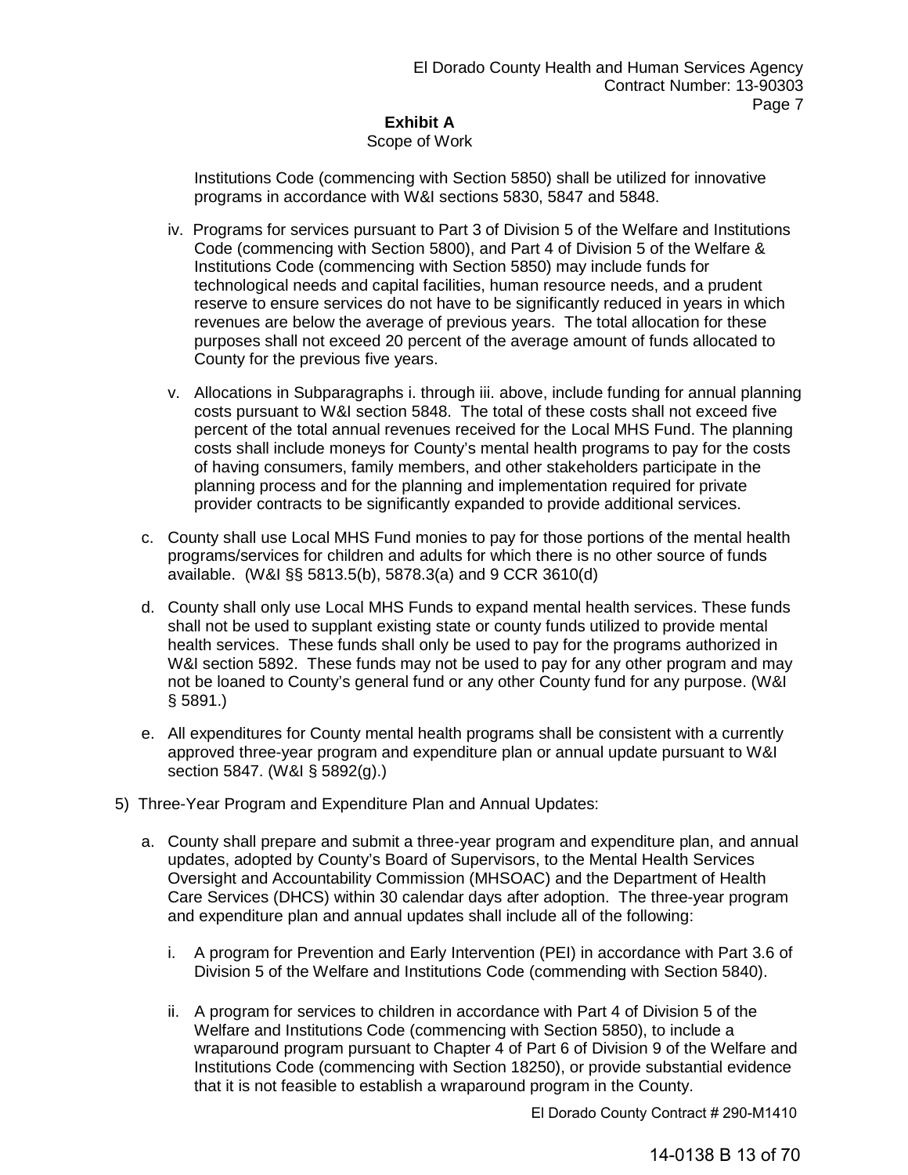# Scope of Work

Institutions Code (commencing with Section 5850) shall be utilized for innovative programs in accordance with W&I sections 5830, 5847 and 5848.

- iv. Programs for services pursuant to Part 3 of Division 5 of the Welfare and Institutions Code (commencing with Section 5800), and Part 4 of Division 5 of the Welfare & Institutions Code (commencing with Section 5850) may include funds for technological needs and capital facilities, human resource needs, and a prudent reserve to ensure services do not have to be significantly reduced in years in which revenues are below the average of previous years. The total allocation for these purposes shall not exceed 20 percent of the average amount of funds allocated to County for the previous five years.
- v. Allocations in Subparagraphs i. through iii. above, include funding for annual planning costs pursuant to W&I section 5848. The total of these costs shall not exceed five percent of the total annual revenues received for the Local MHS Fund. The planning costs shall include moneys for County's mental health programs to pay for the costs of having consumers, family members, and other stakeholders participate in the planning process and for the planning and implementation required for private provider contracts to be significantly expanded to provide additional services.
- c. County shall use Local MHS Fund monies to pay for those portions of the mental health programs/services for children and adults for which there is no other source of funds available. (W&I §§ 5813.5(b), 5878.3(a) and 9 CCR 3610(d)
- d. County shall only use Local MHS Funds to expand mental health services. These funds shall not be used to supplant existing state or county funds utilized to provide mental health services. These funds shall only be used to pay for the programs authorized in W&I section 5892. These funds may not be used to pay for any other program and may not be loaned to County's general fund or any other County fund for any purpose. (W&I § 5891.)
- e. All expenditures for County mental health programs shall be consistent with a currently approved three-year program and expenditure plan or annual update pursuant to W&I section 5847. (W&I § 5892(g).)
- 5) Three-Year Program and Expenditure Plan and Annual Updates:
	- a. County shall prepare and submit a three-year program and expenditure plan, and annual updates, adopted by County's Board of Supervisors, to the Mental Health Services Oversight and Accountability Commission (MHSOAC) and the Department of Health Care Services (DHCS) within 30 calendar days after adoption. The three-year program and expenditure plan and annual updates shall include all of the following:
		- i. A program for Prevention and Early Intervention (PEI) in accordance with Part 3.6 of Division 5 of the Welfare and Institutions Code (commending with Section 5840).
		- ii. A program for services to children in accordance with Part 4 of Division 5 of the Welfare and Institutions Code (commencing with Section 5850), to include a wraparound program pursuant to Chapter 4 of Part 6 of Division 9 of the Welfare and Institutions Code (commencing with Section 18250), or provide substantial evidence that it is not feasible to establish a wraparound program in the County.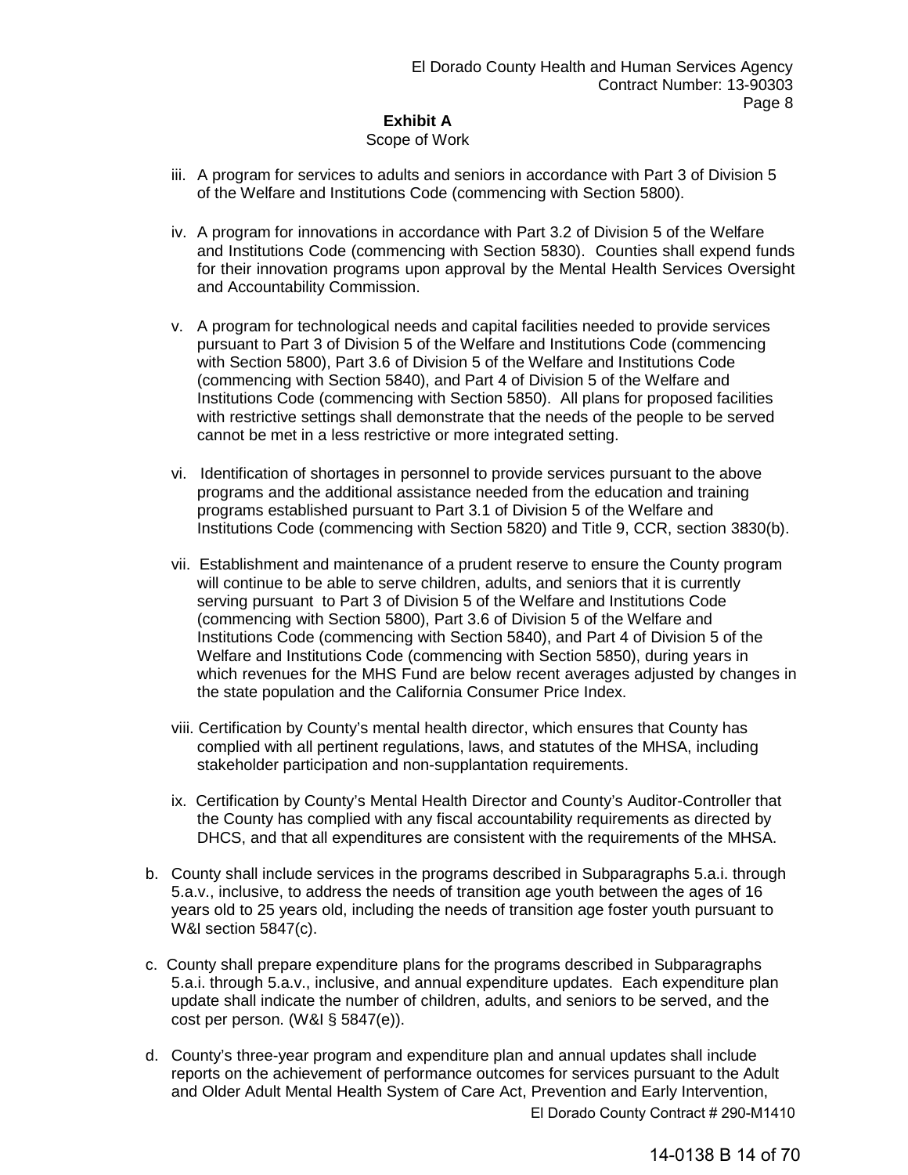#### **Exhibit A** Scope of Work

- iii. A program for services to adults and seniors in accordance with Part 3 of Division 5 of the Welfare and Institutions Code (commencing with Section 5800).
- iv. A program for innovations in accordance with Part 3.2 of Division 5 of the Welfare and Institutions Code (commencing with Section 5830). Counties shall expend funds for their innovation programs upon approval by the Mental Health Services Oversight and Accountability Commission.
- v. A program for technological needs and capital facilities needed to provide services pursuant to Part 3 of Division 5 of the Welfare and Institutions Code (commencing with Section 5800), Part 3.6 of Division 5 of the Welfare and Institutions Code (commencing with Section 5840), and Part 4 of Division 5 of the Welfare and Institutions Code (commencing with Section 5850). All plans for proposed facilities with restrictive settings shall demonstrate that the needs of the people to be served cannot be met in a less restrictive or more integrated setting.
- vi. Identification of shortages in personnel to provide services pursuant to the above programs and the additional assistance needed from the education and training programs established pursuant to Part 3.1 of Division 5 of the Welfare and Institutions Code (commencing with Section 5820) and Title 9, CCR, section 3830(b).
- vii. Establishment and maintenance of a prudent reserve to ensure the County program will continue to be able to serve children, adults, and seniors that it is currently serving pursuant to Part 3 of Division 5 of the Welfare and Institutions Code (commencing with Section 5800), Part 3.6 of Division 5 of the Welfare and Institutions Code (commencing with Section 5840), and Part 4 of Division 5 of the Welfare and Institutions Code (commencing with Section 5850), during years in which revenues for the MHS Fund are below recent averages adjusted by changes in the state population and the California Consumer Price Index.
- viii. Certification by County's mental health director, which ensures that County has complied with all pertinent regulations, laws, and statutes of the MHSA, including stakeholder participation and non-supplantation requirements.
- ix. Certification by County's Mental Health Director and County's Auditor-Controller that the County has complied with any fiscal accountability requirements as directed by DHCS, and that all expenditures are consistent with the requirements of the MHSA.
- b. County shall include services in the programs described in Subparagraphs 5.a.i. through 5.a.v., inclusive, to address the needs of transition age youth between the ages of 16 years old to 25 years old, including the needs of transition age foster youth pursuant to W&I section 5847(c).
- c. County shall prepare expenditure plans for the programs described in Subparagraphs 5.a.i. through 5.a.v., inclusive, and annual expenditure updates. Each expenditure plan update shall indicate the number of children, adults, and seniors to be served, and the cost per person. (W&I § 5847(e)).
- d. County's three-year program and expenditure plan and annual updates shall include reports on the achievement of performance outcomes for services pursuant to the Adult and Older Adult Mental Health System of Care Act, Prevention and Early Intervention,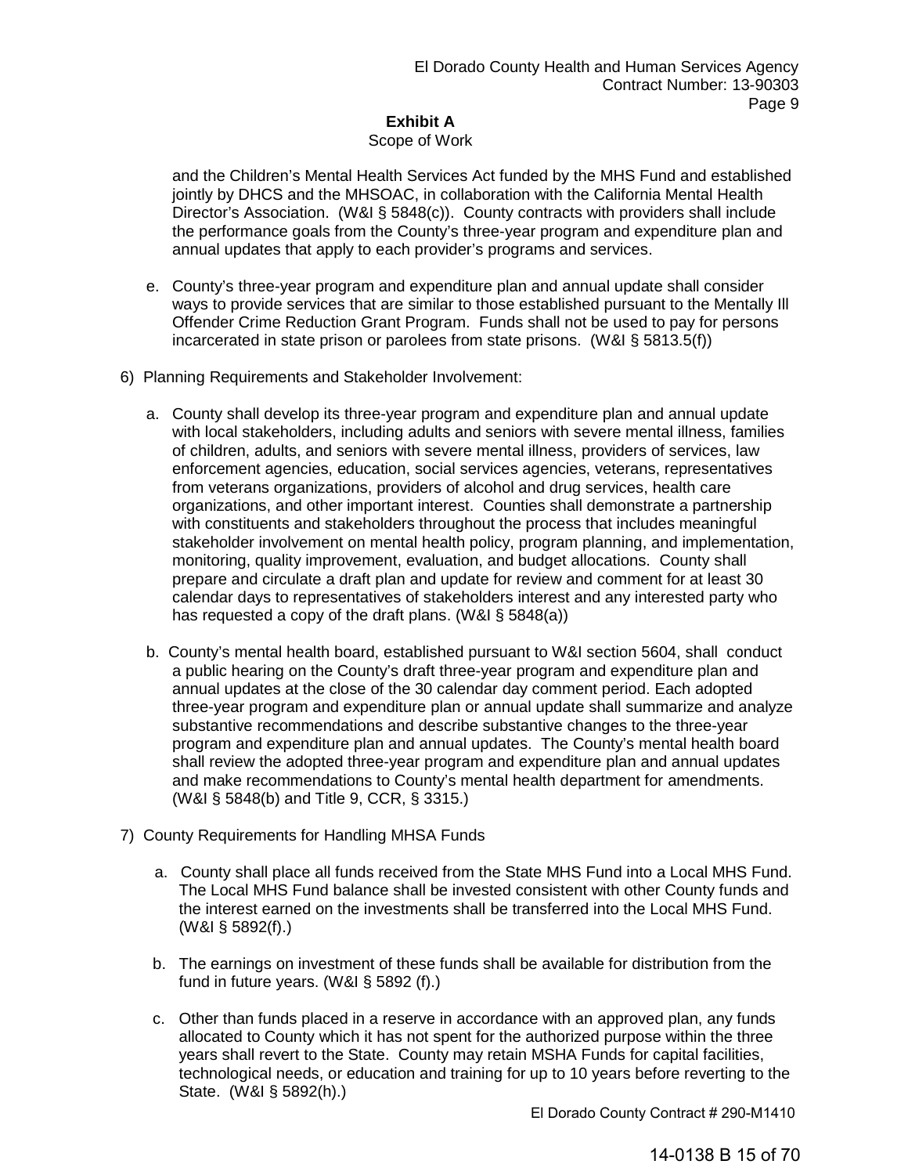# Scope of Work

and the Children's Mental Health Services Act funded by the MHS Fund and established jointly by DHCS and the MHSOAC, in collaboration with the California Mental Health Director's Association. (W&I § 5848(c)). County contracts with providers shall include the performance goals from the County's three-year program and expenditure plan and annual updates that apply to each provider's programs and services.

- e. County's three-year program and expenditure plan and annual update shall consider ways to provide services that are similar to those established pursuant to the Mentally Ill Offender Crime Reduction Grant Program. Funds shall not be used to pay for persons incarcerated in state prison or parolees from state prisons. (W&I § 5813.5(f))
- 6) Planning Requirements and Stakeholder Involvement:
	- a. County shall develop its three-year program and expenditure plan and annual update with local stakeholders, including adults and seniors with severe mental illness, families of children, adults, and seniors with severe mental illness, providers of services, law enforcement agencies, education, social services agencies, veterans, representatives from veterans organizations, providers of alcohol and drug services, health care organizations, and other important interest. Counties shall demonstrate a partnership with constituents and stakeholders throughout the process that includes meaningful stakeholder involvement on mental health policy, program planning, and implementation, monitoring, quality improvement, evaluation, and budget allocations. County shall prepare and circulate a draft plan and update for review and comment for at least 30 calendar days to representatives of stakeholders interest and any interested party who has requested a copy of the draft plans. (W&I § 5848(a))
	- b. County's mental health board, established pursuant to W&I section 5604, shall conduct a public hearing on the County's draft three-year program and expenditure plan and annual updates at the close of the 30 calendar day comment period. Each adopted three-year program and expenditure plan or annual update shall summarize and analyze substantive recommendations and describe substantive changes to the three-year program and expenditure plan and annual updates. The County's mental health board shall review the adopted three-year program and expenditure plan and annual updates and make recommendations to County's mental health department for amendments. (W&I § 5848(b) and Title 9, CCR, § 3315.)
- 7) County Requirements for Handling MHSA Funds
	- a. County shall place all funds received from the State MHS Fund into a Local MHS Fund. The Local MHS Fund balance shall be invested consistent with other County funds and the interest earned on the investments shall be transferred into the Local MHS Fund. (W&I § 5892(f).)
	- b. The earnings on investment of these funds shall be available for distribution from the fund in future years. (W&I § 5892 (f).)
	- c. Other than funds placed in a reserve in accordance with an approved plan, any funds allocated to County which it has not spent for the authorized purpose within the three years shall revert to the State. County may retain MSHA Funds for capital facilities, technological needs, or education and training for up to 10 years before reverting to the State. (W&I § 5892(h).)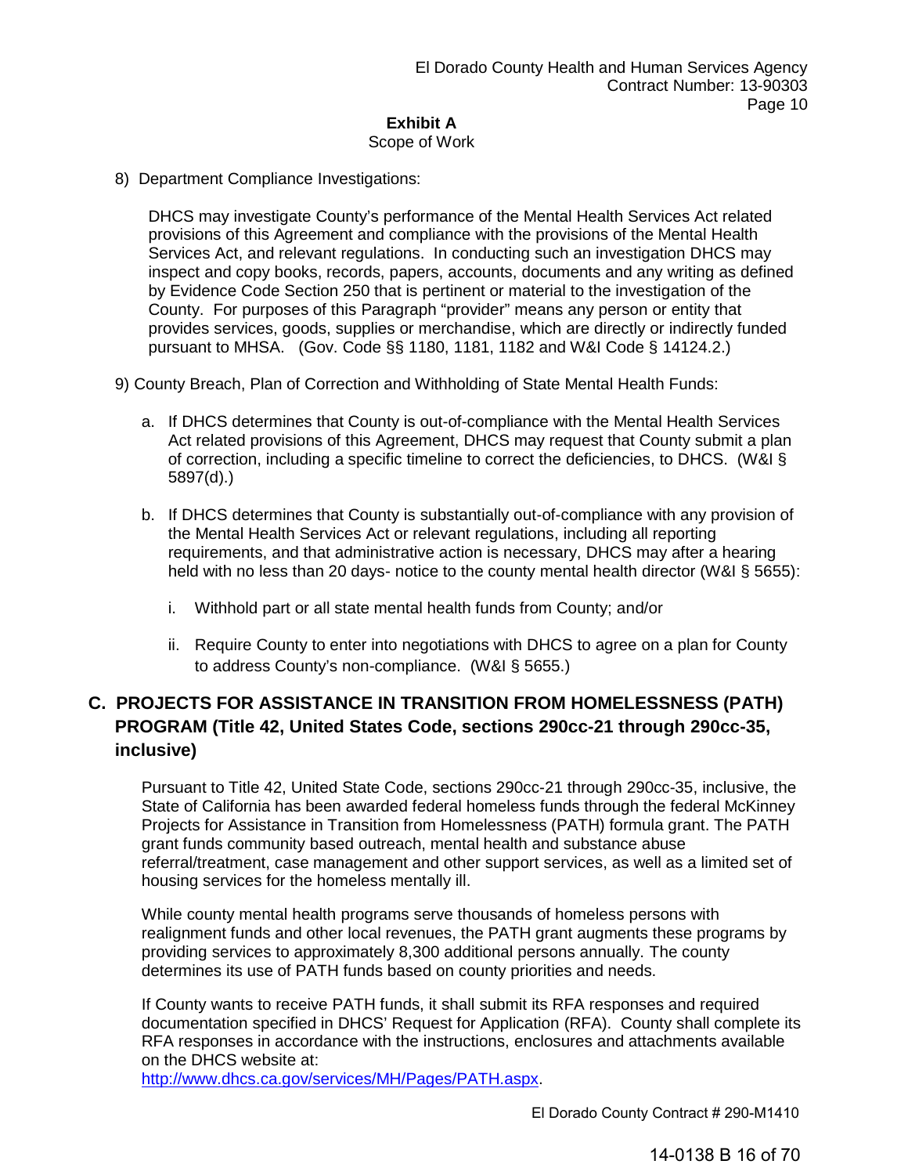# Scope of Work

8) Department Compliance Investigations:

DHCS may investigate County's performance of the Mental Health Services Act related provisions of this Agreement and compliance with the provisions of the Mental Health Services Act, and relevant regulations. In conducting such an investigation DHCS may inspect and copy books, records, papers, accounts, documents and any writing as defined by Evidence Code Section 250 that is pertinent or material to the investigation of the County. For purposes of this Paragraph "provider" means any person or entity that provides services, goods, supplies or merchandise, which are directly or indirectly funded pursuant to MHSA. (Gov. Code §§ 1180, 1181, 1182 and W&I Code § 14124.2.)

9) County Breach, Plan of Correction and Withholding of State Mental Health Funds:

- a. If DHCS determines that County is out-of-compliance with the Mental Health Services Act related provisions of this Agreement, DHCS may request that County submit a plan of correction, including a specific timeline to correct the deficiencies, to DHCS. (W&I § 5897(d).)
- b. If DHCS determines that County is substantially out-of-compliance with any provision of the Mental Health Services Act or relevant regulations, including all reporting requirements, and that administrative action is necessary, DHCS may after a hearing held with no less than 20 days- notice to the county mental health director (W&I § 5655):
	- i. Withhold part or all state mental health funds from County; and/or
	- ii. Require County to enter into negotiations with DHCS to agree on a plan for County to address County's non-compliance. (W&I § 5655.)

# **C. PROJECTS FOR ASSISTANCE IN TRANSITION FROM HOMELESSNESS (PATH) PROGRAM (Title 42, United States Code, sections 290cc-21 through 290cc-35, inclusive)**

Pursuant to Title 42, United State Code, sections 290cc-21 through 290cc-35, inclusive, the State of California has been awarded federal homeless funds through the federal McKinney Projects for Assistance in Transition from Homelessness (PATH) formula grant. The PATH grant funds community based outreach, mental health and substance abuse referral/treatment, case management and other support services, as well as a limited set of housing services for the homeless mentally ill.

While county mental health programs serve thousands of homeless persons with realignment funds and other local revenues, the PATH grant augments these programs by providing services to approximately 8,300 additional persons annually. The county determines its use of PATH funds based on county priorities and needs.

If County wants to receive PATH funds, it shall submit its RFA responses and required documentation specified in DHCS' Request for Application (RFA). County shall complete its RFA responses in accordance with the instructions, enclosures and attachments available on the DHCS website at:

http://www.dhcs.ca.gov/services/MH/Pages/PATH.aspx.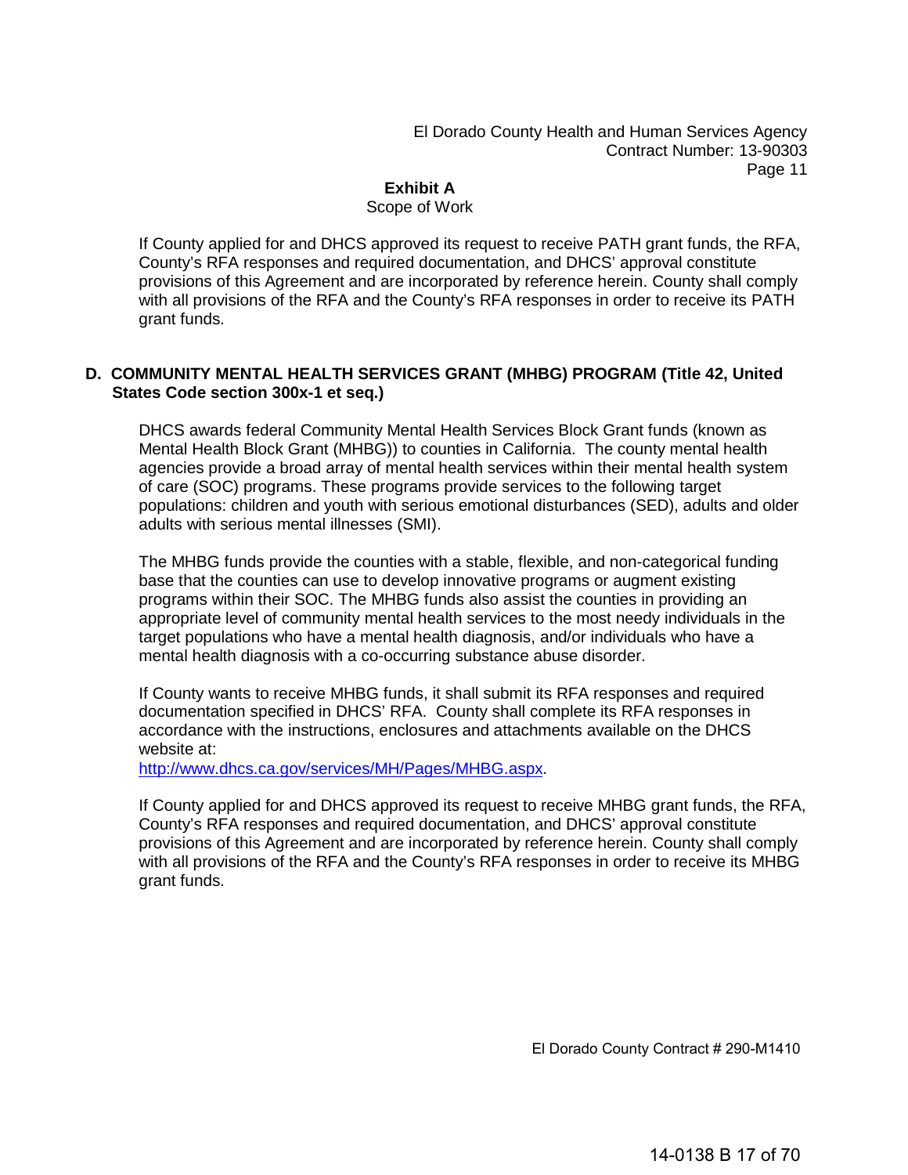El Dorado County Health and Human Services Agency Contract Number: 13-90303 Page 11

# **Exhibit A**

# Scope of Work

If County applied for and DHCS approved its request to receive PATH grant funds, the RFA, County's RFA responses and required documentation, and DHCS' approval constitute provisions of this Agreement and are incorporated by reference herein. County shall comply with all provisions of the RFA and the County's RFA responses in order to receive its PATH grant funds.

# **D. COMMUNITY MENTAL HEALTH SERVICES GRANT (MHBG) PROGRAM (Title 42, United States Code section 300x-1 et seq.)**

DHCS awards federal Community Mental Health Services Block Grant funds (known as Mental Health Block Grant (MHBG)) to counties in California. The county mental health agencies provide a broad array of mental health services within their mental health system of care (SOC) programs. These programs provide services to the following target populations: children and youth with serious emotional disturbances (SED), adults and older adults with serious mental illnesses (SMI).

The MHBG funds provide the counties with a stable, flexible, and non-categorical funding base that the counties can use to develop innovative programs or augment existing programs within their SOC. The MHBG funds also assist the counties in providing an appropriate level of community mental health services to the most needy individuals in the target populations who have a mental health diagnosis, and/or individuals who have a mental health diagnosis with a co-occurring substance abuse disorder.

If County wants to receive MHBG funds, it shall submit its RFA responses and required documentation specified in DHCS' RFA. County shall complete its RFA responses in accordance with the instructions, enclosures and attachments available on the DHCS website at:

http://www.dhcs.ca.gov/services/MH/Pages/MHBG.aspx.

If County applied for and DHCS approved its request to receive MHBG grant funds, the RFA, County's RFA responses and required documentation, and DHCS' approval constitute provisions of this Agreement and are incorporated by reference herein. County shall comply with all provisions of the RFA and the County's RFA responses in order to receive its MHBG grant funds.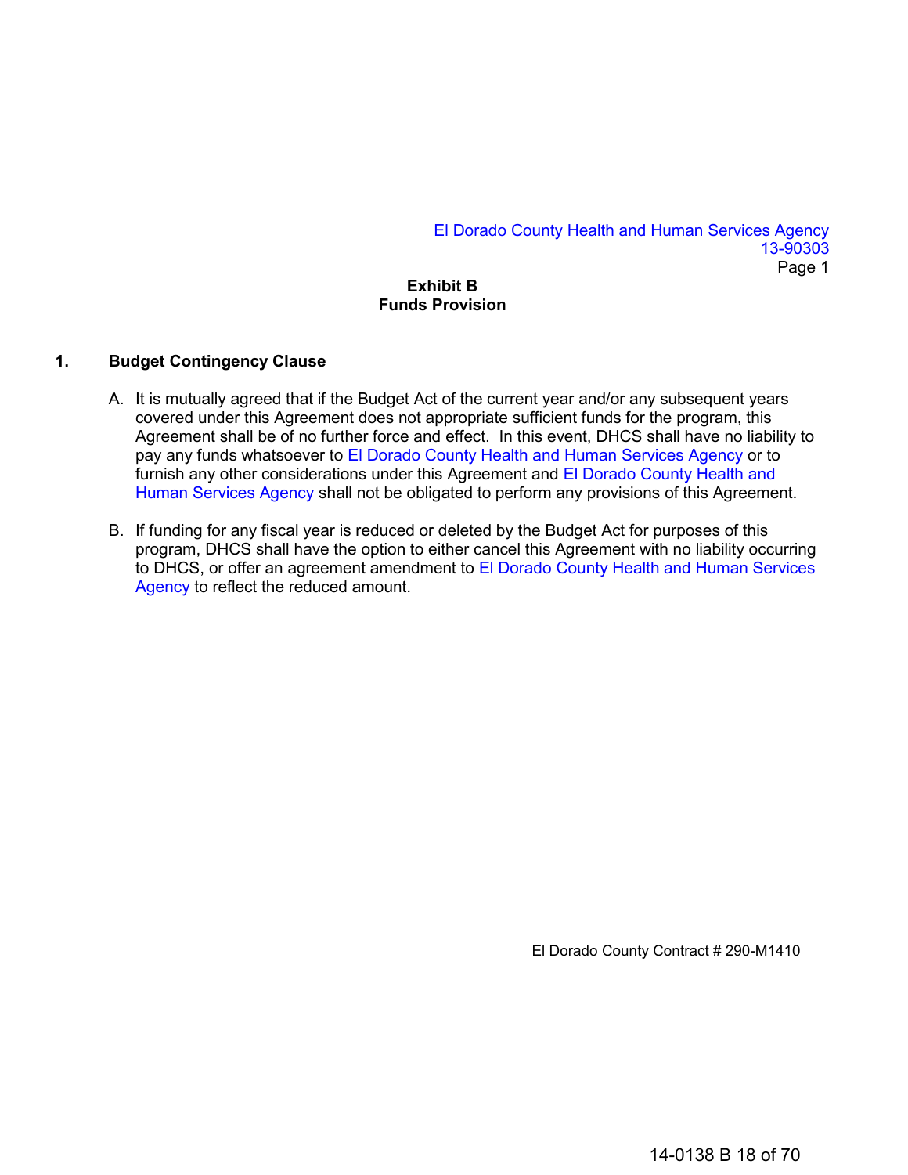El Dorado County Health and Human Services Agency 13-90303 Page 1

# **Exhibit B Funds Provision**

# **1. Budget Contingency Clause**

- A. It is mutually agreed that if the Budget Act of the current year and/or any subsequent years covered under this Agreement does not appropriate sufficient funds for the program, this Agreement shall be of no further force and effect. In this event, DHCS shall have no liability to pay any funds whatsoever to El Dorado County Health and Human Services Agency or to furnish any other considerations under this Agreement and El Dorado County Health and Human Services Agency shall not be obligated to perform any provisions of this Agreement.
- B. If funding for any fiscal year is reduced or deleted by the Budget Act for purposes of this program, DHCS shall have the option to either cancel this Agreement with no liability occurring to DHCS, or offer an agreement amendment to El Dorado County Health and Human Services Agency to reflect the reduced amount.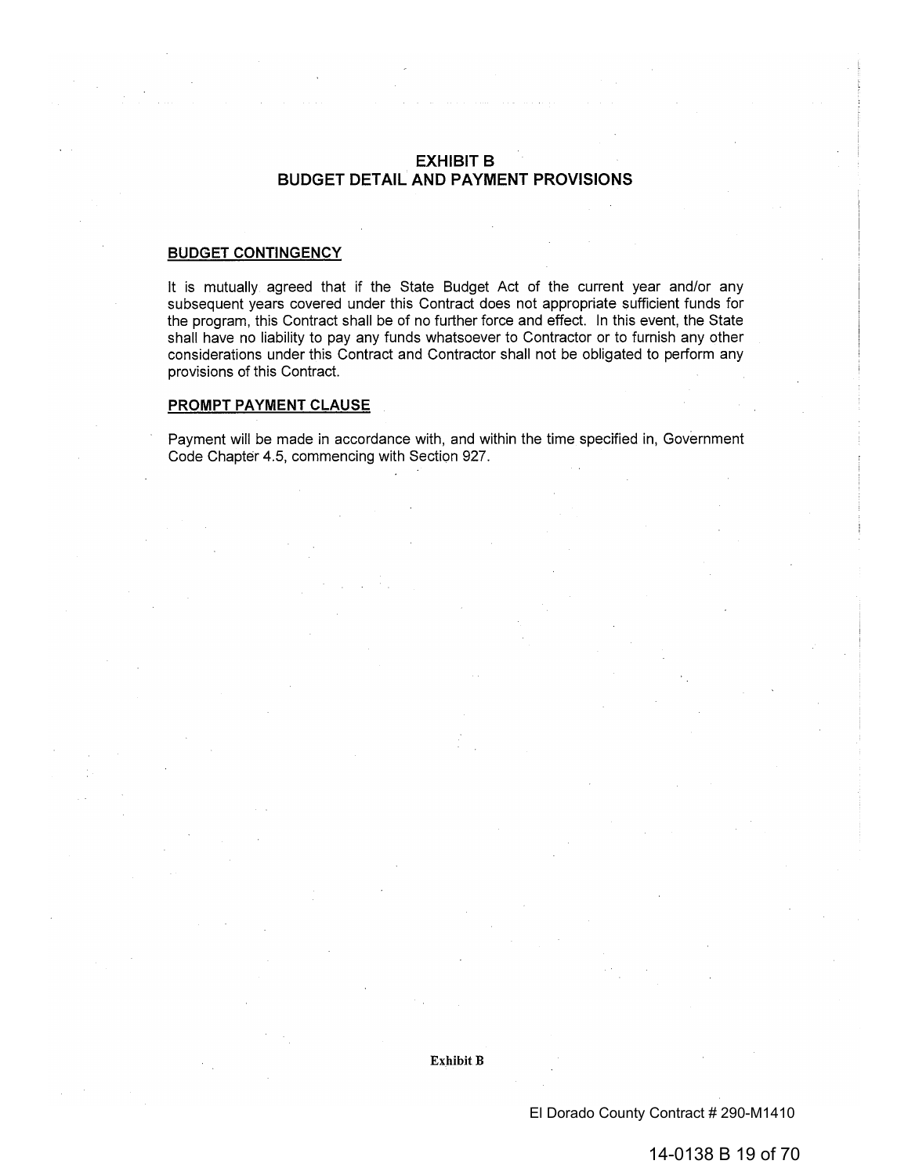# **EXHIBIT B BUDGET DETAIL AND PAYMENT PROVISIONS**

## **BUDGET CONTINGENCY**

It is mutually agreed that if the State Budget Act of the current year and/or any subsequent years covered under this Contract does not appropriate sufficient funds for the program, this Contract shall be of no further force and effect. In this event, the State shall have no liability to pay any funds whatsoever to Contractor or to furnish any other considerations under this Contract and Contractor shall not be obligated to perform any provisions of this Contract.

## PROMPT PAYMENT CLAUSE

Payment will be made in accordance with, and within the time specified in, Government Code Chapter 4.5, commencing with Section 927.

Exhibit B

El Dorado County Contract # 290-M1410

14-0138 B 19 of 70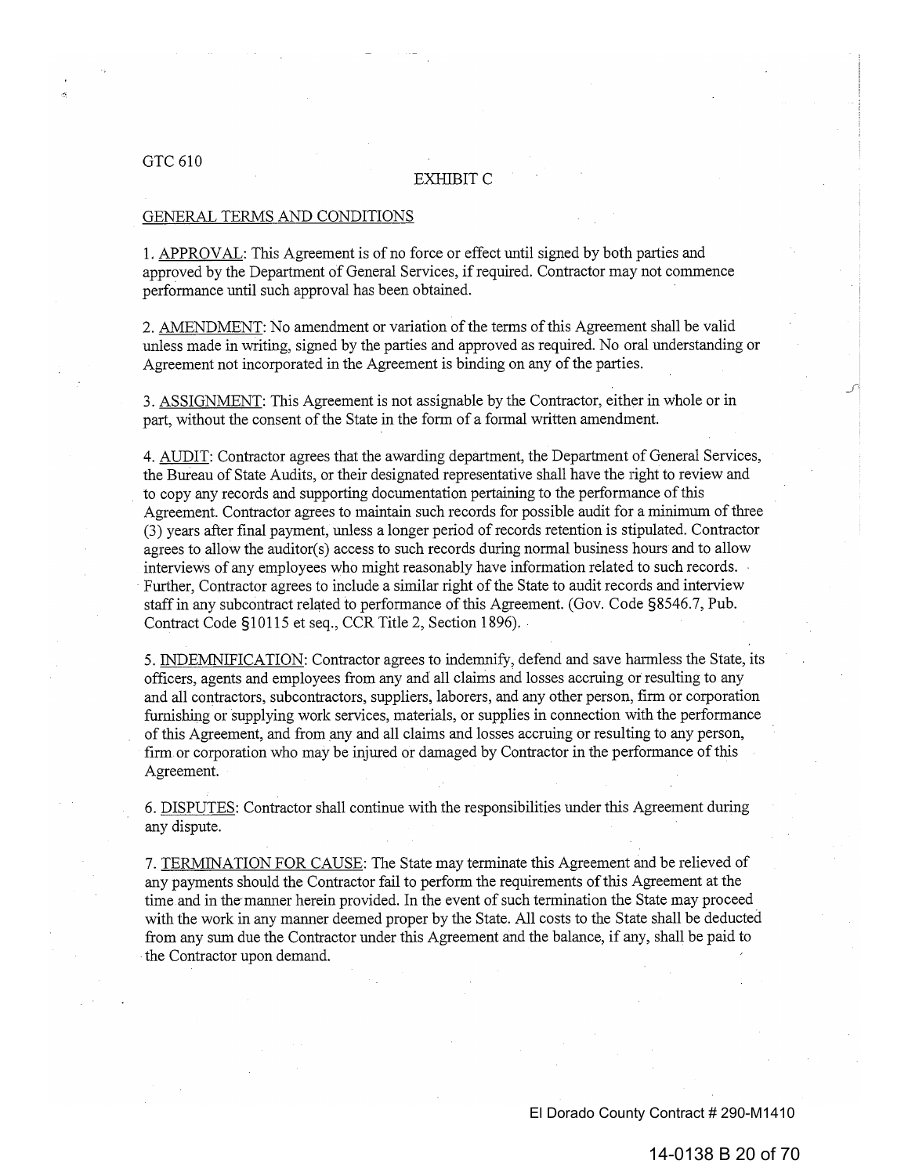## GTC 610

#### **EXHIBIT C**

## GENERAL TERMS AND CONDITIONS

1. APPROVAL: This Agreement is of no force or effect until signed by both parties and approved by the Department of General Services, if required. Contractor may not commence performance until such approval has been obtained.

2. AMENDMENT: No amendment or variation of the terms of this Agreement shall be valid unless made in writing, signed by the parties and approved as required. No oral understanding or Agreement not incorporated in the Agreement is binding on any of the parties.

3. ASSIGNMENT: This Agreement is not assignable by the Contractor, either in whole or in part, without the consent of the State in the form of a formal written amendment.

4. AUDIT: Contractor agrees that the awarding department, the Department of General Services, the Bureau of State Audits, or their designated representative shall have the right to review and to copy any records and supporting documentation pertaining to the performance of this Agreement. Contractor agrees to maintain such records for possible audit for a minimum of three (3) years after final payment, unless a longer period of records retention is stipulated. Contractor agrees to allow the auditor(s) access to such records during normal business hours and to allow interviews of any employees who might reasonably have information related to such records. Further, Contractor agrees to include a similar right of the State to audit records and interview staff in any subcontract related to performance of this Agreement. (Gov. Code §8546.7, Pub. Contract Code §10115 et seq., CCR Title 2, Section 1896).

5. INDEMNIFICATION: Contractor agrees to indemnify, defend and save harmless the State, its officers, agents and employees from any and all claims and losses accruing or resulting to any and all contractors, subcontractors, suppliers, laborers, and any other person, firm or corporation furnishing or supplying work services, materials, or supplies in connection with the performance of this Agreement, and from any and all claims and losses accruing or resulting to any person, firm or corporation who may be injured or damaged by Contractor in the performance of this Agreement.

6. DISPUTES: Contractor shall continue with the responsibilities under this Agreement during any dispute.

7. TERMINATION FOR CAUSE: The State may terminate this Agreement and be relieved of any payments should the Contractor fail to perform the requirements of this Agreement at the time and in the manner herein provided. In the event of such termination the State may proceed with the work in any manner deemed proper by the State. All costs to the State shall be deducted from any sum due the Contractor under this Agreement and the balance, if any, shall be paid to the Contractor upon demand.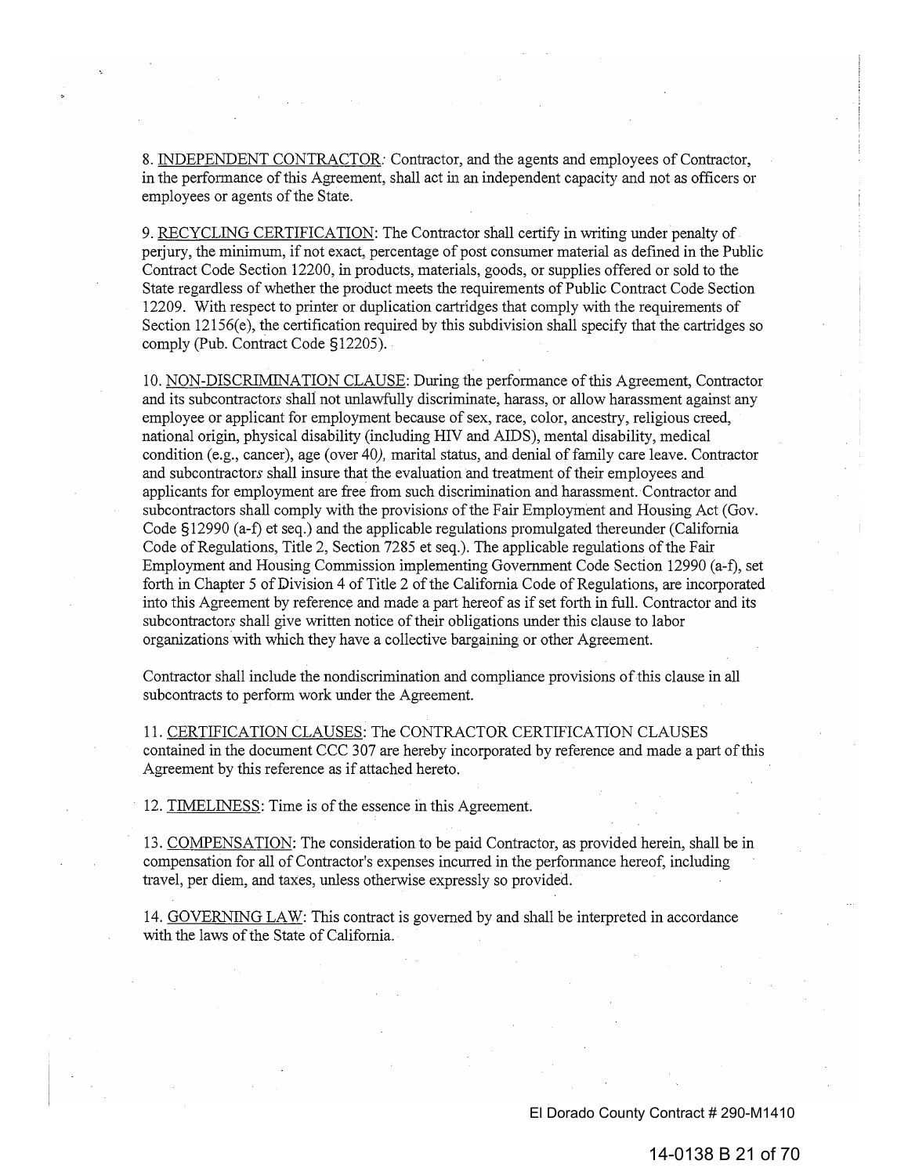8. INDEPENDENT CONTRACTOR: Contractor, and the agents and employees of Contractor, in the performance of this Agreement, shall act in an independent capacity and not as officers or employees or agents of the State.

9. RECYCLING CERTIFICATION: The Contractor shall certify in writing under penalty of perjury, the minimum, if not exact, percentage of post consumer material as defined in the Public Contract Code Section 12200, in products, materials, goods, or supplies offered or sold to the State regardless of whether the product meets the requirements of Public Contract Code Section 12209. With respect to printer or duplication cartridges that comply with the requirements of Section  $12156(e)$ , the certification required by this subdivision shall specify that the cartridges so comply (Pub. Contract Code §12205).

10. NON-DISCRIMINATION CLAUSE: During the performance of this Agreement, Contractor and its subcontractors shall not unlawfully discriminate, harass, or allow harassment against any employee or applicant for employment because of sex, race, color, ancestry, religious creed, national origin, physical disability (including HIV and AIDS), mental disability, medical condition (e.g., cancer), age (over 40), marital status, and denial of family care leave. Contractor and subcontractors shall insure that the evaluation and treatment of their employees and applicants for employment are free from such discrimination and harassment. Contractor and subcontractors shall comply with the provisions of the Fair Employment and Housing Act (Gov. Code §12990 (a-f) et seq.) and the applicable regulations promulgated thereunder (California Code of Regulations, Title 2, Section 7285 et seq.). The applicable regulations of the Fair Employment and Housing Commission implementing Government Code Section 12990 (a-f), set forth in Chapter 5 of Division 4 of Title 2 of the California Code of Regulations, are incorporated into this Agreement by reference and made a part hereof as if set forth in full. Contractor and its subcontractors shall give written notice of their obligations under this clause to labor organizations with which they have a collective bargaining or other Agreement.

Contractor shall include the nondiscrimination and compliance provisions of this clause in all subcontracts to perform work under the Agreement.

11. CERTIFICATION CLAUSES: The CONTRACTOR CERTIFICATION CLAUSES contained in the document CCC 307 are hereby incorporated by reference and made a part of this Agreement by this reference as if attached hereto.

12. TIMELINESS: Time is of the essence in this Agreement.

13. COMPENSATION: The consideration to be paid Contractor, as provided herein, shall be in compensation for all of Contractor's expenses incurred in the performance hereof, including travel, per diem, and taxes, unless otherwise expressly so provided.

14. GOVERNING LAW: This contract is governed by and shall be interpreted in accordance with the laws of the State of California.

El Dorado County Contract # 290-M1410

14-0138 B 21 of 70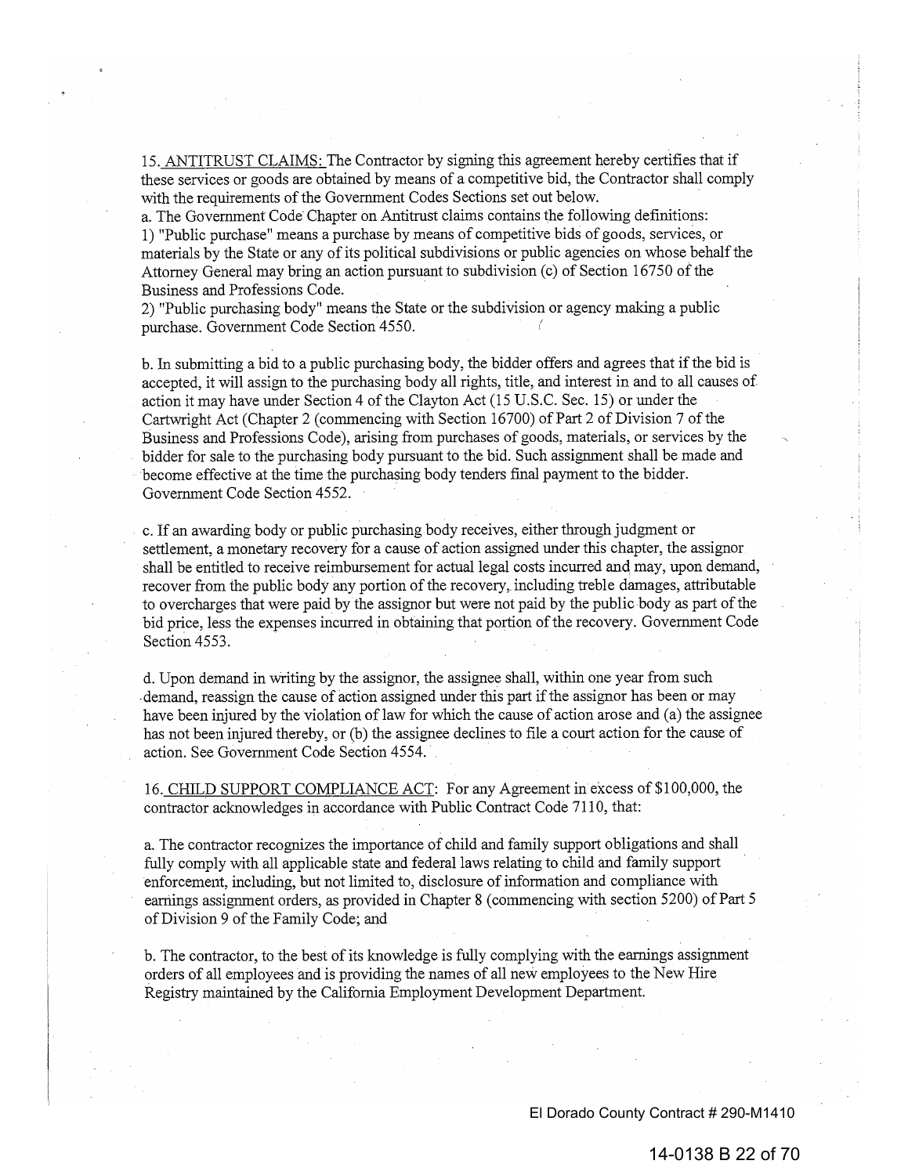15. ANTITRUST CLAIMS: The Contractor by signing this agreement hereby certifies that if these services or goods are obtained by means of a competitive bid, the Contractor shall comply with the requirements of the Government Codes Sections set out below.

a. The Government Code Chapter on Antitrust claims contains the following definitions: 1) "Public purchase" means a purchase by means of competitive bids of goods, services, or materials by the State or any of its political subdivisions or public agencies on whose behalf the Attorney General may bring an action pursuant to subdivision (c) of Section 16750 of the Business and Professions Code.

2) "Public purchasing body" means the State or the subdivision or agency making a public purchase. Government Code Section 4550.

b. In submitting a bid to a public purchasing body, the bidder offers and agrees that if the bid is accepted, it will assign to the purchasing body all rights, title, and interest in and to all causes of action it may have under Section 4 of the Clayton Act (15 U.S.C. Sec. 15) or under the Cartwright Act (Chapter 2 (commencing with Section 16700) of Part 2 of Division 7 of the Business and Professions Code), arising from purchases of goods, materials, or services by the bidder for sale to the purchasing body pursuant to the bid. Such assignment shall be made and become effective at the time the purchasing body tenders final payment to the bidder. Government Code Section 4552.

c. If an awarding body or public purchasing body receives, either through judgment or settlement, a monetary recovery for a cause of action assigned under this chapter, the assignor shall be entitled to receive reimbursement for actual legal costs incurred and may, upon demand, recover from the public body any portion of the recovery, including treble damages, attributable to overcharges that were paid by the assignor but were not paid by the public body as part of the bid price, less the expenses incurred in obtaining that portion of the recovery. Government Code Section 4553.

d. Upon demand in writing by the assignor, the assignee shall, within one year from such demand, reassign the cause of action assigned under this part if the assignor has been or may have been injured by the violation of law for which the cause of action arose and (a) the assignee has not been injured thereby, or (b) the assignee declines to file a court action for the cause of action. See Government Code Section 4554.

16. CHILD SUPPORT COMPLIANCE ACT: For any Agreement in excess of \$100,000, the contractor acknowledges in accordance with Public Contract Code 7110, that:

a. The contractor recognizes the importance of child and family support obligations and shall fully comply with all applicable state and federal laws relating to child and family support enforcement, including, but not limited to, disclosure of information and compliance with earnings assignment orders, as provided in Chapter 8 (commencing with section 5200) of Part 5 of Division 9 of the Family Code; and

b. The contractor, to the best of its knowledge is fully complying with the earnings assignment orders of all employees and is providing the names of all new employees to the New Hire Registry maintained by the California Employment Development Department.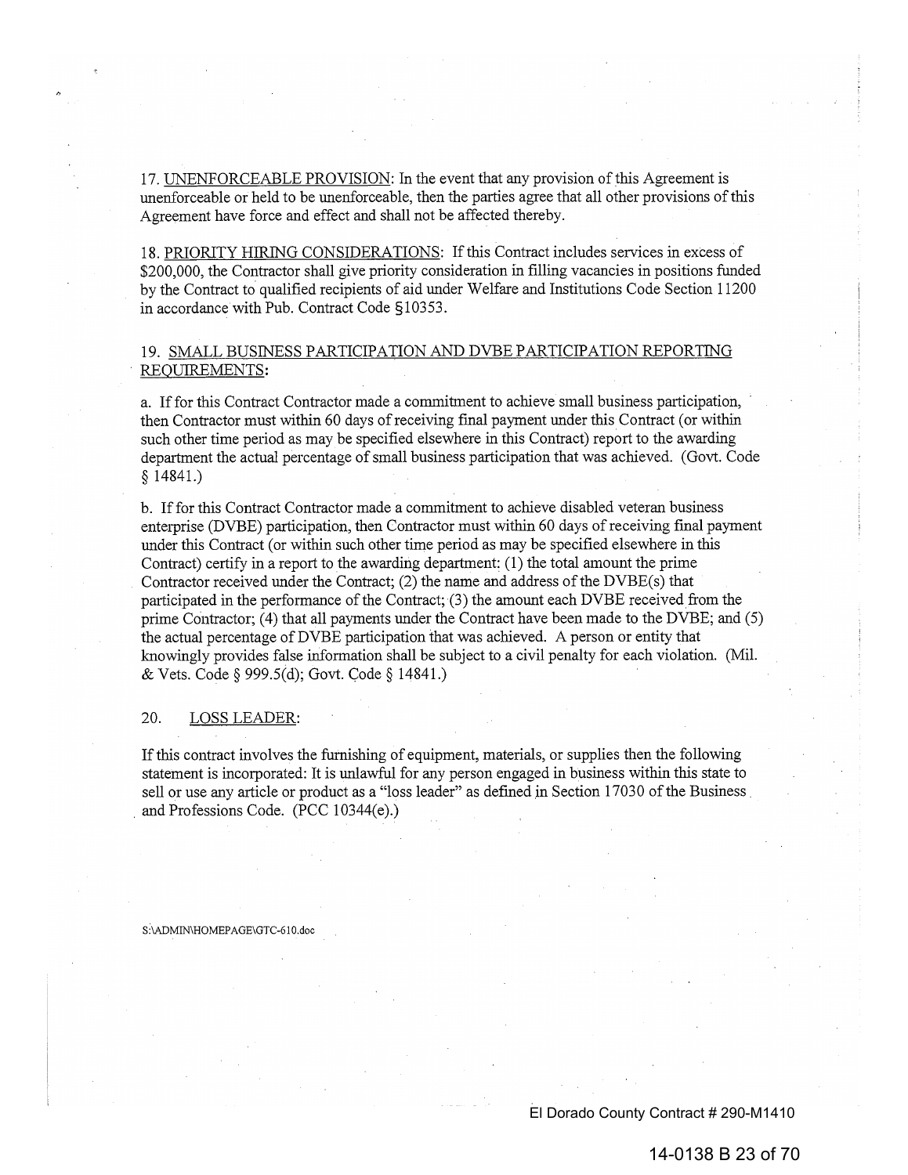17. UNENFORCEABLE PROVISION: In the event that any provision of this Agreement is unenforceable or held to be unenforceable, then the parties agree that all other provisions of this Agreement have force and effect and shall not be affected thereby.

18. PRIORITY HIRING CONSIDERATIONS: If this Contract includes services in excess of \$200,000, the Contractor shall give priority consideration in filling vacancies in positions funded by the Contract to qualified recipients of aid under Welfare and Institutions Code Section 11200 in accordance with Pub. Contract Code §10353.

# 19. SMALL BUSINESS PARTICIPATION AND DVBE PARTICIPATION REPORTING REQUIREMENTS:

a. If for this Contract Contractor made a commitment to achieve small business participation, then Contractor must within 60 days of receiving final payment under this Contract (or within such other time period as may be specified elsewhere in this Contract) report to the awarding department the actual percentage of small business participation that was achieved. (Govt. Code  $$14841.)$ 

b. If for this Contract Contractor made a commitment to achieve disabled veteran business enterprise (DVBE) participation, then Contractor must within 60 days of receiving final payment under this Contract (or within such other time period as may be specified elsewhere in this Contract) certify in a report to the awarding department: (1) the total amount the prime Contractor received under the Contract; (2) the name and address of the DVBE(s) that participated in the performance of the Contract; (3) the amount each DVBE received from the prime Contractor; (4) that all payments under the Contract have been made to the DVBE; and (5) the actual percentage of DVBE participation that was achieved. A person or entity that knowingly provides false information shall be subject to a civil penalty for each violation. (Mil. & Vets. Code § 999.5(d); Govt. Code § 14841.)

#### 20. LOSS LEADER:

If this contract involves the furnishing of equipment, materials, or supplies then the following statement is incorporated: It is unlawful for any person engaged in business within this state to sell or use any article or product as a "loss leader" as defined in Section 17030 of the Business and Professions Code. (PCC 10344(e).)

#### S:\ADMIN\HOMEPAGE\GTC-610.doc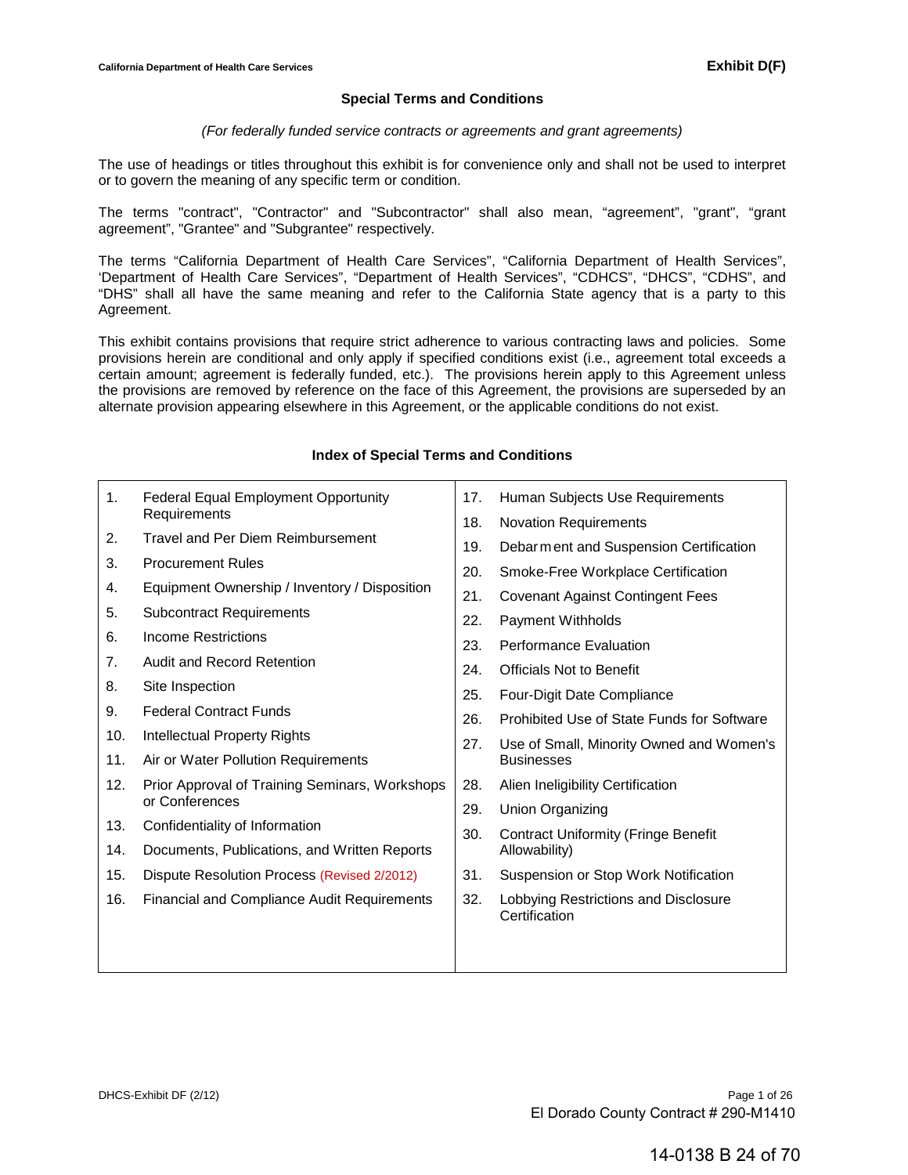## **Special Terms and Conditions**

#### *(For federally funded service contracts or agreements and grant agreements)*

The use of headings or titles throughout this exhibit is for convenience only and shall not be used to interpret or to govern the meaning of any specific term or condition.

The terms "contract", "Contractor" and "Subcontractor" shall also mean, "agreement", "grant", "grant agreement", "Grantee" and "Subgrantee" respectively.

The terms "California Department of Health Care Services", "California Department of Health Services", 'Department of Health Care Services", "Department of Health Services", "CDHCS", "DHCS", "CDHS", and "DHS" shall all have the same meaning and refer to the California State agency that is a party to this Agreement.

This exhibit contains provisions that require strict adherence to various contracting laws and policies. Some provisions herein are conditional and only apply if specified conditions exist (i.e., agreement total exceeds a certain amount; agreement is federally funded, etc.). The provisions herein apply to this Agreement unless the provisions are removed by reference on the face of this Agreement, the provisions are superseded by an alternate provision appearing elsewhere in this Agreement, or the applicable conditions do not exist.

| 1.  | <b>Federal Equal Employment Opportunity</b>        | 17. | Human Subjects Use Requirements                       |
|-----|----------------------------------------------------|-----|-------------------------------------------------------|
|     | Requirements                                       | 18. | <b>Novation Requirements</b>                          |
| 2.  | Travel and Per Diem Reimbursement                  | 19. | Debarm ent and Suspension Certification               |
| 3.  | <b>Procurement Rules</b>                           | 20. | Smoke-Free Workplace Certification                    |
| 4.  | Equipment Ownership / Inventory / Disposition      | 21. | <b>Covenant Against Contingent Fees</b>               |
| 5.  | <b>Subcontract Requirements</b>                    | 22. | Payment Withholds                                     |
| 6.  | Income Restrictions                                |     |                                                       |
| 7.  | Audit and Record Retention                         | 23. | <b>Performance Evaluation</b>                         |
|     |                                                    | 24. | <b>Officials Not to Benefit</b>                       |
| 8.  | Site Inspection                                    | 25. | Four-Digit Date Compliance                            |
| 9.  | <b>Federal Contract Funds</b>                      | 26. | Prohibited Use of State Funds for Software            |
| 10. | Intellectual Property Rights                       | 27. | Use of Small, Minority Owned and Women's              |
| 11. | Air or Water Pollution Requirements                |     | <b>Businesses</b>                                     |
| 12. | Prior Approval of Training Seminars, Workshops     | 28. | Alien Ineligibility Certification                     |
|     | or Conferences                                     | 29. | Union Organizing                                      |
| 13. | Confidentiality of Information                     | 30. | <b>Contract Uniformity (Fringe Benefit</b>            |
| 14. | Documents, Publications, and Written Reports       |     | Allowability)                                         |
| 15. | Dispute Resolution Process (Revised 2/2012)        | 31. | Suspension or Stop Work Notification                  |
| 16. | <b>Financial and Compliance Audit Requirements</b> | 32. | Lobbying Restrictions and Disclosure<br>Certification |
|     |                                                    |     |                                                       |
|     |                                                    |     |                                                       |
|     |                                                    |     |                                                       |

#### **Index of Special Terms and Conditions**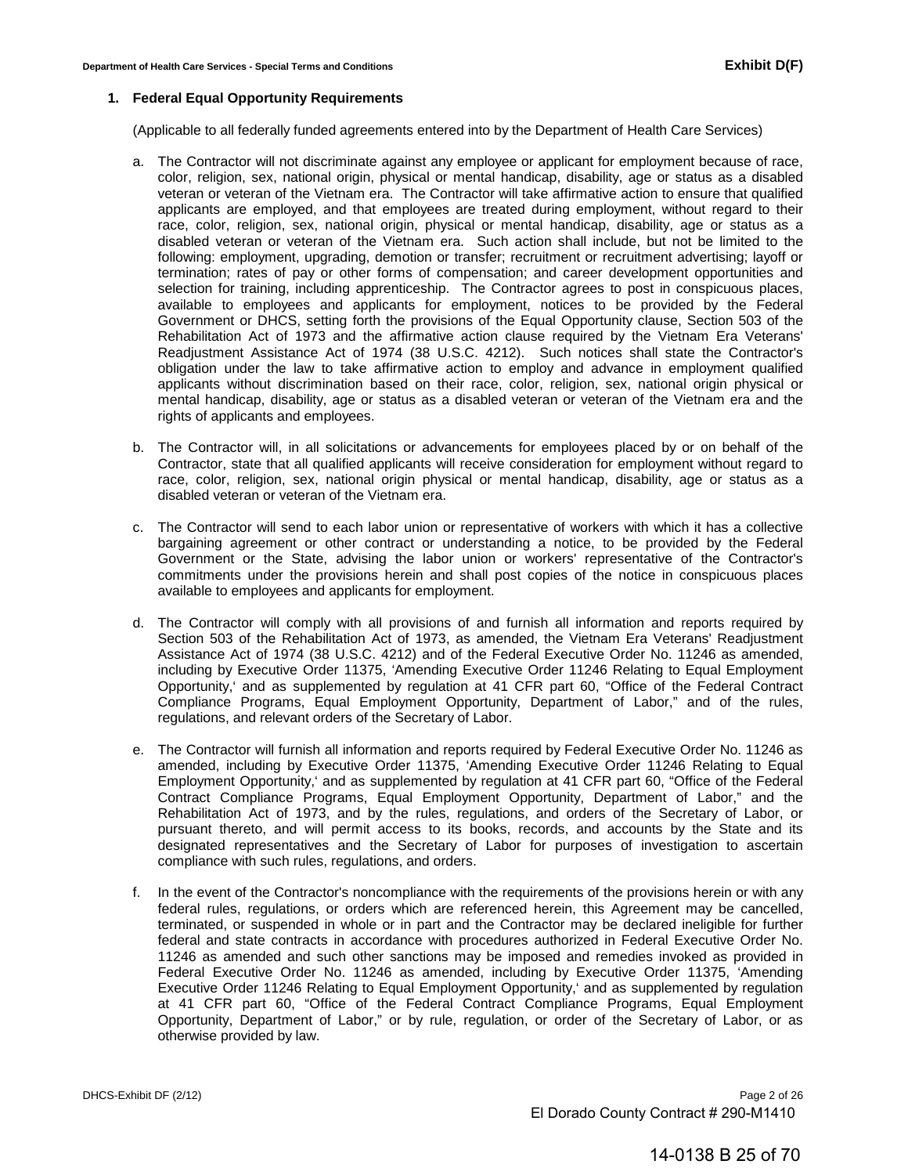#### **1. Federal Equal Opportunity Requirements**

(Applicable to all federally funded agreements entered into by the Department of Health Care Services)

- a. The Contractor will not discriminate against any employee or applicant for employment because of race, color, religion, sex, national origin, physical or mental handicap, disability, age or status as a disabled veteran or veteran of the Vietnam era. The Contractor will take affirmative action to ensure that qualified applicants are employed, and that employees are treated during employment, without regard to their race, color, religion, sex, national origin, physical or mental handicap, disability, age or status as a disabled veteran or veteran of the Vietnam era. Such action shall include, but not be limited to the following: employment, upgrading, demotion or transfer; recruitment or recruitment advertising; layoff or termination; rates of pay or other forms of compensation; and career development opportunities and selection for training, including apprenticeship. The Contractor agrees to post in conspicuous places, available to employees and applicants for employment, notices to be provided by the Federal Government or DHCS, setting forth the provisions of the Equal Opportunity clause, Section 503 of the Rehabilitation Act of 1973 and the affirmative action clause required by the Vietnam Era Veterans' Readjustment Assistance Act of 1974 (38 U.S.C. 4212). Such notices shall state the Contractor's obligation under the law to take affirmative action to employ and advance in employment qualified applicants without discrimination based on their race, color, religion, sex, national origin physical or mental handicap, disability, age or status as a disabled veteran or veteran of the Vietnam era and the rights of applicants and employees.
- b. The Contractor will, in all solicitations or advancements for employees placed by or on behalf of the Contractor, state that all qualified applicants will receive consideration for employment without regard to race, color, religion, sex, national origin physical or mental handicap, disability, age or status as a disabled veteran or veteran of the Vietnam era.
- c. The Contractor will send to each labor union or representative of workers with which it has a collective bargaining agreement or other contract or understanding a notice, to be provided by the Federal Government or the State, advising the labor union or workers' representative of the Contractor's commitments under the provisions herein and shall post copies of the notice in conspicuous places available to employees and applicants for employment.
- d. The Contractor will comply with all provisions of and furnish all information and reports required by Section 503 of the Rehabilitation Act of 1973, as amended, the Vietnam Era Veterans' Readjustment Assistance Act of 1974 (38 U.S.C. 4212) and of the Federal Executive Order No. 11246 as amended, including by Executive Order 11375, 'Amending Executive Order 11246 Relating to Equal Employment Opportunity,' and as supplemented by regulation at 41 CFR part 60, "Office of the Federal Contract Compliance Programs, Equal Employment Opportunity, Department of Labor," and of the rules, regulations, and relevant orders of the Secretary of Labor.
- e. The Contractor will furnish all information and reports required by Federal Executive Order No. 11246 as amended, including by Executive Order 11375, 'Amending Executive Order 11246 Relating to Equal Employment Opportunity,' and as supplemented by regulation at 41 CFR part 60, "Office of the Federal Contract Compliance Programs, Equal Employment Opportunity, Department of Labor," and the Rehabilitation Act of 1973, and by the rules, regulations, and orders of the Secretary of Labor, or pursuant thereto, and will permit access to its books, records, and accounts by the State and its designated representatives and the Secretary of Labor for purposes of investigation to ascertain compliance with such rules, regulations, and orders.
- f. In the event of the Contractor's noncompliance with the requirements of the provisions herein or with any federal rules, regulations, or orders which are referenced herein, this Agreement may be cancelled, terminated, or suspended in whole or in part and the Contractor may be declared ineligible for further federal and state contracts in accordance with procedures authorized in Federal Executive Order No. 11246 as amended and such other sanctions may be imposed and remedies invoked as provided in Federal Executive Order No. 11246 as amended, including by Executive Order 11375, 'Amending Executive Order 11246 Relating to Equal Employment Opportunity,' and as supplemented by regulation at 41 CFR part 60, "Office of the Federal Contract Compliance Programs, Equal Employment Opportunity, Department of Labor," or by rule, regulation, or order of the Secretary of Labor, or as otherwise provided by law.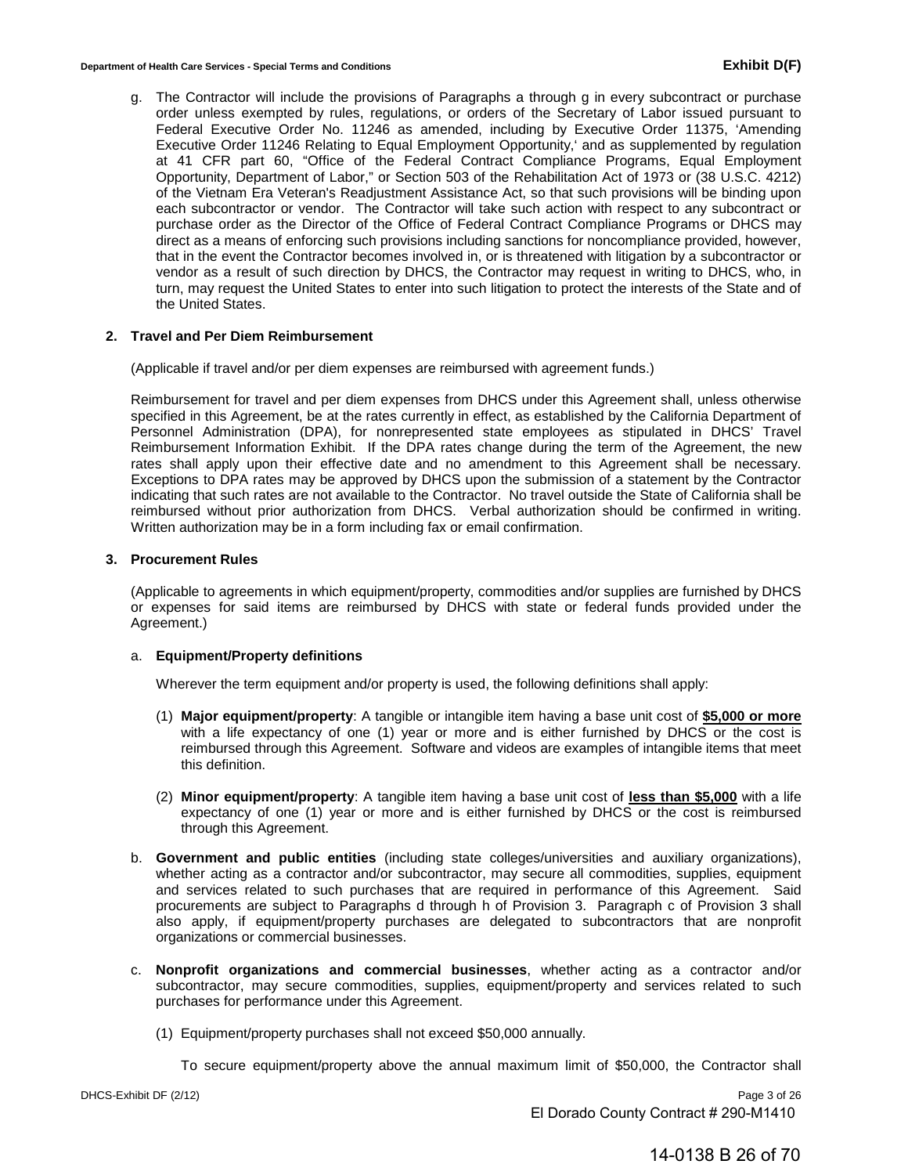g. The Contractor will include the provisions of Paragraphs a through g in every subcontract or purchase order unless exempted by rules, regulations, or orders of the Secretary of Labor issued pursuant to Federal Executive Order No. 11246 as amended, including by Executive Order 11375, 'Amending Executive Order 11246 Relating to Equal Employment Opportunity,' and as supplemented by regulation at 41 CFR part 60, "Office of the Federal Contract Compliance Programs, Equal Employment Opportunity, Department of Labor," or Section 503 of the Rehabilitation Act of 1973 or (38 U.S.C. 4212) of the Vietnam Era Veteran's Readjustment Assistance Act, so that such provisions will be binding upon each subcontractor or vendor. The Contractor will take such action with respect to any subcontract or purchase order as the Director of the Office of Federal Contract Compliance Programs or DHCS may direct as a means of enforcing such provisions including sanctions for noncompliance provided, however, that in the event the Contractor becomes involved in, or is threatened with litigation by a subcontractor or vendor as a result of such direction by DHCS, the Contractor may request in writing to DHCS, who, in turn, may request the United States to enter into such litigation to protect the interests of the State and of the United States.

#### **2. Travel and Per Diem Reimbursement**

(Applicable if travel and/or per diem expenses are reimbursed with agreement funds.)

Reimbursement for travel and per diem expenses from DHCS under this Agreement shall, unless otherwise specified in this Agreement, be at the rates currently in effect, as established by the California Department of Personnel Administration (DPA), for nonrepresented state employees as stipulated in DHCS' Travel Reimbursement Information Exhibit. If the DPA rates change during the term of the Agreement, the new rates shall apply upon their effective date and no amendment to this Agreement shall be necessary. Exceptions to DPA rates may be approved by DHCS upon the submission of a statement by the Contractor indicating that such rates are not available to the Contractor. No travel outside the State of California shall be reimbursed without prior authorization from DHCS. Verbal authorization should be confirmed in writing. Written authorization may be in a form including fax or email confirmation.

## **3. Procurement Rules**

(Applicable to agreements in which equipment/property, commodities and/or supplies are furnished by DHCS or expenses for said items are reimbursed by DHCS with state or federal funds provided under the Agreement.)

#### a. **Equipment/Property definitions**

Wherever the term equipment and/or property is used, the following definitions shall apply:

- (1) **Major equipment/property**: A tangible or intangible item having a base unit cost of **\$5,000 or more** with a life expectancy of one (1) year or more and is either furnished by DHCS or the cost is reimbursed through this Agreement. Software and videos are examples of intangible items that meet this definition.
- (2) **Minor equipment/property**: A tangible item having a base unit cost of **less than \$5,000** with a life expectancy of one (1) year or more and is either furnished by DHCS or the cost is reimbursed through this Agreement.
- b. **Government and public entities** (including state colleges/universities and auxiliary organizations), whether acting as a contractor and/or subcontractor, may secure all commodities, supplies, equipment and services related to such purchases that are required in performance of this Agreement. Said procurements are subject to Paragraphs d through h of Provision 3. Paragraph c of Provision 3 shall also apply, if equipment/property purchases are delegated to subcontractors that are nonprofit organizations or commercial businesses.
- c. **Nonprofit organizations and commercial businesses**, whether acting as a contractor and/or subcontractor, may secure commodities, supplies, equipment/property and services related to such purchases for performance under this Agreement.
	- (1) Equipment/property purchases shall not exceed \$50,000 annually.
		- To secure equipment/property above the annual maximum limit of \$50,000, the Contractor shall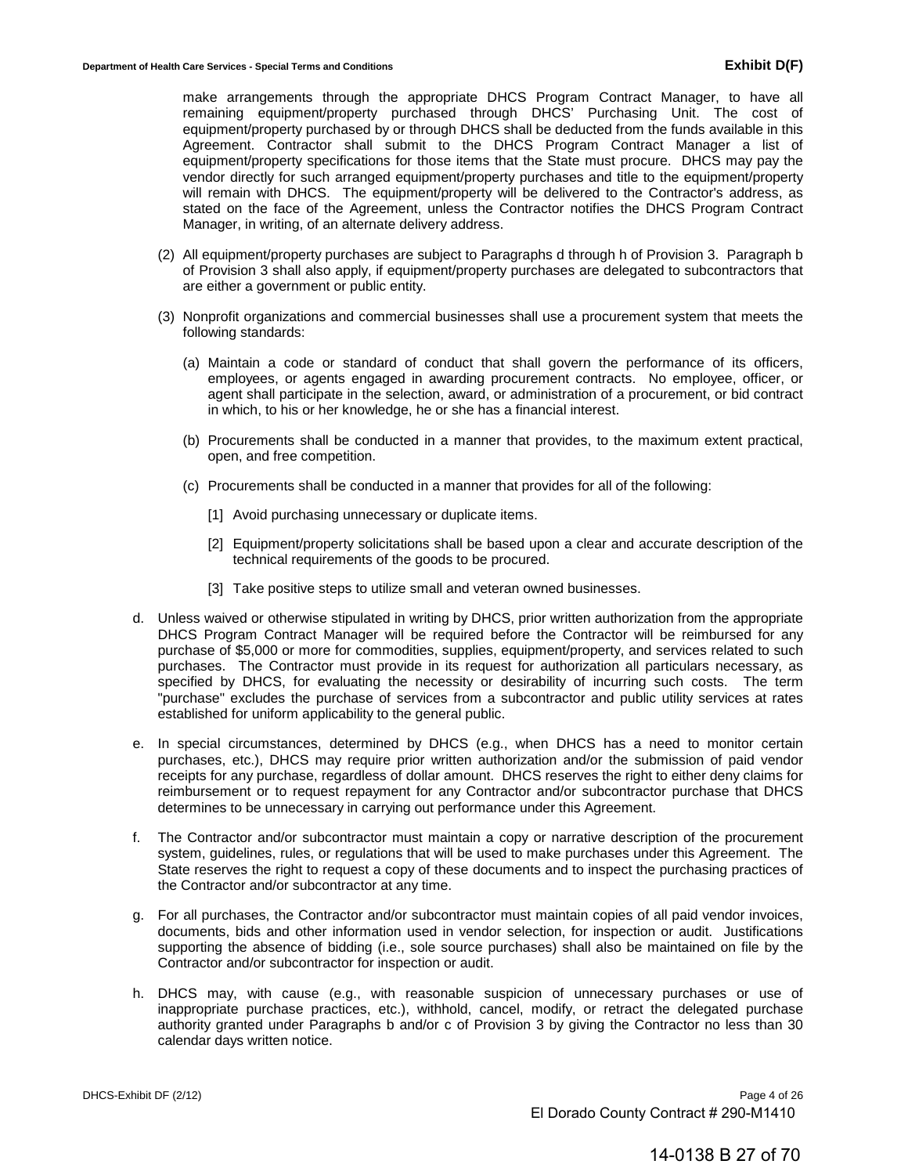make arrangements through the appropriate DHCS Program Contract Manager, to have all remaining equipment/property purchased through DHCS' Purchasing Unit. The cost of equipment/property purchased by or through DHCS shall be deducted from the funds available in this Agreement. Contractor shall submit to the DHCS Program Contract Manager a list of equipment/property specifications for those items that the State must procure. DHCS may pay the vendor directly for such arranged equipment/property purchases and title to the equipment/property will remain with DHCS. The equipment/property will be delivered to the Contractor's address, as stated on the face of the Agreement, unless the Contractor notifies the DHCS Program Contract Manager, in writing, of an alternate delivery address.

- (2) All equipment/property purchases are subject to Paragraphs d through h of Provision 3. Paragraph b of Provision 3 shall also apply, if equipment/property purchases are delegated to subcontractors that are either a government or public entity.
- (3) Nonprofit organizations and commercial businesses shall use a procurement system that meets the following standards:
	- (a) Maintain a code or standard of conduct that shall govern the performance of its officers, employees, or agents engaged in awarding procurement contracts. No employee, officer, or agent shall participate in the selection, award, or administration of a procurement, or bid contract in which, to his or her knowledge, he or she has a financial interest.
	- (b) Procurements shall be conducted in a manner that provides, to the maximum extent practical, open, and free competition.
	- (c) Procurements shall be conducted in a manner that provides for all of the following:
		- [1] Avoid purchasing unnecessary or duplicate items.
		- [2] Equipment/property solicitations shall be based upon a clear and accurate description of the technical requirements of the goods to be procured.
		- [3] Take positive steps to utilize small and veteran owned businesses.
- d. Unless waived or otherwise stipulated in writing by DHCS, prior written authorization from the appropriate DHCS Program Contract Manager will be required before the Contractor will be reimbursed for any purchase of \$5,000 or more for commodities, supplies, equipment/property, and services related to such purchases. The Contractor must provide in its request for authorization all particulars necessary, as specified by DHCS, for evaluating the necessity or desirability of incurring such costs. The term "purchase" excludes the purchase of services from a subcontractor and public utility services at rates established for uniform applicability to the general public.
- e. In special circumstances, determined by DHCS (e.g., when DHCS has a need to monitor certain purchases, etc.), DHCS may require prior written authorization and/or the submission of paid vendor receipts for any purchase, regardless of dollar amount. DHCS reserves the right to either deny claims for reimbursement or to request repayment for any Contractor and/or subcontractor purchase that DHCS determines to be unnecessary in carrying out performance under this Agreement.
- f. The Contractor and/or subcontractor must maintain a copy or narrative description of the procurement system, guidelines, rules, or regulations that will be used to make purchases under this Agreement. The State reserves the right to request a copy of these documents and to inspect the purchasing practices of the Contractor and/or subcontractor at any time.
- g. For all purchases, the Contractor and/or subcontractor must maintain copies of all paid vendor invoices, documents, bids and other information used in vendor selection, for inspection or audit. Justifications supporting the absence of bidding (i.e., sole source purchases) shall also be maintained on file by the Contractor and/or subcontractor for inspection or audit.
- h. DHCS may, with cause (e.g., with reasonable suspicion of unnecessary purchases or use of inappropriate purchase practices, etc.), withhold, cancel, modify, or retract the delegated purchase authority granted under Paragraphs b and/or c of Provision 3 by giving the Contractor no less than 30 calendar days written notice.

14-0138 B 27 of 70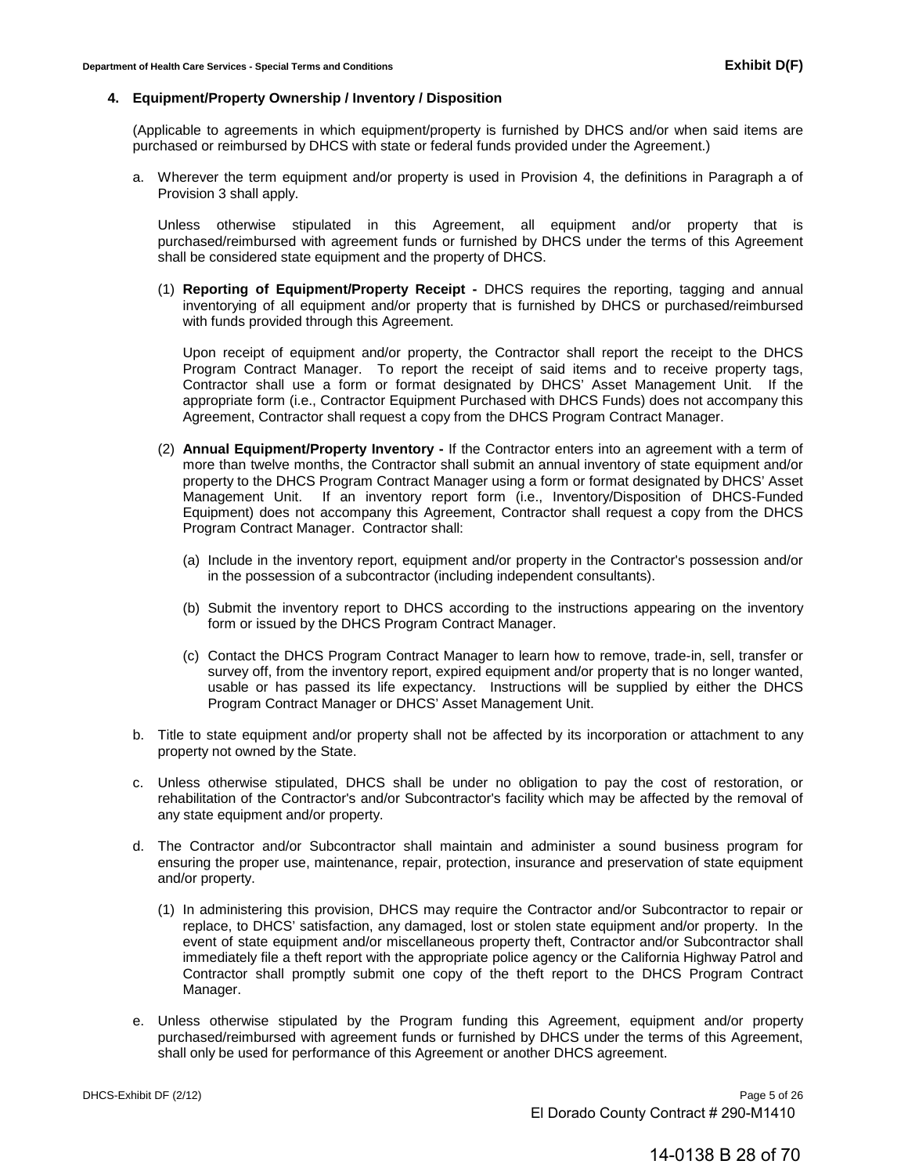#### **4. Equipment/Property Ownership / Inventory / Disposition**

(Applicable to agreements in which equipment/property is furnished by DHCS and/or when said items are purchased or reimbursed by DHCS with state or federal funds provided under the Agreement.)

a. Wherever the term equipment and/or property is used in Provision 4, the definitions in Paragraph a of Provision 3 shall apply.

Unless otherwise stipulated in this Agreement, all equipment and/or property that is purchased/reimbursed with agreement funds or furnished by DHCS under the terms of this Agreement shall be considered state equipment and the property of DHCS.

(1) **Reporting of Equipment/Property Receipt -** DHCS requires the reporting, tagging and annual inventorying of all equipment and/or property that is furnished by DHCS or purchased/reimbursed with funds provided through this Agreement.

Upon receipt of equipment and/or property, the Contractor shall report the receipt to the DHCS Program Contract Manager. To report the receipt of said items and to receive property tags, Contractor shall use a form or format designated by DHCS' Asset Management Unit. If the appropriate form (i.e., Contractor Equipment Purchased with DHCS Funds) does not accompany this Agreement, Contractor shall request a copy from the DHCS Program Contract Manager.

- (2) **Annual Equipment/Property Inventory** If the Contractor enters into an agreement with a term of more than twelve months, the Contractor shall submit an annual inventory of state equipment and/or property to the DHCS Program Contract Manager using a form or format designated by DHCS' Asset Management Unit. If an inventory report form (i.e., Inventory/Disposition of DHCS-Funded Equipment) does not accompany this Agreement, Contractor shall request a copy from the DHCS Program Contract Manager. Contractor shall:
	- (a) Include in the inventory report, equipment and/or property in the Contractor's possession and/or in the possession of a subcontractor (including independent consultants).
	- (b) Submit the inventory report to DHCS according to the instructions appearing on the inventory form or issued by the DHCS Program Contract Manager.
	- (c) Contact the DHCS Program Contract Manager to learn how to remove, trade-in, sell, transfer or survey off, from the inventory report, expired equipment and/or property that is no longer wanted, usable or has passed its life expectancy. Instructions will be supplied by either the DHCS Program Contract Manager or DHCS' Asset Management Unit.
- b. Title to state equipment and/or property shall not be affected by its incorporation or attachment to any property not owned by the State.
- c. Unless otherwise stipulated, DHCS shall be under no obligation to pay the cost of restoration, or rehabilitation of the Contractor's and/or Subcontractor's facility which may be affected by the removal of any state equipment and/or property.
- d. The Contractor and/or Subcontractor shall maintain and administer a sound business program for ensuring the proper use, maintenance, repair, protection, insurance and preservation of state equipment and/or property.
	- (1) In administering this provision, DHCS may require the Contractor and/or Subcontractor to repair or replace, to DHCS' satisfaction, any damaged, lost or stolen state equipment and/or property. In the event of state equipment and/or miscellaneous property theft, Contractor and/or Subcontractor shall immediately file a theft report with the appropriate police agency or the California Highway Patrol and Contractor shall promptly submit one copy of the theft report to the DHCS Program Contract Manager.
- e. Unless otherwise stipulated by the Program funding this Agreement, equipment and/or property purchased/reimbursed with agreement funds or furnished by DHCS under the terms of this Agreement, shall only be used for performance of this Agreement or another DHCS agreement.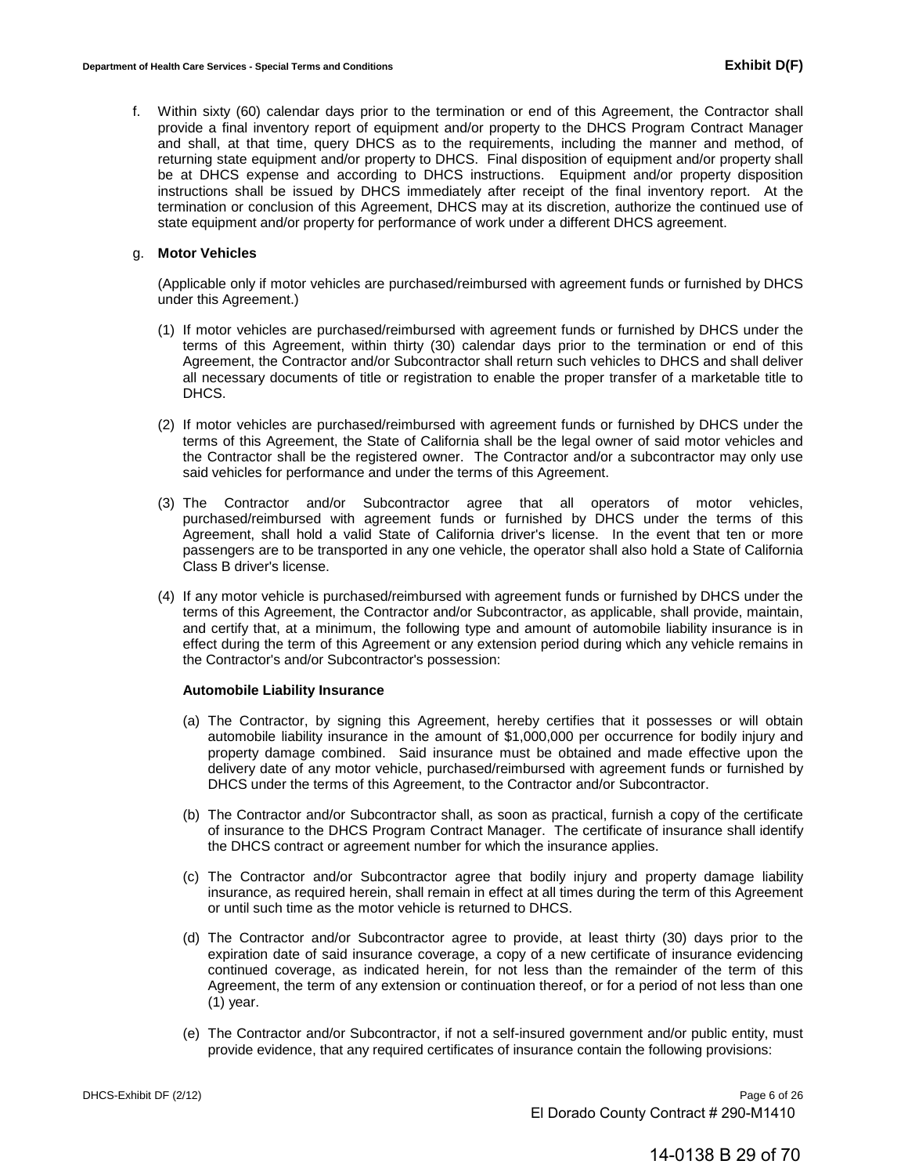f. Within sixty (60) calendar days prior to the termination or end of this Agreement, the Contractor shall provide a final inventory report of equipment and/or property to the DHCS Program Contract Manager and shall, at that time, query DHCS as to the requirements, including the manner and method, of returning state equipment and/or property to DHCS. Final disposition of equipment and/or property shall be at DHCS expense and according to DHCS instructions. Equipment and/or property disposition instructions shall be issued by DHCS immediately after receipt of the final inventory report. At the termination or conclusion of this Agreement, DHCS may at its discretion, authorize the continued use of state equipment and/or property for performance of work under a different DHCS agreement.

#### g. **Motor Vehicles**

(Applicable only if motor vehicles are purchased/reimbursed with agreement funds or furnished by DHCS under this Agreement.)

- (1) If motor vehicles are purchased/reimbursed with agreement funds or furnished by DHCS under the terms of this Agreement, within thirty (30) calendar days prior to the termination or end of this Agreement, the Contractor and/or Subcontractor shall return such vehicles to DHCS and shall deliver all necessary documents of title or registration to enable the proper transfer of a marketable title to DHCS.
- (2) If motor vehicles are purchased/reimbursed with agreement funds or furnished by DHCS under the terms of this Agreement, the State of California shall be the legal owner of said motor vehicles and the Contractor shall be the registered owner. The Contractor and/or a subcontractor may only use said vehicles for performance and under the terms of this Agreement.
- (3) The Contractor and/or Subcontractor agree that all operators of motor vehicles, purchased/reimbursed with agreement funds or furnished by DHCS under the terms of this Agreement, shall hold a valid State of California driver's license. In the event that ten or more passengers are to be transported in any one vehicle, the operator shall also hold a State of California Class B driver's license.
- (4) If any motor vehicle is purchased/reimbursed with agreement funds or furnished by DHCS under the terms of this Agreement, the Contractor and/or Subcontractor, as applicable, shall provide, maintain, and certify that, at a minimum, the following type and amount of automobile liability insurance is in effect during the term of this Agreement or any extension period during which any vehicle remains in the Contractor's and/or Subcontractor's possession:

#### **Automobile Liability Insurance**

- (a) The Contractor, by signing this Agreement, hereby certifies that it possesses or will obtain automobile liability insurance in the amount of \$1,000,000 per occurrence for bodily injury and property damage combined. Said insurance must be obtained and made effective upon the delivery date of any motor vehicle, purchased/reimbursed with agreement funds or furnished by DHCS under the terms of this Agreement, to the Contractor and/or Subcontractor.
- (b) The Contractor and/or Subcontractor shall, as soon as practical, furnish a copy of the certificate of insurance to the DHCS Program Contract Manager. The certificate of insurance shall identify the DHCS contract or agreement number for which the insurance applies.
- (c) The Contractor and/or Subcontractor agree that bodily injury and property damage liability insurance, as required herein, shall remain in effect at all times during the term of this Agreement or until such time as the motor vehicle is returned to DHCS.
- (d) The Contractor and/or Subcontractor agree to provide, at least thirty (30) days prior to the expiration date of said insurance coverage, a copy of a new certificate of insurance evidencing continued coverage, as indicated herein, for not less than the remainder of the term of this Agreement, the term of any extension or continuation thereof, or for a period of not less than one (1) year.
- (e) The Contractor and/or Subcontractor, if not a self-insured government and/or public entity, must provide evidence, that any required certificates of insurance contain the following provisions: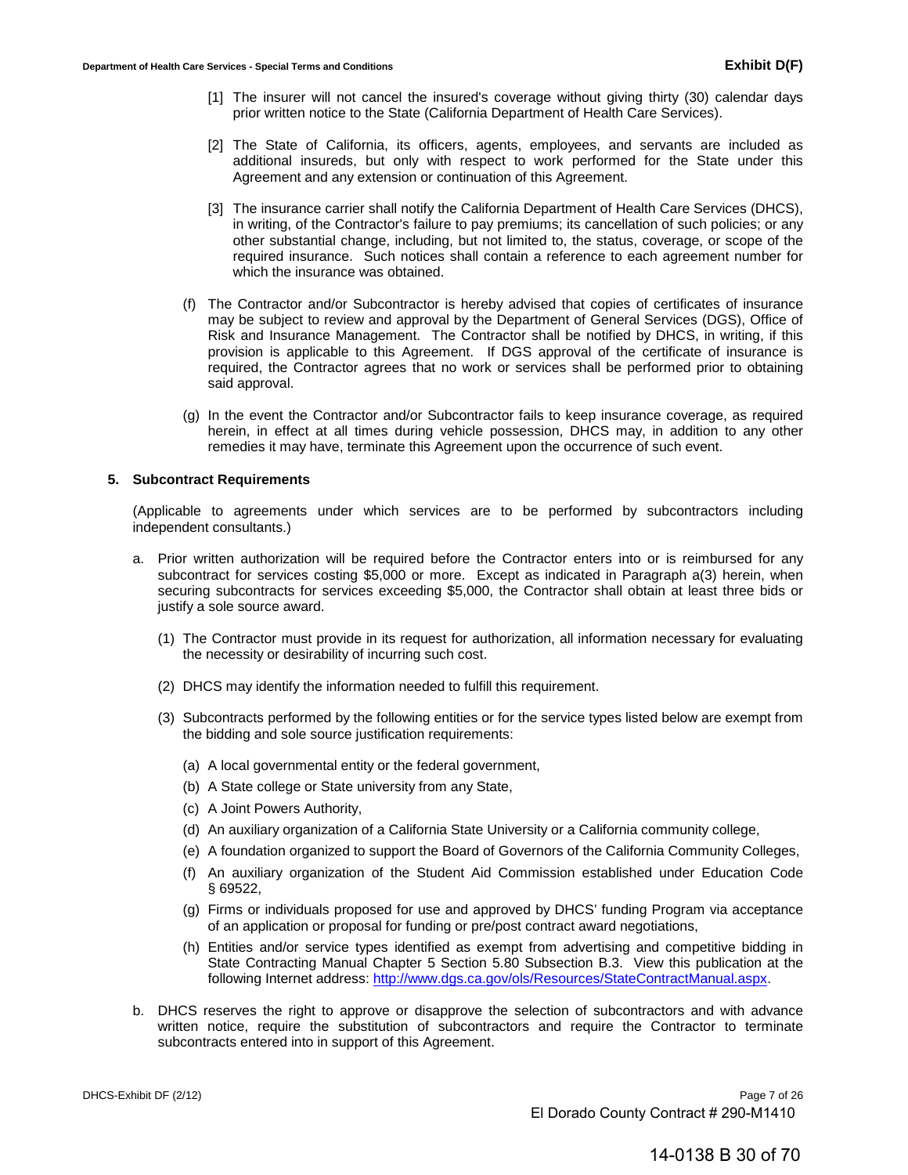- [1] The insurer will not cancel the insured's coverage without giving thirty (30) calendar days prior written notice to the State (California Department of Health Care Services).
- [2] The State of California, its officers, agents, employees, and servants are included as additional insureds, but only with respect to work performed for the State under this Agreement and any extension or continuation of this Agreement.
- [3] The insurance carrier shall notify the California Department of Health Care Services (DHCS), in writing, of the Contractor's failure to pay premiums; its cancellation of such policies; or any other substantial change, including, but not limited to, the status, coverage, or scope of the required insurance. Such notices shall contain a reference to each agreement number for which the insurance was obtained.
- (f) The Contractor and/or Subcontractor is hereby advised that copies of certificates of insurance may be subject to review and approval by the Department of General Services (DGS), Office of Risk and Insurance Management. The Contractor shall be notified by DHCS, in writing, if this provision is applicable to this Agreement. If DGS approval of the certificate of insurance is required, the Contractor agrees that no work or services shall be performed prior to obtaining said approval.
- (g) In the event the Contractor and/or Subcontractor fails to keep insurance coverage, as required herein, in effect at all times during vehicle possession, DHCS may, in addition to any other remedies it may have, terminate this Agreement upon the occurrence of such event.

#### **5. Subcontract Requirements**

(Applicable to agreements under which services are to be performed by subcontractors including independent consultants.)

- a. Prior written authorization will be required before the Contractor enters into or is reimbursed for any subcontract for services costing \$5,000 or more. Except as indicated in Paragraph a(3) herein, when securing subcontracts for services exceeding \$5,000, the Contractor shall obtain at least three bids or justify a sole source award.
	- (1) The Contractor must provide in its request for authorization, all information necessary for evaluating the necessity or desirability of incurring such cost.
	- (2) DHCS may identify the information needed to fulfill this requirement.
	- (3) Subcontracts performed by the following entities or for the service types listed below are exempt from the bidding and sole source justification requirements:
		- (a) A local governmental entity or the federal government,
		- (b) A State college or State university from any State,
		- (c) A Joint Powers Authority,
		- (d) An auxiliary organization of a California State University or a California community college,
		- (e) A foundation organized to support the Board of Governors of the California Community Colleges,
		- (f) An auxiliary organization of the Student Aid Commission established under Education Code § 69522,
		- (g) Firms or individuals proposed for use and approved by DHCS' funding Program via acceptance of an application or proposal for funding or pre/post contract award negotiations,
		- (h) Entities and/or service types identified as exempt from advertising and competitive bidding in State Contracting Manual [Chapter 5 Section 5.80 Subsection B.3. View this publication](http://www.dgs.ca.gov/ols/Resources/StateContractManual.aspx) at the following Internet address: http://www.dgs.ca.gov/ols/Resources/StateContractManual.aspx.
- b. DHCS reserves the right to approve or disapprove the selection of subcontractors and with advance written notice, require the substitution of subcontractors and require the Contractor to terminate subcontracts entered into in support of this Agreement.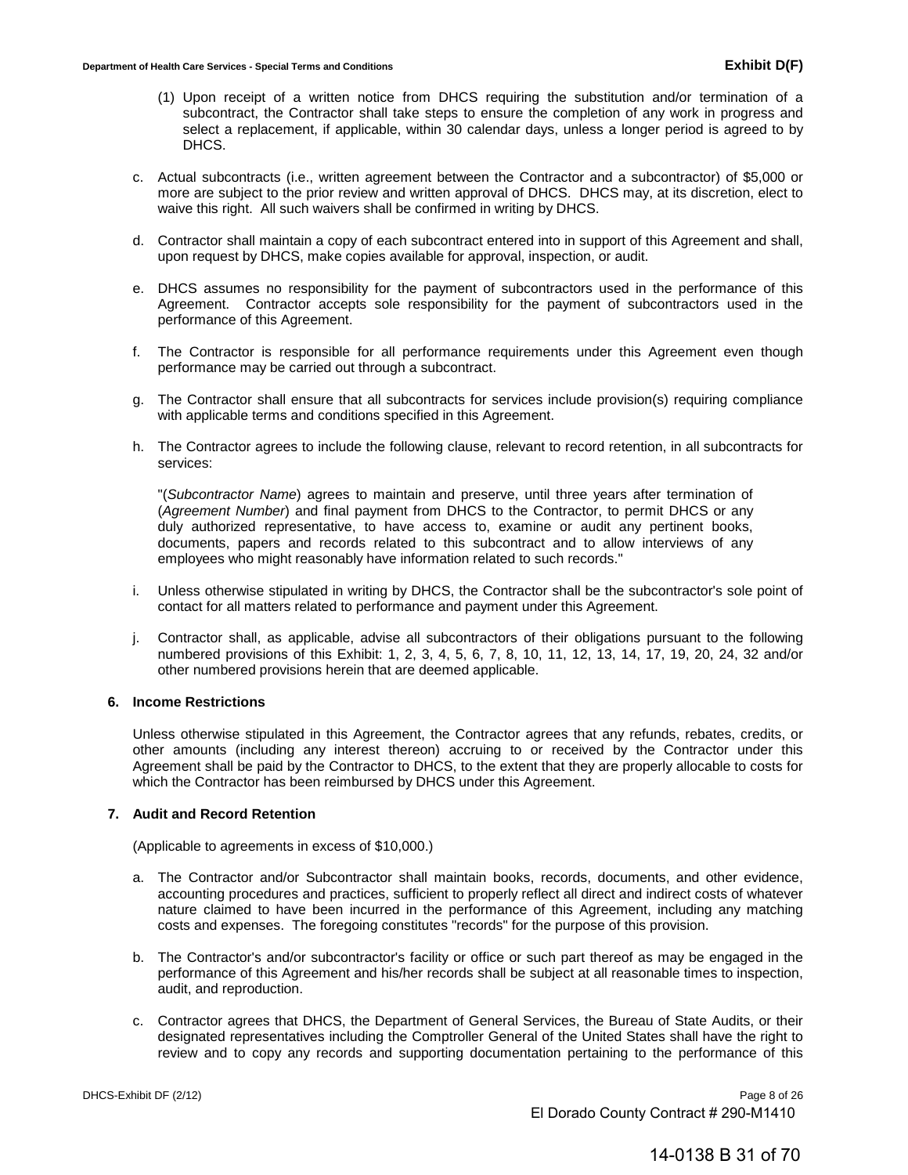- (1) Upon receipt of a written notice from DHCS requiring the substitution and/or termination of a subcontract, the Contractor shall take steps to ensure the completion of any work in progress and select a replacement, if applicable, within 30 calendar days, unless a longer period is agreed to by DHCS.
- c. Actual subcontracts (i.e., written agreement between the Contractor and a subcontractor) of \$5,000 or more are subject to the prior review and written approval of DHCS. DHCS may, at its discretion, elect to waive this right. All such waivers shall be confirmed in writing by DHCS.
- d. Contractor shall maintain a copy of each subcontract entered into in support of this Agreement and shall, upon request by DHCS, make copies available for approval, inspection, or audit.
- e. DHCS assumes no responsibility for the payment of subcontractors used in the performance of this Agreement. Contractor accepts sole responsibility for the payment of subcontractors used in the performance of this Agreement.
- f. The Contractor is responsible for all performance requirements under this Agreement even though performance may be carried out through a subcontract.
- g. The Contractor shall ensure that all subcontracts for services include provision(s) requiring compliance with applicable terms and conditions specified in this Agreement.
- h. The Contractor agrees to include the following clause, relevant to record retention, in all subcontracts for services:

"(*Subcontractor Name*) agrees to maintain and preserve, until three years after termination of (*Agreement Number*) and final payment from DHCS to the Contractor, to permit DHCS or any duly authorized representative, to have access to, examine or audit any pertinent books, documents, papers and records related to this subcontract and to allow interviews of any employees who might reasonably have information related to such records."

- i. Unless otherwise stipulated in writing by DHCS, the Contractor shall be the subcontractor's sole point of contact for all matters related to performance and payment under this Agreement.
- j. Contractor shall, as applicable, advise all subcontractors of their obligations pursuant to the following numbered provisions of this Exhibit: 1, 2, 3, 4, 5, 6, 7, 8, 10, 11, 12, 13, 14, 17, 19, 20, 24, 32 and/or other numbered provisions herein that are deemed applicable.

## **6. Income Restrictions**

Unless otherwise stipulated in this Agreement, the Contractor agrees that any refunds, rebates, credits, or other amounts (including any interest thereon) accruing to or received by the Contractor under this Agreement shall be paid by the Contractor to DHCS, to the extent that they are properly allocable to costs for which the Contractor has been reimbursed by DHCS under this Agreement.

#### **7. Audit and Record Retention**

(Applicable to agreements in excess of \$10,000.)

- a. The Contractor and/or Subcontractor shall maintain books, records, documents, and other evidence, accounting procedures and practices, sufficient to properly reflect all direct and indirect costs of whatever nature claimed to have been incurred in the performance of this Agreement, including any matching costs and expenses. The foregoing constitutes "records" for the purpose of this provision.
- b. The Contractor's and/or subcontractor's facility or office or such part thereof as may be engaged in the performance of this Agreement and his/her records shall be subject at all reasonable times to inspection, audit, and reproduction.
- c. Contractor agrees that DHCS, the Department of General Services, the Bureau of State Audits, or their designated representatives including the Comptroller General of the United States shall have the right to review and to copy any records and supporting documentation pertaining to the performance of this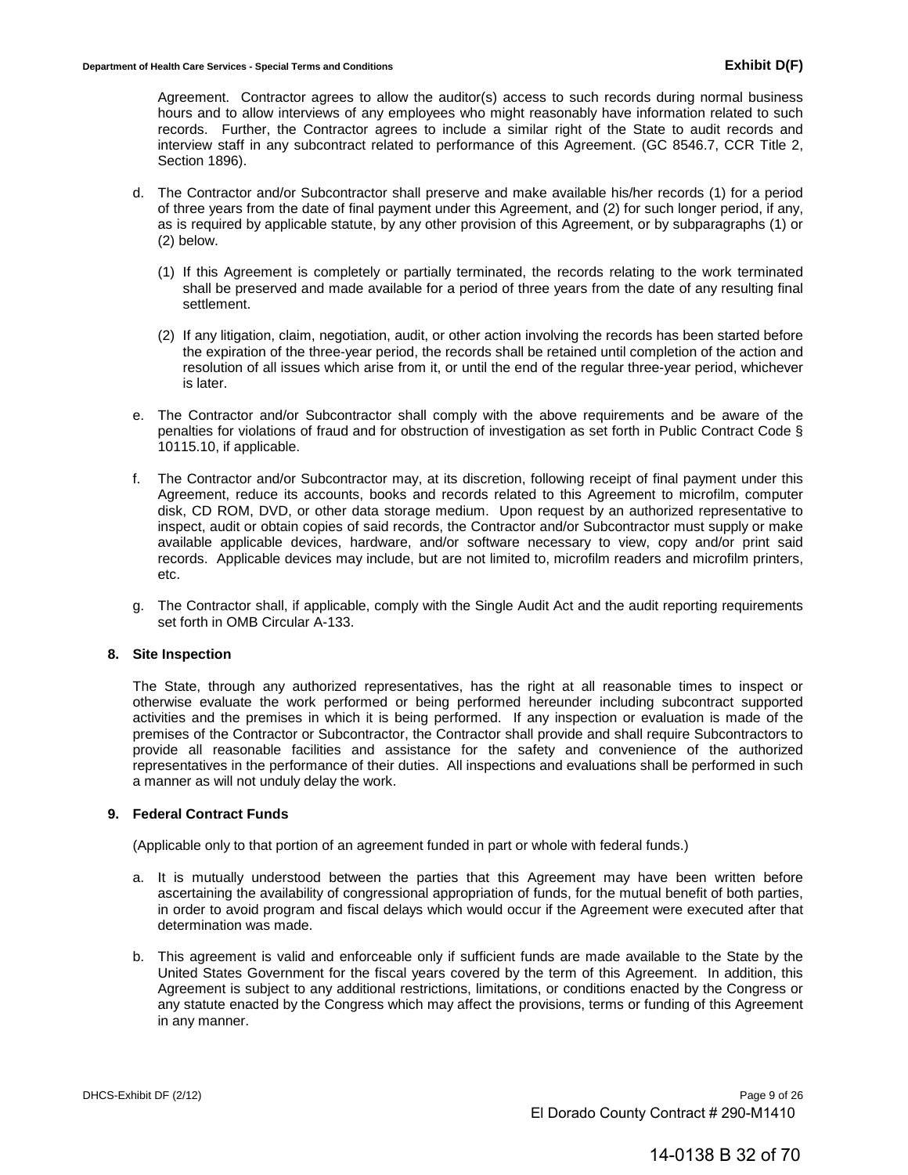Agreement. Contractor agrees to allow the auditor(s) access to such records during normal business hours and to allow interviews of any employees who might reasonably have information related to such records. Further, the Contractor agrees to include a similar right of the State to audit records and interview staff in any subcontract related to performance of this Agreement. (GC 8546.7, CCR Title 2, Section 1896).

- d. The Contractor and/or Subcontractor shall preserve and make available his/her records (1) for a period of three years from the date of final payment under this Agreement, and (2) for such longer period, if any, as is required by applicable statute, by any other provision of this Agreement, or by subparagraphs (1) or (2) below.
	- (1) If this Agreement is completely or partially terminated, the records relating to the work terminated shall be preserved and made available for a period of three years from the date of any resulting final settlement.
	- (2) If any litigation, claim, negotiation, audit, or other action involving the records has been started before the expiration of the three-year period, the records shall be retained until completion of the action and resolution of all issues which arise from it, or until the end of the regular three-year period, whichever is later.
- e. The Contractor and/or Subcontractor shall comply with the above requirements and be aware of the penalties for violations of fraud and for obstruction of investigation as set forth in Public Contract Code § 10115.10, if applicable.
- f. The Contractor and/or Subcontractor may, at its discretion, following receipt of final payment under this Agreement, reduce its accounts, books and records related to this Agreement to microfilm, computer disk, CD ROM, DVD, or other data storage medium. Upon request by an authorized representative to inspect, audit or obtain copies of said records, the Contractor and/or Subcontractor must supply or make available applicable devices, hardware, and/or software necessary to view, copy and/or print said records. Applicable devices may include, but are not limited to, microfilm readers and microfilm printers, etc.
- g. The Contractor shall, if applicable, comply with the Single Audit Act and the audit reporting requirements set forth in OMB Circular A-133.

#### **8. Site Inspection**

The State, through any authorized representatives, has the right at all reasonable times to inspect or otherwise evaluate the work performed or being performed hereunder including subcontract supported activities and the premises in which it is being performed. If any inspection or evaluation is made of the premises of the Contractor or Subcontractor, the Contractor shall provide and shall require Subcontractors to provide all reasonable facilities and assistance for the safety and convenience of the authorized representatives in the performance of their duties. All inspections and evaluations shall be performed in such a manner as will not unduly delay the work.

#### **9. Federal Contract Funds**

(Applicable only to that portion of an agreement funded in part or whole with federal funds.)

- a. It is mutually understood between the parties that this Agreement may have been written before ascertaining the availability of congressional appropriation of funds, for the mutual benefit of both parties, in order to avoid program and fiscal delays which would occur if the Agreement were executed after that determination was made.
- b. This agreement is valid and enforceable only if sufficient funds are made available to the State by the United States Government for the fiscal years covered by the term of this Agreement. In addition, this Agreement is subject to any additional restrictions, limitations, or conditions enacted by the Congress or any statute enacted by the Congress which may affect the provisions, terms or funding of this Agreement in any manner.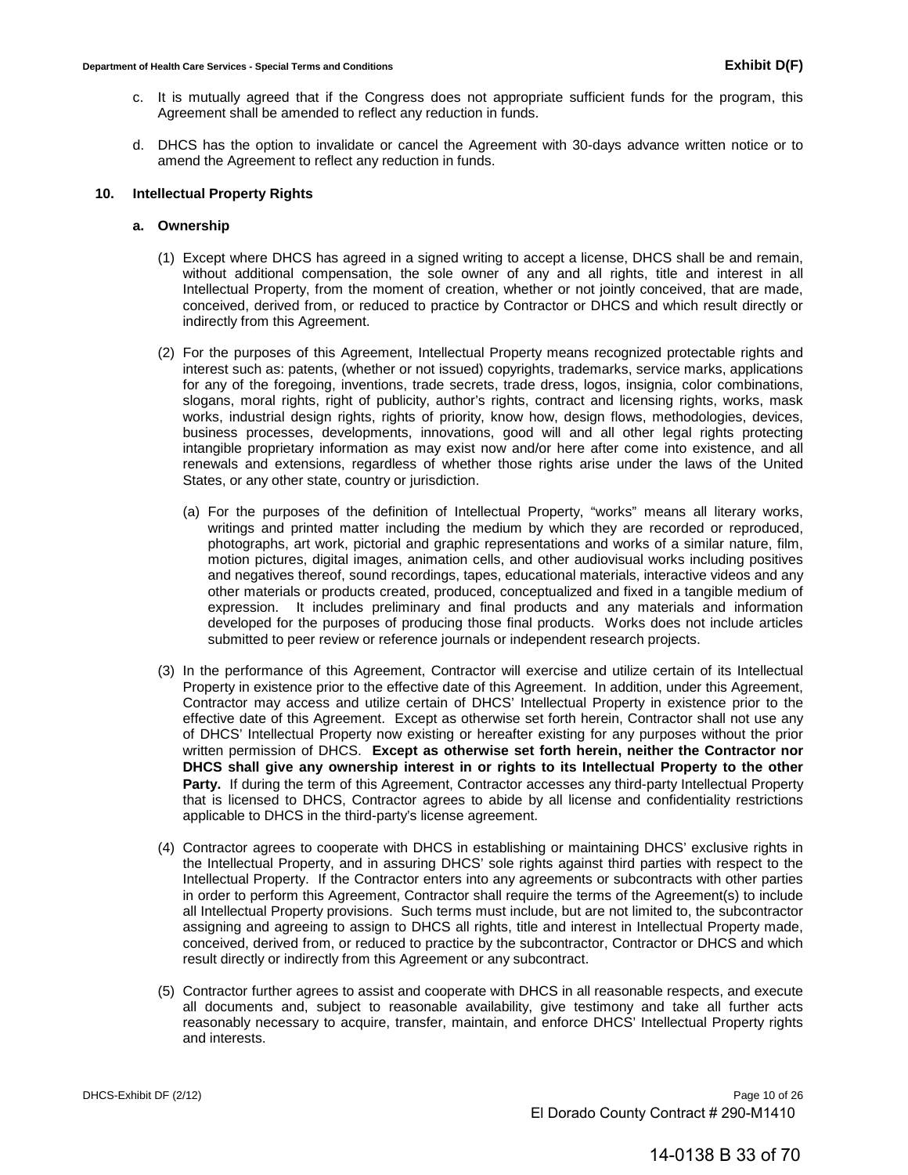- c. It is mutually agreed that if the Congress does not appropriate sufficient funds for the program, this Agreement shall be amended to reflect any reduction in funds.
- d. DHCS has the option to invalidate or cancel the Agreement with 30-days advance written notice or to amend the Agreement to reflect any reduction in funds.

#### **10. Intellectual Property Rights**

#### **a. Ownership**

- (1) Except where DHCS has agreed in a signed writing to accept a license, DHCS shall be and remain, without additional compensation, the sole owner of any and all rights, title and interest in all Intellectual Property, from the moment of creation, whether or not jointly conceived, that are made, conceived, derived from, or reduced to practice by Contractor or DHCS and which result directly or indirectly from this Agreement.
- (2) For the purposes of this Agreement, Intellectual Property means recognized protectable rights and interest such as: patents, (whether or not issued) copyrights, trademarks, service marks, applications for any of the foregoing, inventions, trade secrets, trade dress, logos, insignia, color combinations, slogans, moral rights, right of publicity, author's rights, contract and licensing rights, works, mask works, industrial design rights, rights of priority, know how, design flows, methodologies, devices, business processes, developments, innovations, good will and all other legal rights protecting intangible proprietary information as may exist now and/or here after come into existence, and all renewals and extensions, regardless of whether those rights arise under the laws of the United States, or any other state, country or jurisdiction.
	- (a) For the purposes of the definition of Intellectual Property, "works" means all literary works, writings and printed matter including the medium by which they are recorded or reproduced, photographs, art work, pictorial and graphic representations and works of a similar nature, film, motion pictures, digital images, animation cells, and other audiovisual works including positives and negatives thereof, sound recordings, tapes, educational materials, interactive videos and any other materials or products created, produced, conceptualized and fixed in a tangible medium of expression. It includes preliminary and final products and any materials and information developed for the purposes of producing those final products. Works does not include articles submitted to peer review or reference journals or independent research projects.
- (3) In the performance of this Agreement, Contractor will exercise and utilize certain of its Intellectual Property in existence prior to the effective date of this Agreement. In addition, under this Agreement, Contractor may access and utilize certain of DHCS' Intellectual Property in existence prior to the effective date of this Agreement. Except as otherwise set forth herein, Contractor shall not use any of DHCS' Intellectual Property now existing or hereafter existing for any purposes without the prior written permission of DHCS. **Except as otherwise set forth herein, neither the Contractor nor DHCS shall give any ownership interest in or rights to its Intellectual Property to the other**  Party. If during the term of this Agreement, Contractor accesses any third-party Intellectual Property that is licensed to DHCS, Contractor agrees to abide by all license and confidentiality restrictions applicable to DHCS in the third-party's license agreement.
- (4) Contractor agrees to cooperate with DHCS in establishing or maintaining DHCS' exclusive rights in the Intellectual Property, and in assuring DHCS' sole rights against third parties with respect to the Intellectual Property. If the Contractor enters into any agreements or subcontracts with other parties in order to perform this Agreement, Contractor shall require the terms of the Agreement(s) to include all Intellectual Property provisions. Such terms must include, but are not limited to, the subcontractor assigning and agreeing to assign to DHCS all rights, title and interest in Intellectual Property made, conceived, derived from, or reduced to practice by the subcontractor, Contractor or DHCS and which result directly or indirectly from this Agreement or any subcontract.
- (5) Contractor further agrees to assist and cooperate with DHCS in all reasonable respects, and execute all documents and, subject to reasonable availability, give testimony and take all further acts reasonably necessary to acquire, transfer, maintain, and enforce DHCS' Intellectual Property rights and interests.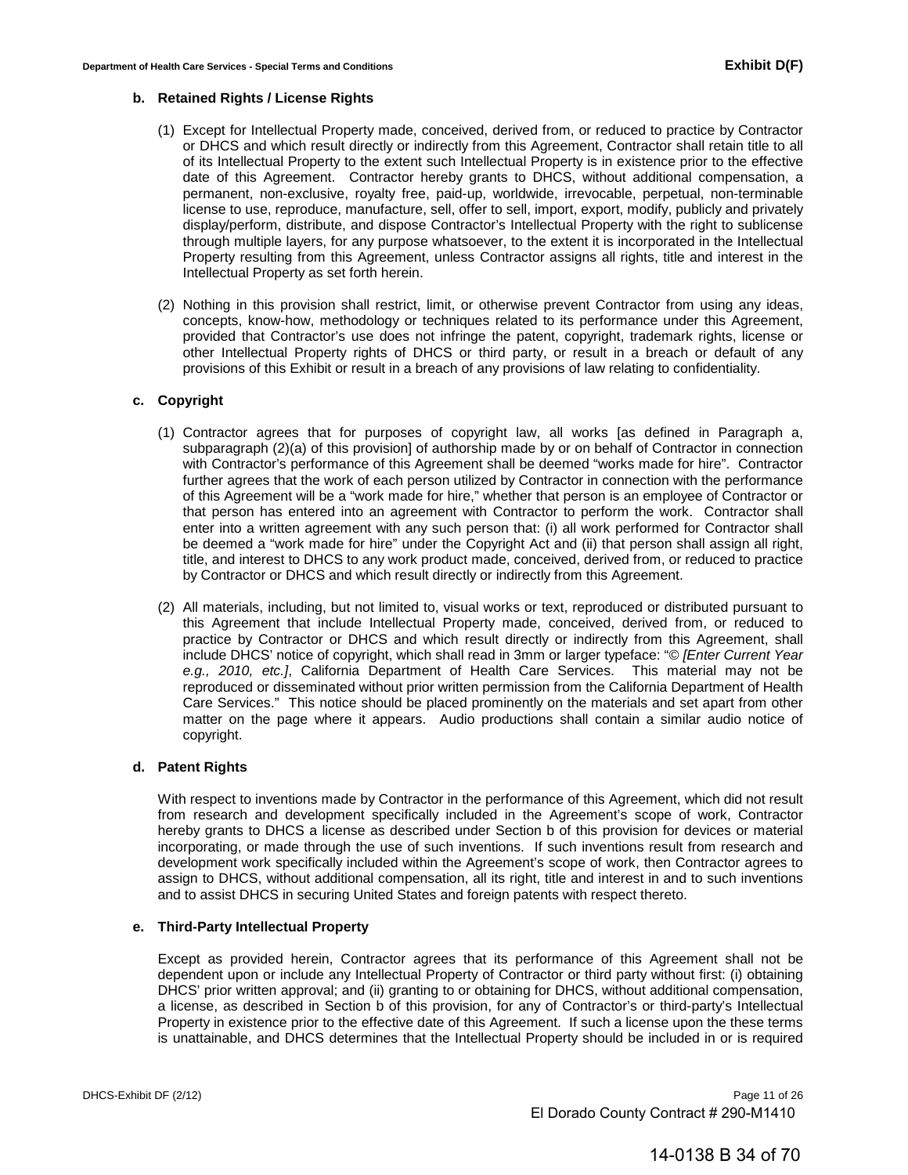#### **b. Retained Rights / License Rights**

- (1) Except for Intellectual Property made, conceived, derived from, or reduced to practice by Contractor or DHCS and which result directly or indirectly from this Agreement, Contractor shall retain title to all of its Intellectual Property to the extent such Intellectual Property is in existence prior to the effective date of this Agreement. Contractor hereby grants to DHCS, without additional compensation, a permanent, non-exclusive, royalty free, paid-up, worldwide, irrevocable, perpetual, non-terminable license to use, reproduce, manufacture, sell, offer to sell, import, export, modify, publicly and privately display/perform, distribute, and dispose Contractor's Intellectual Property with the right to sublicense through multiple layers, for any purpose whatsoever, to the extent it is incorporated in the Intellectual Property resulting from this Agreement, unless Contractor assigns all rights, title and interest in the Intellectual Property as set forth herein.
- (2) Nothing in this provision shall restrict, limit, or otherwise prevent Contractor from using any ideas, concepts, know-how, methodology or techniques related to its performance under this Agreement, provided that Contractor's use does not infringe the patent, copyright, trademark rights, license or other Intellectual Property rights of DHCS or third party, or result in a breach or default of any provisions of this Exhibit or result in a breach of any provisions of law relating to confidentiality.

#### **c. Copyright**

- (1) Contractor agrees that for purposes of copyright law, all works [as defined in Paragraph a, subparagraph (2)(a) of this provision] of authorship made by or on behalf of Contractor in connection with Contractor's performance of this Agreement shall be deemed "works made for hire". Contractor further agrees that the work of each person utilized by Contractor in connection with the performance of this Agreement will be a "work made for hire," whether that person is an employee of Contractor or that person has entered into an agreement with Contractor to perform the work. Contractor shall enter into a written agreement with any such person that: (i) all work performed for Contractor shall be deemed a "work made for hire" under the Copyright Act and (ii) that person shall assign all right, title, and interest to DHCS to any work product made, conceived, derived from, or reduced to practice by Contractor or DHCS and which result directly or indirectly from this Agreement.
- (2) All materials, including, but not limited to, visual works or text, reproduced or distributed pursuant to this Agreement that include Intellectual Property made, conceived, derived from, or reduced to practice by Contractor or DHCS and which result directly or indirectly from this Agreement, shall include DHCS' notice of copyright, which shall read in 3mm or larger typeface: "© *[Enter Current Year e.g., 2010, etc.]*, California Department of Health Care Services. This material may not be reproduced or disseminated without prior written permission from the California Department of Health Care Services." This notice should be placed prominently on the materials and set apart from other matter on the page where it appears. Audio productions shall contain a similar audio notice of copyright.

#### **d. Patent Rights**

With respect to inventions made by Contractor in the performance of this Agreement, which did not result from research and development specifically included in the Agreement's scope of work, Contractor hereby grants to DHCS a license as described under Section b of this provision for devices or material incorporating, or made through the use of such inventions. If such inventions result from research and development work specifically included within the Agreement's scope of work, then Contractor agrees to assign to DHCS, without additional compensation, all its right, title and interest in and to such inventions and to assist DHCS in securing United States and foreign patents with respect thereto.

#### **e. Third-Party Intellectual Property**

Except as provided herein, Contractor agrees that its performance of this Agreement shall not be dependent upon or include any Intellectual Property of Contractor or third party without first: (i) obtaining DHCS' prior written approval; and (ii) granting to or obtaining for DHCS, without additional compensation, a license, as described in Section b of this provision, for any of Contractor's or third-party's Intellectual Property in existence prior to the effective date of this Agreement. If such a license upon the these terms is unattainable, and DHCS determines that the Intellectual Property should be included in or is required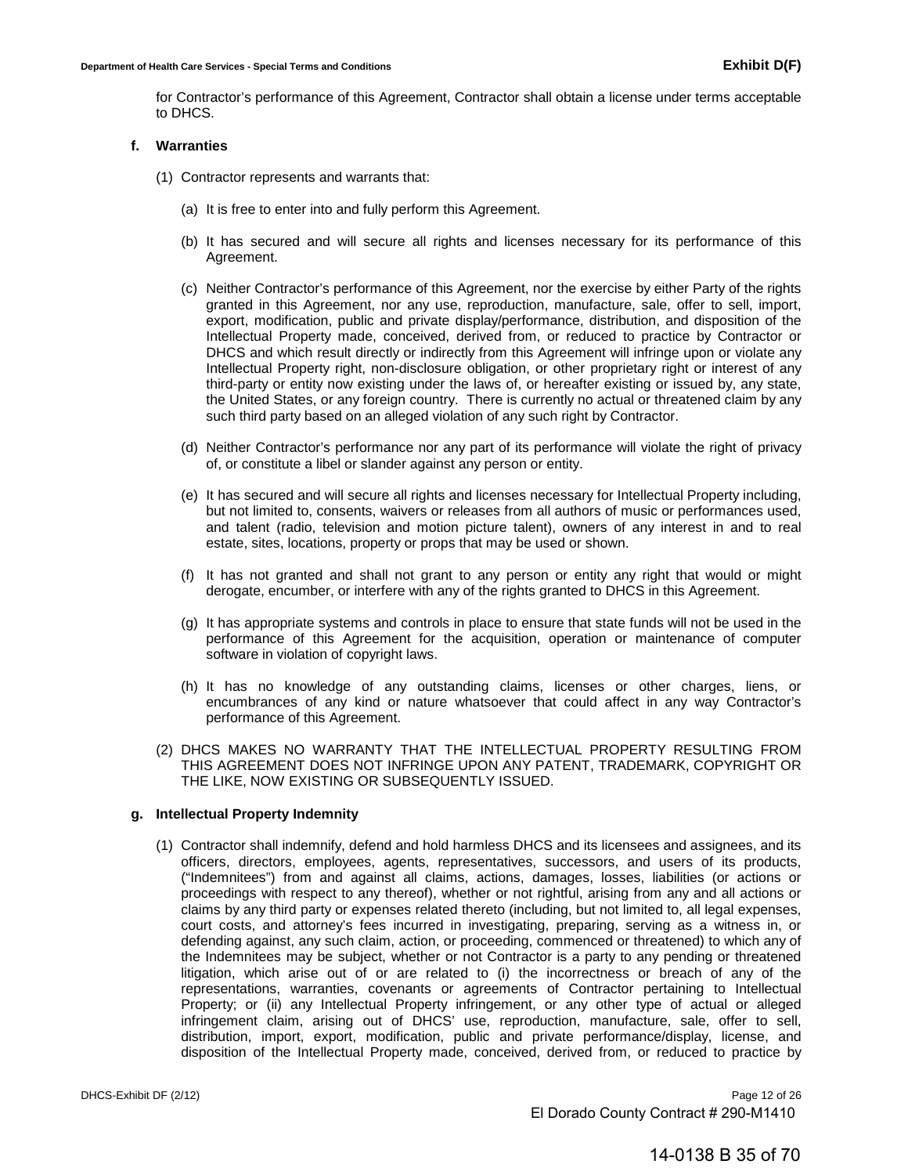for Contractor's performance of this Agreement, Contractor shall obtain a license under terms acceptable to DHCS.

#### **f. Warranties**

- (1) Contractor represents and warrants that:
	- (a) It is free to enter into and fully perform this Agreement.
	- (b) It has secured and will secure all rights and licenses necessary for its performance of this Agreement.
	- (c) Neither Contractor's performance of this Agreement, nor the exercise by either Party of the rights granted in this Agreement, nor any use, reproduction, manufacture, sale, offer to sell, import, export, modification, public and private display/performance, distribution, and disposition of the Intellectual Property made, conceived, derived from, or reduced to practice by Contractor or DHCS and which result directly or indirectly from this Agreement will infringe upon or violate any Intellectual Property right, non-disclosure obligation, or other proprietary right or interest of any third-party or entity now existing under the laws of, or hereafter existing or issued by, any state, the United States, or any foreign country. There is currently no actual or threatened claim by any such third party based on an alleged violation of any such right by Contractor.
	- (d) Neither Contractor's performance nor any part of its performance will violate the right of privacy of, or constitute a libel or slander against any person or entity.
	- (e) It has secured and will secure all rights and licenses necessary for Intellectual Property including, but not limited to, consents, waivers or releases from all authors of music or performances used, and talent (radio, television and motion picture talent), owners of any interest in and to real estate, sites, locations, property or props that may be used or shown.
	- (f) It has not granted and shall not grant to any person or entity any right that would or might derogate, encumber, or interfere with any of the rights granted to DHCS in this Agreement.
	- (g) It has appropriate systems and controls in place to ensure that state funds will not be used in the performance of this Agreement for the acquisition, operation or maintenance of computer software in violation of copyright laws.
	- (h) It has no knowledge of any outstanding claims, licenses or other charges, liens, or encumbrances of any kind or nature whatsoever that could affect in any way Contractor's performance of this Agreement.
- (2) DHCS MAKES NO WARRANTY THAT THE INTELLECTUAL PROPERTY RESULTING FROM THIS AGREEMENT DOES NOT INFRINGE UPON ANY PATENT, TRADEMARK, COPYRIGHT OR THE LIKE, NOW EXISTING OR SUBSEQUENTLY ISSUED.

#### **g. Intellectual Property Indemnity**

(1) Contractor shall indemnify, defend and hold harmless DHCS and its licensees and assignees, and its officers, directors, employees, agents, representatives, successors, and users of its products, ("Indemnitees") from and against all claims, actions, damages, losses, liabilities (or actions or proceedings with respect to any thereof), whether or not rightful, arising from any and all actions or claims by any third party or expenses related thereto (including, but not limited to, all legal expenses, court costs, and attorney's fees incurred in investigating, preparing, serving as a witness in, or defending against, any such claim, action, or proceeding, commenced or threatened) to which any of the Indemnitees may be subject, whether or not Contractor is a party to any pending or threatened litigation, which arise out of or are related to (i) the incorrectness or breach of any of the representations, warranties, covenants or agreements of Contractor pertaining to Intellectual Property; or (ii) any Intellectual Property infringement, or any other type of actual or alleged infringement claim, arising out of DHCS' use, reproduction, manufacture, sale, offer to sell, distribution, import, export, modification, public and private performance/display, license, and disposition of the Intellectual Property made, conceived, derived from, or reduced to practice by

DHCS-Exhibit DF (2/12) **Page 12 of 26** El Dorado County Contract # 290-M1410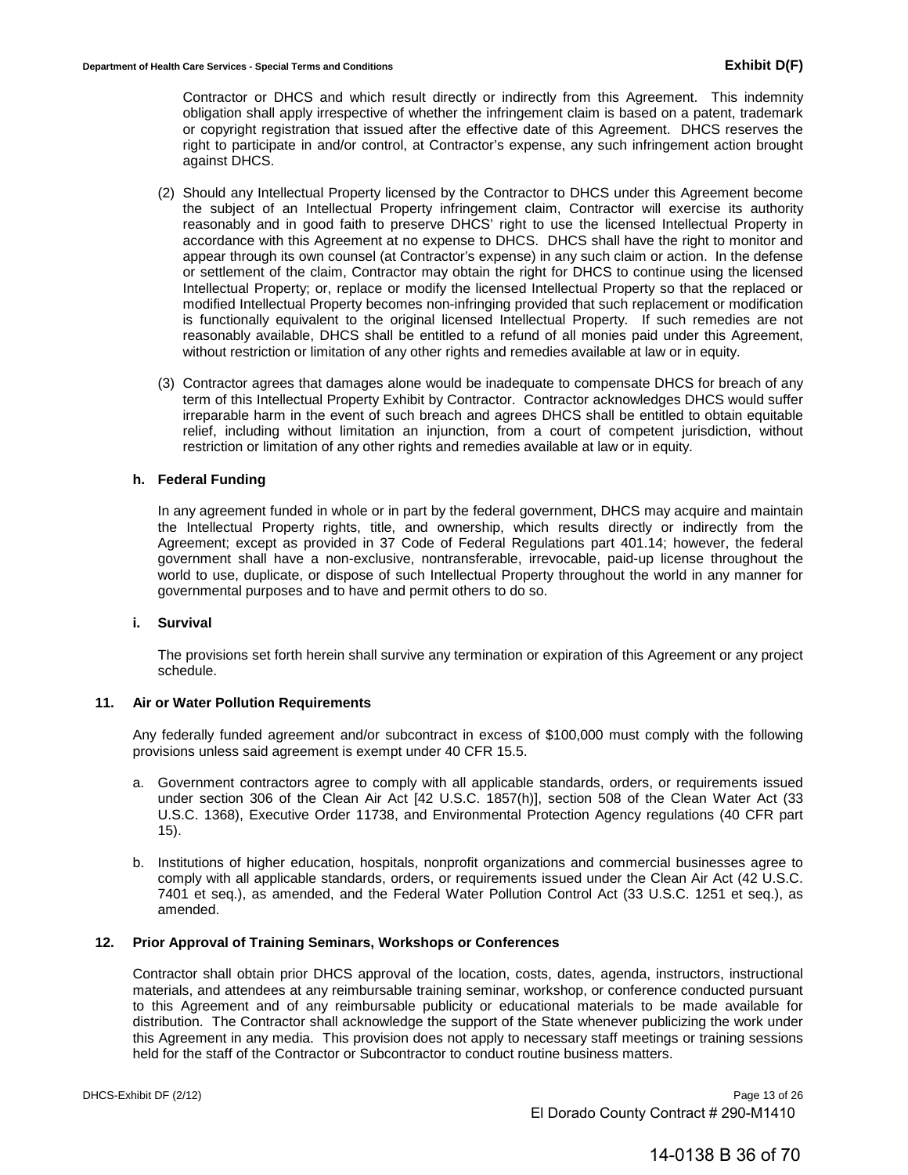Contractor or DHCS and which result directly or indirectly from this Agreement. This indemnity obligation shall apply irrespective of whether the infringement claim is based on a patent, trademark or copyright registration that issued after the effective date of this Agreement. DHCS reserves the right to participate in and/or control, at Contractor's expense, any such infringement action brought against DHCS.

- (2) Should any Intellectual Property licensed by the Contractor to DHCS under this Agreement become the subject of an Intellectual Property infringement claim, Contractor will exercise its authority reasonably and in good faith to preserve DHCS' right to use the licensed Intellectual Property in accordance with this Agreement at no expense to DHCS. DHCS shall have the right to monitor and appear through its own counsel (at Contractor's expense) in any such claim or action. In the defense or settlement of the claim, Contractor may obtain the right for DHCS to continue using the licensed Intellectual Property; or, replace or modify the licensed Intellectual Property so that the replaced or modified Intellectual Property becomes non-infringing provided that such replacement or modification is functionally equivalent to the original licensed Intellectual Property. If such remedies are not reasonably available, DHCS shall be entitled to a refund of all monies paid under this Agreement, without restriction or limitation of any other rights and remedies available at law or in equity.
- (3) Contractor agrees that damages alone would be inadequate to compensate DHCS for breach of any term of this Intellectual Property Exhibit by Contractor. Contractor acknowledges DHCS would suffer irreparable harm in the event of such breach and agrees DHCS shall be entitled to obtain equitable relief, including without limitation an injunction, from a court of competent jurisdiction, without restriction or limitation of any other rights and remedies available at law or in equity.

#### **h. Federal Funding**

In any agreement funded in whole or in part by the federal government, DHCS may acquire and maintain the Intellectual Property rights, title, and ownership, which results directly or indirectly from the Agreement; except as provided in 37 Code of Federal Regulations part 401.14; however, the federal government shall have a non-exclusive, nontransferable, irrevocable, paid-up license throughout the world to use, duplicate, or dispose of such Intellectual Property throughout the world in any manner for governmental purposes and to have and permit others to do so.

#### **i. Survival**

The provisions set forth herein shall survive any termination or expiration of this Agreement or any project schedule.

#### **11. Air or Water Pollution Requirements**

Any federally funded agreement and/or subcontract in excess of \$100,000 must comply with the following provisions unless said agreement is exempt under 40 CFR 15.5.

- a. Government contractors agree to comply with all applicable standards, orders, or requirements issued under section 306 of the Clean Air Act [42 U.S.C. 1857(h)], section 508 of the Clean Water Act (33 U.S.C. 1368), Executive Order 11738, and Environmental Protection Agency regulations (40 CFR part 15).
- b. Institutions of higher education, hospitals, nonprofit organizations and commercial businesses agree to comply with all applicable standards, orders, or requirements issued under the Clean Air Act (42 U.S.C. 7401 et seq.), as amended, and the Federal Water Pollution Control Act (33 U.S.C. 1251 et seq.), as amended.

#### **12. Prior Approval of Training Seminars, Workshops or Conferences**

Contractor shall obtain prior DHCS approval of the location, costs, dates, agenda, instructors, instructional materials, and attendees at any reimbursable training seminar, workshop, or conference conducted pursuant to this Agreement and of any reimbursable publicity or educational materials to be made available for distribution. The Contractor shall acknowledge the support of the State whenever publicizing the work under this Agreement in any media. This provision does not apply to necessary staff meetings or training sessions held for the staff of the Contractor or Subcontractor to conduct routine business matters.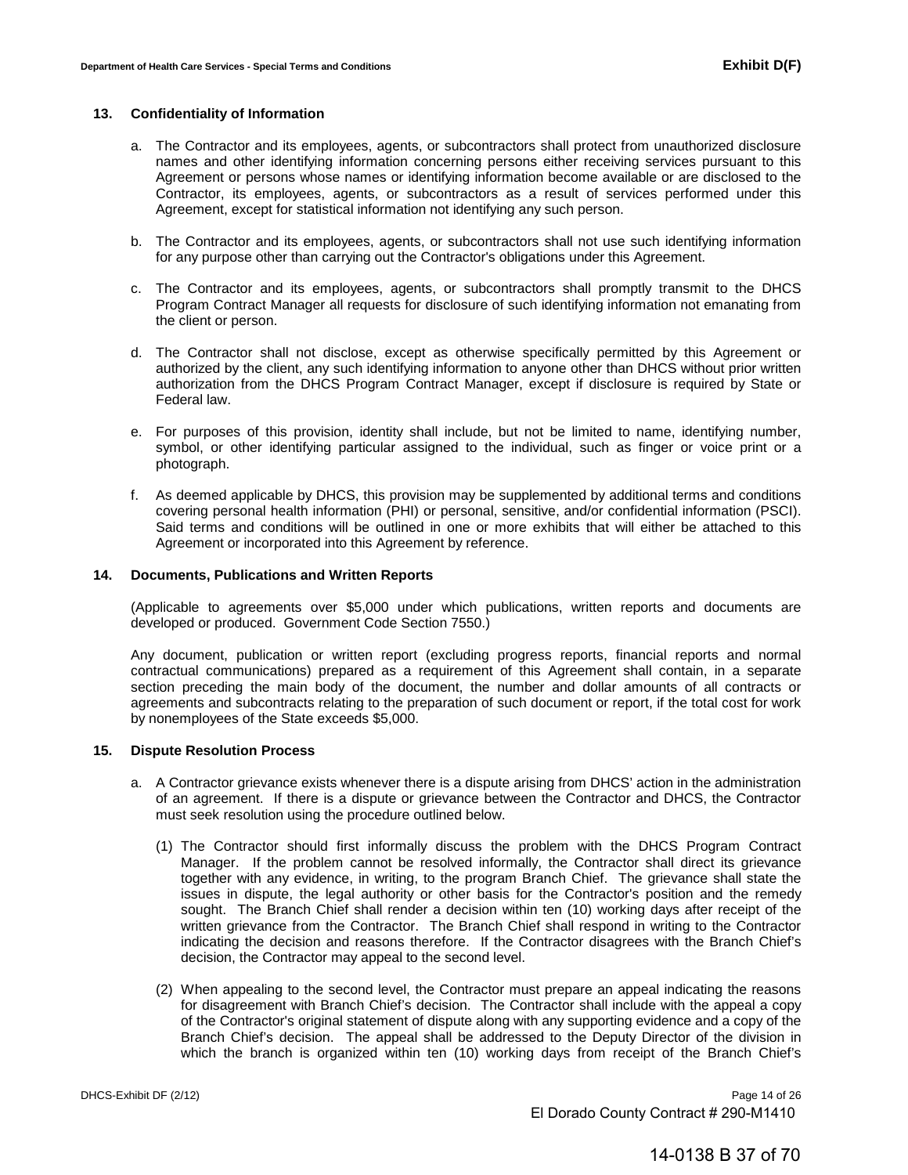#### **13. Confidentiality of Information**

- a. The Contractor and its employees, agents, or subcontractors shall protect from unauthorized disclosure names and other identifying information concerning persons either receiving services pursuant to this Agreement or persons whose names or identifying information become available or are disclosed to the Contractor, its employees, agents, or subcontractors as a result of services performed under this Agreement, except for statistical information not identifying any such person.
- b. The Contractor and its employees, agents, or subcontractors shall not use such identifying information for any purpose other than carrying out the Contractor's obligations under this Agreement.
- c. The Contractor and its employees, agents, or subcontractors shall promptly transmit to the DHCS Program Contract Manager all requests for disclosure of such identifying information not emanating from the client or person.
- d. The Contractor shall not disclose, except as otherwise specifically permitted by this Agreement or authorized by the client, any such identifying information to anyone other than DHCS without prior written authorization from the DHCS Program Contract Manager, except if disclosure is required by State or Federal law.
- e. For purposes of this provision, identity shall include, but not be limited to name, identifying number, symbol, or other identifying particular assigned to the individual, such as finger or voice print or a photograph.
- f. As deemed applicable by DHCS, this provision may be supplemented by additional terms and conditions covering personal health information (PHI) or personal, sensitive, and/or confidential information (PSCI). Said terms and conditions will be outlined in one or more exhibits that will either be attached to this Agreement or incorporated into this Agreement by reference.

#### **14. Documents, Publications and Written Reports**

(Applicable to agreements over \$5,000 under which publications, written reports and documents are developed or produced. Government Code Section 7550.)

Any document, publication or written report (excluding progress reports, financial reports and normal contractual communications) prepared as a requirement of this Agreement shall contain, in a separate section preceding the main body of the document, the number and dollar amounts of all contracts or agreements and subcontracts relating to the preparation of such document or report, if the total cost for work by nonemployees of the State exceeds \$5,000.

#### **15. Dispute Resolution Process**

- a. A Contractor grievance exists whenever there is a dispute arising from DHCS' action in the administration of an agreement. If there is a dispute or grievance between the Contractor and DHCS, the Contractor must seek resolution using the procedure outlined below.
	- (1) The Contractor should first informally discuss the problem with the DHCS Program Contract Manager. If the problem cannot be resolved informally, the Contractor shall direct its grievance together with any evidence, in writing, to the program Branch Chief. The grievance shall state the issues in dispute, the legal authority or other basis for the Contractor's position and the remedy sought. The Branch Chief shall render a decision within ten (10) working days after receipt of the written grievance from the Contractor. The Branch Chief shall respond in writing to the Contractor indicating the decision and reasons therefore. If the Contractor disagrees with the Branch Chief's decision, the Contractor may appeal to the second level.
	- (2) When appealing to the second level, the Contractor must prepare an appeal indicating the reasons for disagreement with Branch Chief's decision. The Contractor shall include with the appeal a copy of the Contractor's original statement of dispute along with any supporting evidence and a copy of the Branch Chief's decision. The appeal shall be addressed to the Deputy Director of the division in which the branch is organized within ten (10) working days from receipt of the Branch Chief's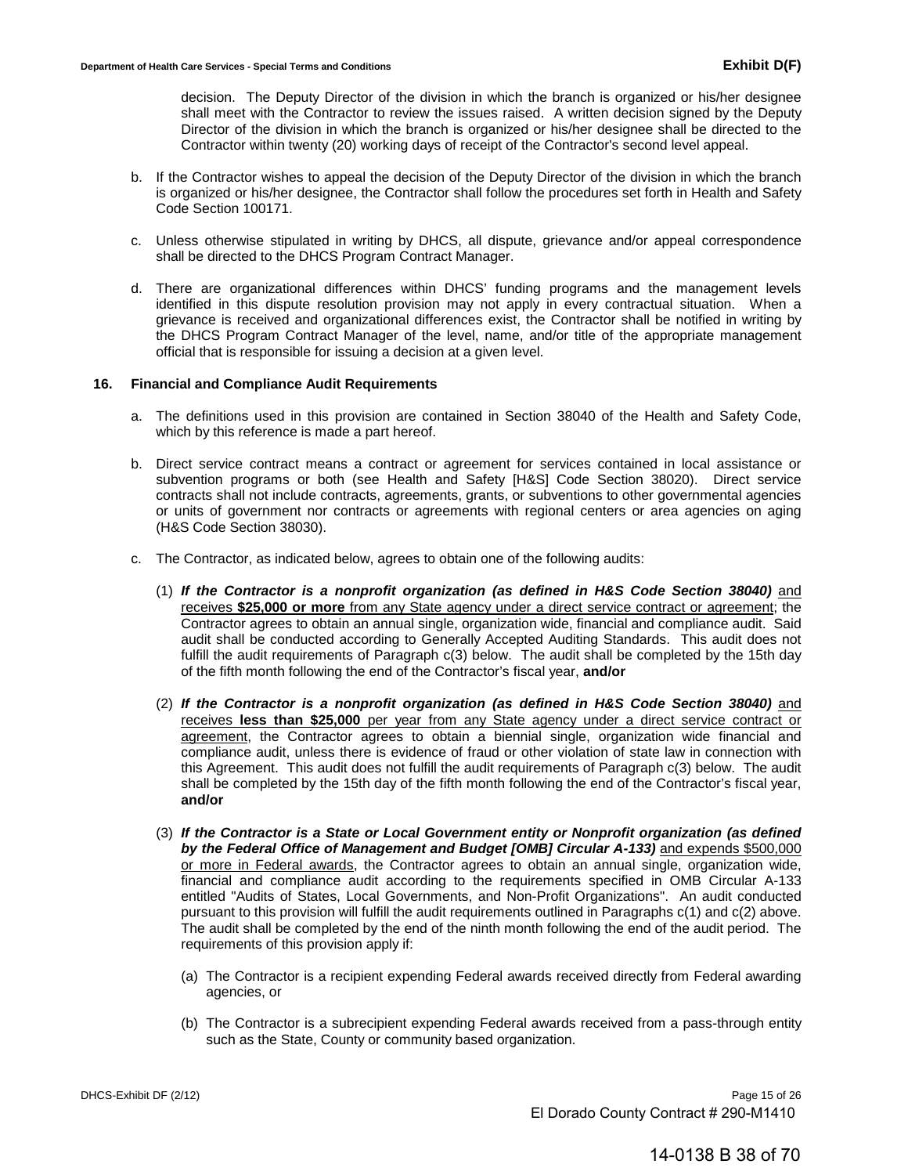decision. The Deputy Director of the division in which the branch is organized or his/her designee shall meet with the Contractor to review the issues raised. A written decision signed by the Deputy Director of the division in which the branch is organized or his/her designee shall be directed to the Contractor within twenty (20) working days of receipt of the Contractor's second level appeal.

- b. If the Contractor wishes to appeal the decision of the Deputy Director of the division in which the branch is organized or his/her designee, the Contractor shall follow the procedures set forth in Health and Safety Code Section 100171.
- c. Unless otherwise stipulated in writing by DHCS, all dispute, grievance and/or appeal correspondence shall be directed to the DHCS Program Contract Manager.
- d. There are organizational differences within DHCS' funding programs and the management levels identified in this dispute resolution provision may not apply in every contractual situation. When a grievance is received and organizational differences exist, the Contractor shall be notified in writing by the DHCS Program Contract Manager of the level, name, and/or title of the appropriate management official that is responsible for issuing a decision at a given level.

### **16. Financial and Compliance Audit Requirements**

- a. The definitions used in this provision are contained in Section 38040 of the Health and Safety Code, which by this reference is made a part hereof.
- b. Direct service contract means a contract or agreement for services contained in local assistance or subvention programs or both (see Health and Safety [H&S] Code Section 38020). Direct service contracts shall not include contracts, agreements, grants, or subventions to other governmental agencies or units of government nor contracts or agreements with regional centers or area agencies on aging (H&S Code Section 38030).
- c. The Contractor, as indicated below, agrees to obtain one of the following audits:
	- (1) *If the Contractor is a nonprofit organization (as defined in H&S Code Section 38040)* and receives **\$25,000 or more** from any State agency under a direct service contract or agreement; the Contractor agrees to obtain an annual single, organization wide, financial and compliance audit. Said audit shall be conducted according to Generally Accepted Auditing Standards. This audit does not fulfill the audit requirements of Paragraph c(3) below. The audit shall be completed by the 15th day of the fifth month following the end of the Contractor's fiscal year, **and/or**
	- (2) *If the Contractor is a nonprofit organization (as defined in H&S Code Section 38040)* and receives **less than \$25,000** per year from any State agency under a direct service contract or agreement, the Contractor agrees to obtain a biennial single, organization wide financial and compliance audit, unless there is evidence of fraud or other violation of state law in connection with this Agreement. This audit does not fulfill the audit requirements of Paragraph c(3) below. The audit shall be completed by the 15th day of the fifth month following the end of the Contractor's fiscal year, **and/or**
	- (3) *If the Contractor is a State or Local Government entity or Nonprofit organization (as defined by the Federal Office of Management and Budget [OMB] Circular A-133)* and expends \$500,000 or more in Federal awards, the Contractor agrees to obtain an annual single, organization wide, financial and compliance audit according to the requirements specified in OMB Circular A-133 entitled "Audits of States, Local Governments, and Non-Profit Organizations". An audit conducted pursuant to this provision will fulfill the audit requirements outlined in Paragraphs c(1) and c(2) above. The audit shall be completed by the end of the ninth month following the end of the audit period. The requirements of this provision apply if:
		- (a) The Contractor is a recipient expending Federal awards received directly from Federal awarding agencies, or
		- (b) The Contractor is a subrecipient expending Federal awards received from a pass-through entity such as the State, County or community based organization.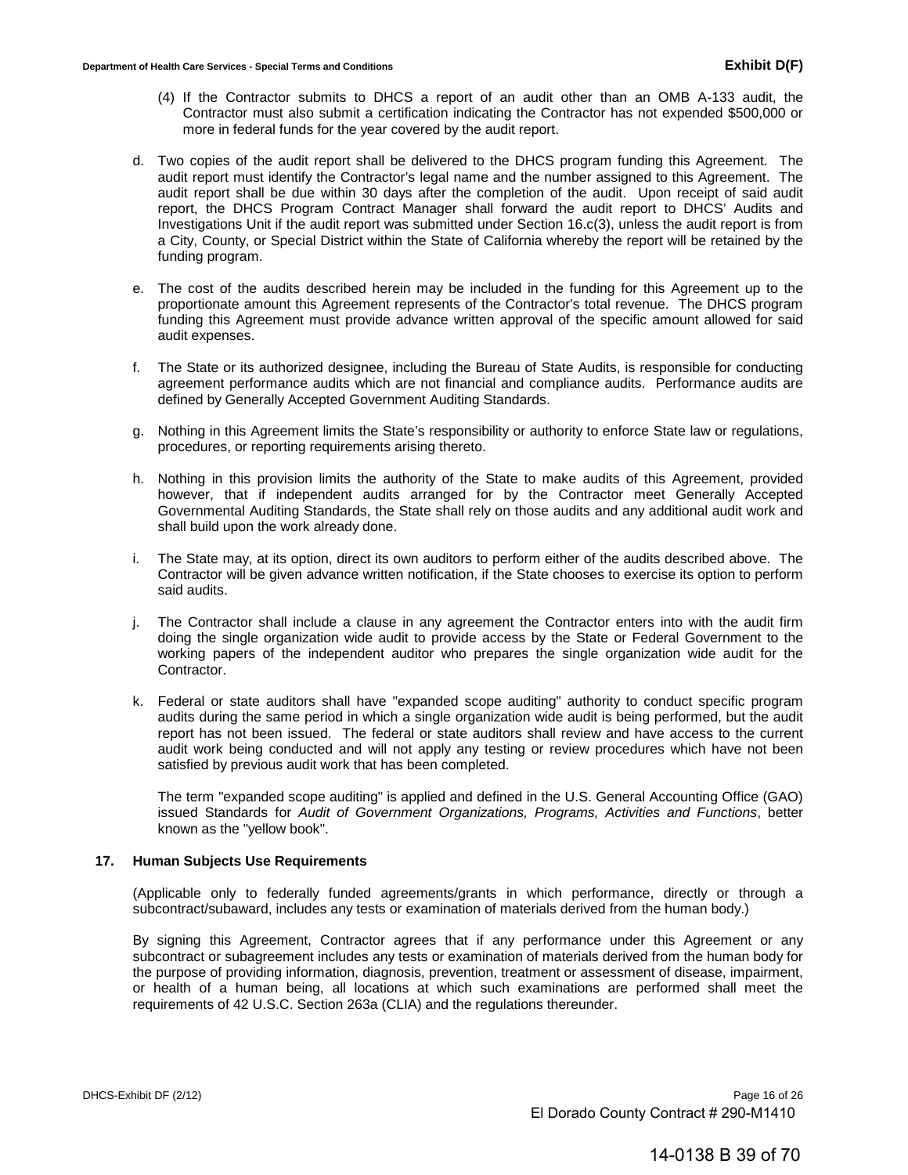- (4) If the Contractor submits to DHCS a report of an audit other than an OMB A-133 audit, the Contractor must also submit a certification indicating the Contractor has not expended \$500,000 or more in federal funds for the year covered by the audit report.
- d. Two copies of the audit report shall be delivered to the DHCS program funding this Agreement. The audit report must identify the Contractor's legal name and the number assigned to this Agreement. The audit report shall be due within 30 days after the completion of the audit. Upon receipt of said audit report, the DHCS Program Contract Manager shall forward the audit report to DHCS' Audits and Investigations Unit if the audit report was submitted under Section 16.c(3), unless the audit report is from a City, County, or Special District within the State of California whereby the report will be retained by the funding program.
- e. The cost of the audits described herein may be included in the funding for this Agreement up to the proportionate amount this Agreement represents of the Contractor's total revenue. The DHCS program funding this Agreement must provide advance written approval of the specific amount allowed for said audit expenses.
- f. The State or its authorized designee, including the Bureau of State Audits, is responsible for conducting agreement performance audits which are not financial and compliance audits. Performance audits are defined by Generally Accepted Government Auditing Standards.
- g. Nothing in this Agreement limits the State's responsibility or authority to enforce State law or regulations, procedures, or reporting requirements arising thereto.
- h. Nothing in this provision limits the authority of the State to make audits of this Agreement, provided however, that if independent audits arranged for by the Contractor meet Generally Accepted Governmental Auditing Standards, the State shall rely on those audits and any additional audit work and shall build upon the work already done.
- i. The State may, at its option, direct its own auditors to perform either of the audits described above. The Contractor will be given advance written notification, if the State chooses to exercise its option to perform said audits.
- j. The Contractor shall include a clause in any agreement the Contractor enters into with the audit firm doing the single organization wide audit to provide access by the State or Federal Government to the working papers of the independent auditor who prepares the single organization wide audit for the Contractor.
- k. Federal or state auditors shall have "expanded scope auditing" authority to conduct specific program audits during the same period in which a single organization wide audit is being performed, but the audit report has not been issued. The federal or state auditors shall review and have access to the current audit work being conducted and will not apply any testing or review procedures which have not been satisfied by previous audit work that has been completed.

The term "expanded scope auditing" is applied and defined in the U.S. General Accounting Office (GAO) issued Standards for *Audit of Government Organizations, Programs, Activities and Functions*, better known as the "yellow book".

# **17. Human Subjects Use Requirements**

(Applicable only to federally funded agreements/grants in which performance, directly or through a subcontract/subaward, includes any tests or examination of materials derived from the human body.)

By signing this Agreement, Contractor agrees that if any performance under this Agreement or any subcontract or subagreement includes any tests or examination of materials derived from the human body for the purpose of providing information, diagnosis, prevention, treatment or assessment of disease, impairment, or health of a human being, all locations at which such examinations are performed shall meet the requirements of 42 U.S.C. Section 263a (CLIA) and the regulations thereunder.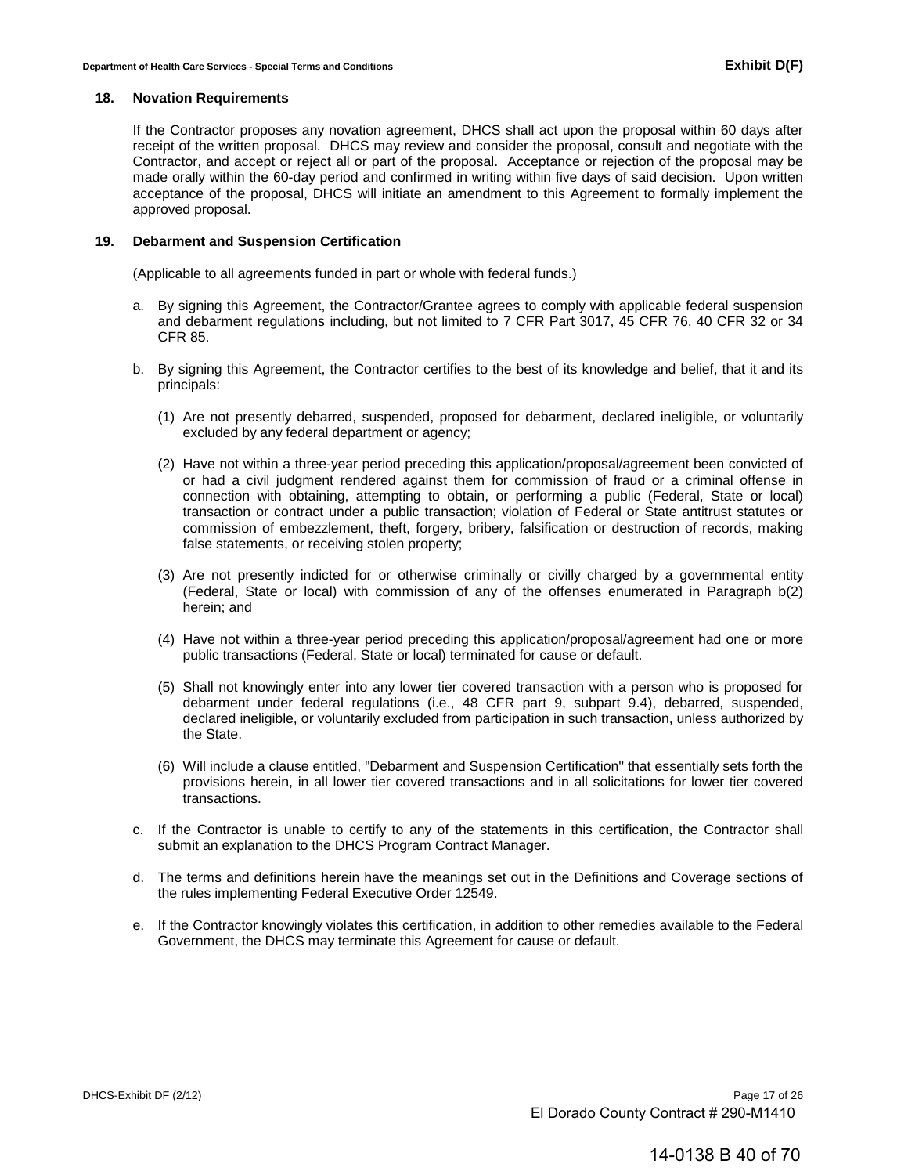#### **18. Novation Requirements**

If the Contractor proposes any novation agreement, DHCS shall act upon the proposal within 60 days after receipt of the written proposal. DHCS may review and consider the proposal, consult and negotiate with the Contractor, and accept or reject all or part of the proposal. Acceptance or rejection of the proposal may be made orally within the 60-day period and confirmed in writing within five days of said decision. Upon written acceptance of the proposal, DHCS will initiate an amendment to this Agreement to formally implement the approved proposal.

#### **19. Debarment and Suspension Certification**

(Applicable to all agreements funded in part or whole with federal funds.)

- a. By signing this Agreement, the Contractor/Grantee agrees to comply with applicable federal suspension and debarment regulations including, but not limited to 7 CFR Part 3017, 45 CFR 76, 40 CFR 32 or 34 CFR 85.
- b. By signing this Agreement, the Contractor certifies to the best of its knowledge and belief, that it and its principals:
	- (1) Are not presently debarred, suspended, proposed for debarment, declared ineligible, or voluntarily excluded by any federal department or agency;
	- (2) Have not within a three-year period preceding this application/proposal/agreement been convicted of or had a civil judgment rendered against them for commission of fraud or a criminal offense in connection with obtaining, attempting to obtain, or performing a public (Federal, State or local) transaction or contract under a public transaction; violation of Federal or State antitrust statutes or commission of embezzlement, theft, forgery, bribery, falsification or destruction of records, making false statements, or receiving stolen property;
	- (3) Are not presently indicted for or otherwise criminally or civilly charged by a governmental entity (Federal, State or local) with commission of any of the offenses enumerated in Paragraph b(2) herein; and
	- (4) Have not within a three-year period preceding this application/proposal/agreement had one or more public transactions (Federal, State or local) terminated for cause or default.
	- (5) Shall not knowingly enter into any lower tier covered transaction with a person who is proposed for debarment under federal regulations (i.e., 48 CFR part 9, subpart 9.4), debarred, suspended, declared ineligible, or voluntarily excluded from participation in such transaction, unless authorized by the State.
	- (6) Will include a clause entitled, "Debarment and Suspension Certification'' that essentially sets forth the provisions herein, in all lower tier covered transactions and in all solicitations for lower tier covered transactions.
- c. If the Contractor is unable to certify to any of the statements in this certification, the Contractor shall submit an explanation to the DHCS Program Contract Manager.
- d. The terms and definitions herein have the meanings set out in the Definitions and Coverage sections of the rules implementing Federal Executive Order 12549.
- e. If the Contractor knowingly violates this certification, in addition to other remedies available to the Federal Government, the DHCS may terminate this Agreement for cause or default.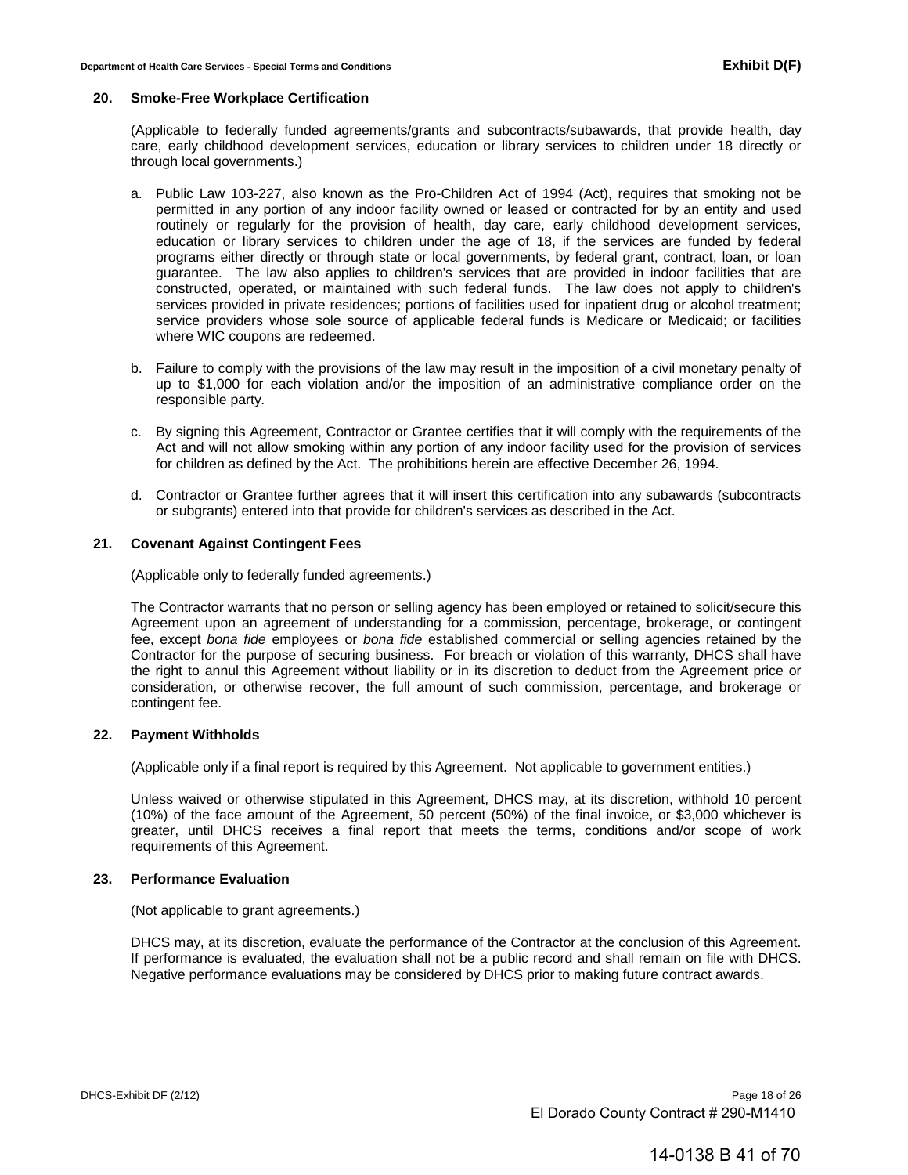#### **20. Smoke-Free Workplace Certification**

(Applicable to federally funded agreements/grants and subcontracts/subawards, that provide health, day care, early childhood development services, education or library services to children under 18 directly or through local governments.)

- a. Public Law 103-227, also known as the Pro-Children Act of 1994 (Act), requires that smoking not be permitted in any portion of any indoor facility owned or leased or contracted for by an entity and used routinely or regularly for the provision of health, day care, early childhood development services, education or library services to children under the age of 18, if the services are funded by federal programs either directly or through state or local governments, by federal grant, contract, loan, or loan guarantee. The law also applies to children's services that are provided in indoor facilities that are constructed, operated, or maintained with such federal funds. The law does not apply to children's services provided in private residences; portions of facilities used for inpatient drug or alcohol treatment; service providers whose sole source of applicable federal funds is Medicare or Medicaid; or facilities where WIC coupons are redeemed.
- b. Failure to comply with the provisions of the law may result in the imposition of a civil monetary penalty of up to \$1,000 for each violation and/or the imposition of an administrative compliance order on the responsible party.
- c. By signing this Agreement, Contractor or Grantee certifies that it will comply with the requirements of the Act and will not allow smoking within any portion of any indoor facility used for the provision of services for children as defined by the Act. The prohibitions herein are effective December 26, 1994.
- d. Contractor or Grantee further agrees that it will insert this certification into any subawards (subcontracts or subgrants) entered into that provide for children's services as described in the Act.

#### **21. Covenant Against Contingent Fees**

(Applicable only to federally funded agreements.)

The Contractor warrants that no person or selling agency has been employed or retained to solicit/secure this Agreement upon an agreement of understanding for a commission, percentage, brokerage, or contingent fee, except *bona fide* employees or *bona fide* established commercial or selling agencies retained by the Contractor for the purpose of securing business. For breach or violation of this warranty, DHCS shall have the right to annul this Agreement without liability or in its discretion to deduct from the Agreement price or consideration, or otherwise recover, the full amount of such commission, percentage, and brokerage or contingent fee.

#### **22. Payment Withholds**

(Applicable only if a final report is required by this Agreement. Not applicable to government entities.)

Unless waived or otherwise stipulated in this Agreement, DHCS may, at its discretion, withhold 10 percent (10%) of the face amount of the Agreement, 50 percent (50%) of the final invoice, or \$3,000 whichever is greater, until DHCS receives a final report that meets the terms, conditions and/or scope of work requirements of this Agreement.

#### **23. Performance Evaluation**

(Not applicable to grant agreements.)

DHCS may, at its discretion, evaluate the performance of the Contractor at the conclusion of this Agreement. If performance is evaluated, the evaluation shall not be a public record and shall remain on file with DHCS. Negative performance evaluations may be considered by DHCS prior to making future contract awards.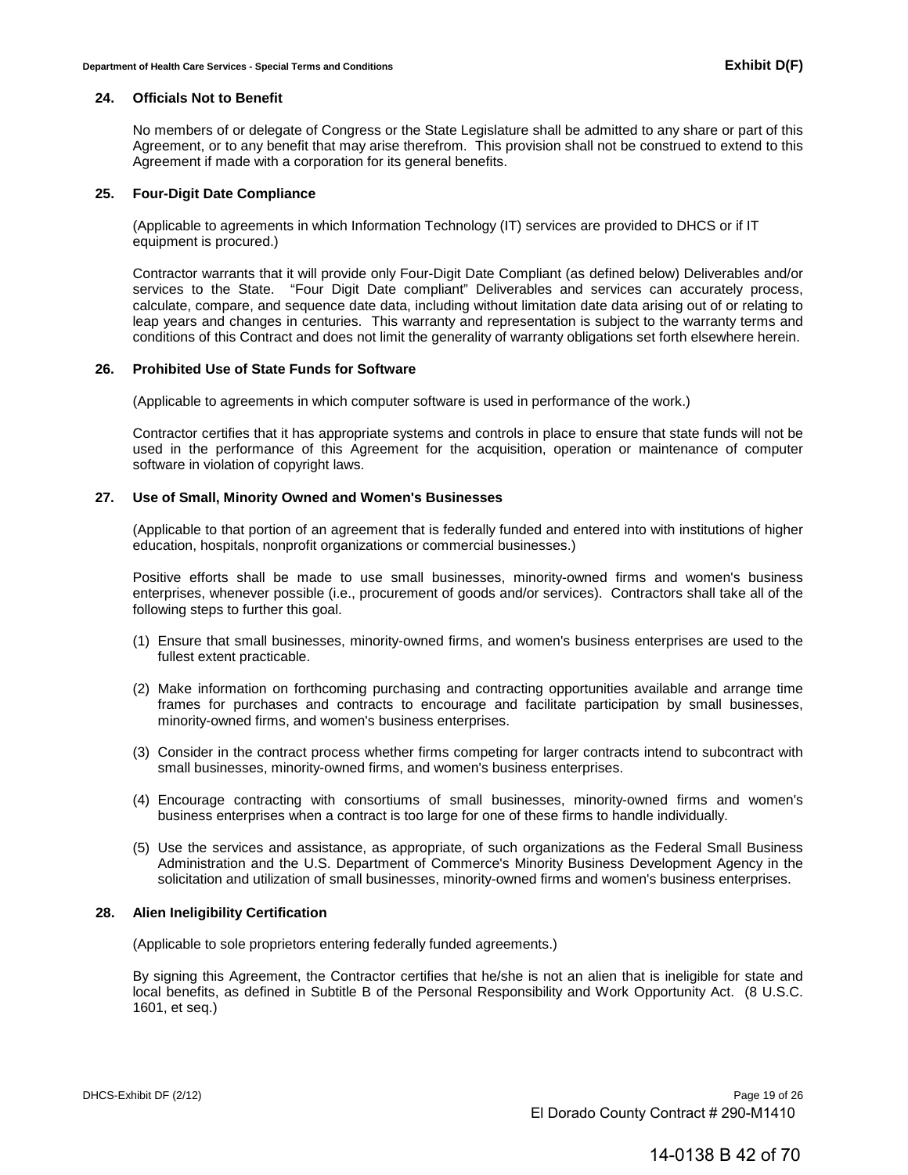#### **24. Officials Not to Benefit**

No members of or delegate of Congress or the State Legislature shall be admitted to any share or part of this Agreement, or to any benefit that may arise therefrom. This provision shall not be construed to extend to this Agreement if made with a corporation for its general benefits.

#### **25. Four-Digit Date Compliance**

(Applicable to agreements in which Information Technology (IT) services are provided to DHCS or if IT equipment is procured.)

Contractor warrants that it will provide only Four-Digit Date Compliant (as defined below) Deliverables and/or services to the State. "Four Digit Date compliant" Deliverables and services can accurately process, calculate, compare, and sequence date data, including without limitation date data arising out of or relating to leap years and changes in centuries. This warranty and representation is subject to the warranty terms and conditions of this Contract and does not limit the generality of warranty obligations set forth elsewhere herein.

#### **26. Prohibited Use of State Funds for Software**

(Applicable to agreements in which computer software is used in performance of the work.)

Contractor certifies that it has appropriate systems and controls in place to ensure that state funds will not be used in the performance of this Agreement for the acquisition, operation or maintenance of computer software in violation of copyright laws.

#### **27. Use of Small, Minority Owned and Women's Businesses**

(Applicable to that portion of an agreement that is federally funded and entered into with institutions of higher education, hospitals, nonprofit organizations or commercial businesses.)

Positive efforts shall be made to use small businesses, minority-owned firms and women's business enterprises, whenever possible (i.e., procurement of goods and/or services). Contractors shall take all of the following steps to further this goal.

- (1) Ensure that small businesses, minority-owned firms, and women's business enterprises are used to the fullest extent practicable.
- (2) Make information on forthcoming purchasing and contracting opportunities available and arrange time frames for purchases and contracts to encourage and facilitate participation by small businesses, minority-owned firms, and women's business enterprises.
- (3) Consider in the contract process whether firms competing for larger contracts intend to subcontract with small businesses, minority-owned firms, and women's business enterprises.
- (4) Encourage contracting with consortiums of small businesses, minority-owned firms and women's business enterprises when a contract is too large for one of these firms to handle individually.
- (5) Use the services and assistance, as appropriate, of such organizations as the Federal Small Business Administration and the U.S. Department of Commerce's Minority Business Development Agency in the solicitation and utilization of small businesses, minority-owned firms and women's business enterprises.

#### **28. Alien Ineligibility Certification**

(Applicable to sole proprietors entering federally funded agreements.)

By signing this Agreement, the Contractor certifies that he/she is not an alien that is ineligible for state and local benefits, as defined in Subtitle B of the Personal Responsibility and Work Opportunity Act. (8 U.S.C. 1601, et seq.)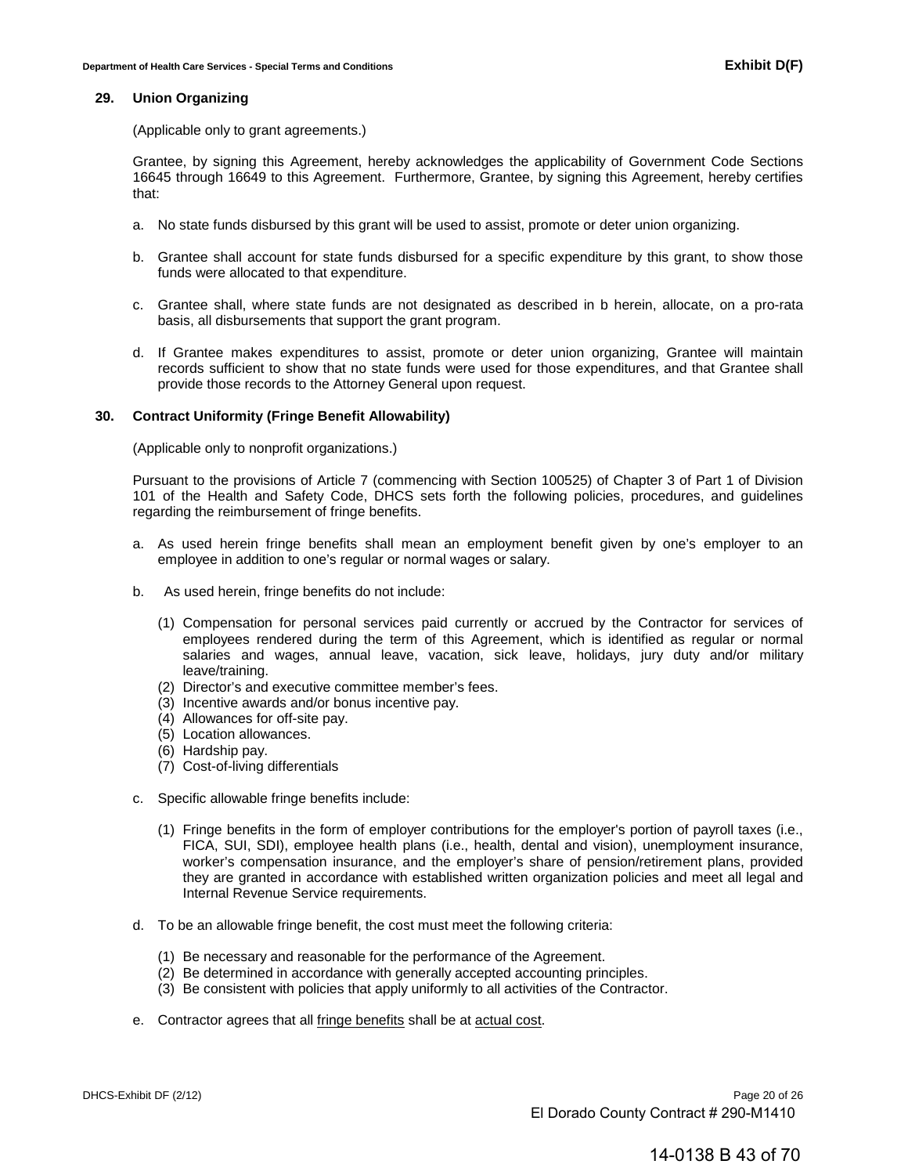#### **29. Union Organizing**

(Applicable only to grant agreements.)

Grantee, by signing this Agreement, hereby acknowledges the applicability of Government Code Sections 16645 through 16649 to this Agreement. Furthermore, Grantee, by signing this Agreement, hereby certifies that:

- a. No state funds disbursed by this grant will be used to assist, promote or deter union organizing.
- b. Grantee shall account for state funds disbursed for a specific expenditure by this grant, to show those funds were allocated to that expenditure.
- c. Grantee shall, where state funds are not designated as described in b herein, allocate, on a pro-rata basis, all disbursements that support the grant program.
- d. If Grantee makes expenditures to assist, promote or deter union organizing, Grantee will maintain records sufficient to show that no state funds were used for those expenditures, and that Grantee shall provide those records to the Attorney General upon request.

#### **30. Contract Uniformity (Fringe Benefit Allowability)**

(Applicable only to nonprofit organizations.)

Pursuant to the provisions of Article 7 (commencing with Section 100525) of Chapter 3 of Part 1 of Division 101 of the Health and Safety Code, DHCS sets forth the following policies, procedures, and guidelines regarding the reimbursement of fringe benefits.

- a. As used herein fringe benefits shall mean an employment benefit given by one's employer to an employee in addition to one's regular or normal wages or salary.
- b. As used herein, fringe benefits do not include:
	- (1) Compensation for personal services paid currently or accrued by the Contractor for services of employees rendered during the term of this Agreement, which is identified as regular or normal salaries and wages, annual leave, vacation, sick leave, holidays, jury duty and/or military leave/training.
	- (2) Director's and executive committee member's fees.
	- (3) Incentive awards and/or bonus incentive pay.
	- (4) Allowances for off-site pay.
	- (5) Location allowances.
	- (6) Hardship pay.
	- (7) Cost-of-living differentials
- c. Specific allowable fringe benefits include:
	- (1) Fringe benefits in the form of employer contributions for the employer's portion of payroll taxes (i.e., FICA, SUI, SDI), employee health plans (i.e., health, dental and vision), unemployment insurance, worker's compensation insurance, and the employer's share of pension/retirement plans, provided they are granted in accordance with established written organization policies and meet all legal and Internal Revenue Service requirements.
- d. To be an allowable fringe benefit, the cost must meet the following criteria:
	- (1) Be necessary and reasonable for the performance of the Agreement.
	- (2) Be determined in accordance with generally accepted accounting principles.
	- (3) Be consistent with policies that apply uniformly to all activities of the Contractor.
- e. Contractor agrees that all fringe benefits shall be at actual cost.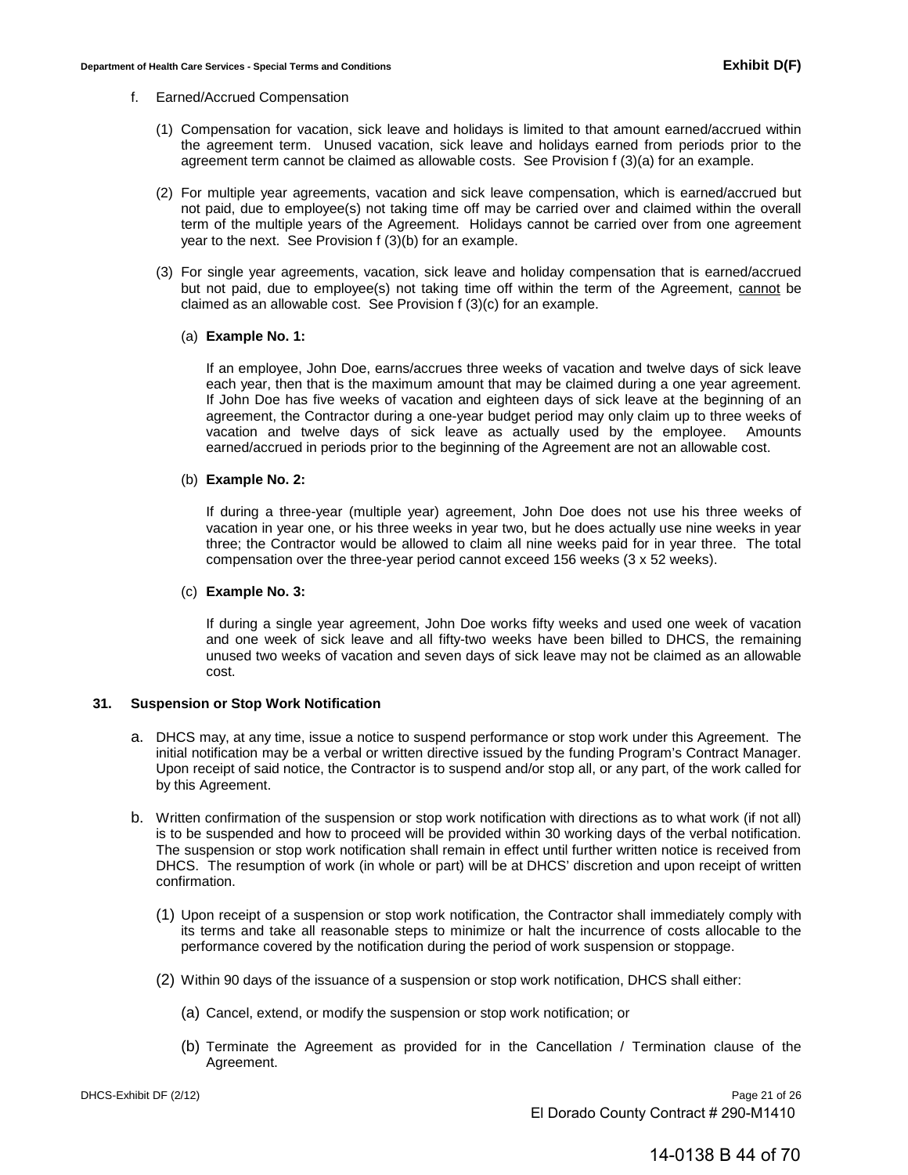#### f. Earned/Accrued Compensation

- (1) Compensation for vacation, sick leave and holidays is limited to that amount earned/accrued within the agreement term. Unused vacation, sick leave and holidays earned from periods prior to the agreement term cannot be claimed as allowable costs. See Provision f (3)(a) for an example.
- (2) For multiple year agreements, vacation and sick leave compensation, which is earned/accrued but not paid, due to employee(s) not taking time off may be carried over and claimed within the overall term of the multiple years of the Agreement. Holidays cannot be carried over from one agreement year to the next. See Provision  $f(3)(b)$  for an example.
- (3) For single year agreements, vacation, sick leave and holiday compensation that is earned/accrued but not paid, due to employee(s) not taking time off within the term of the Agreement, cannot be claimed as an allowable cost. See Provision f (3)(c) for an example.

#### (a) **Example No. 1:**

If an employee, John Doe, earns/accrues three weeks of vacation and twelve days of sick leave each year, then that is the maximum amount that may be claimed during a one year agreement. If John Doe has five weeks of vacation and eighteen days of sick leave at the beginning of an agreement, the Contractor during a one-year budget period may only claim up to three weeks of vacation and twelve days of sick leave as actually used by the employee. Amounts earned/accrued in periods prior to the beginning of the Agreement are not an allowable cost.

#### (b) **Example No. 2:**

If during a three-year (multiple year) agreement, John Doe does not use his three weeks of vacation in year one, or his three weeks in year two, but he does actually use nine weeks in year three; the Contractor would be allowed to claim all nine weeks paid for in year three. The total compensation over the three-year period cannot exceed 156 weeks (3 x 52 weeks).

#### (c) **Example No. 3:**

If during a single year agreement, John Doe works fifty weeks and used one week of vacation and one week of sick leave and all fifty-two weeks have been billed to DHCS, the remaining unused two weeks of vacation and seven days of sick leave may not be claimed as an allowable cost.

#### **31. Suspension or Stop Work Notification**

- a. DHCS may, at any time, issue a notice to suspend performance or stop work under this Agreement. The initial notification may be a verbal or written directive issued by the funding Program's Contract Manager. Upon receipt of said notice, the Contractor is to suspend and/or stop all, or any part, of the work called for by this Agreement.
- b. Written confirmation of the suspension or stop work notification with directions as to what work (if not all) is to be suspended and how to proceed will be provided within 30 working days of the verbal notification. The suspension or stop work notification shall remain in effect until further written notice is received from DHCS. The resumption of work (in whole or part) will be at DHCS' discretion and upon receipt of written confirmation.
	- (1) Upon receipt of a suspension or stop work notification, the Contractor shall immediately comply with its terms and take all reasonable steps to minimize or halt the incurrence of costs allocable to the performance covered by the notification during the period of work suspension or stoppage.
	- (2) Within 90 days of the issuance of a suspension or stop work notification, DHCS shall either:
		- (a) Cancel, extend, or modify the suspension or stop work notification; or
		- (b) Terminate the Agreement as provided for in the Cancellation / Termination clause of the Agreement.

DHCS-Exhibit DF (2/12) **Page 21 of 26** El Dorado County Contract # 290-M1410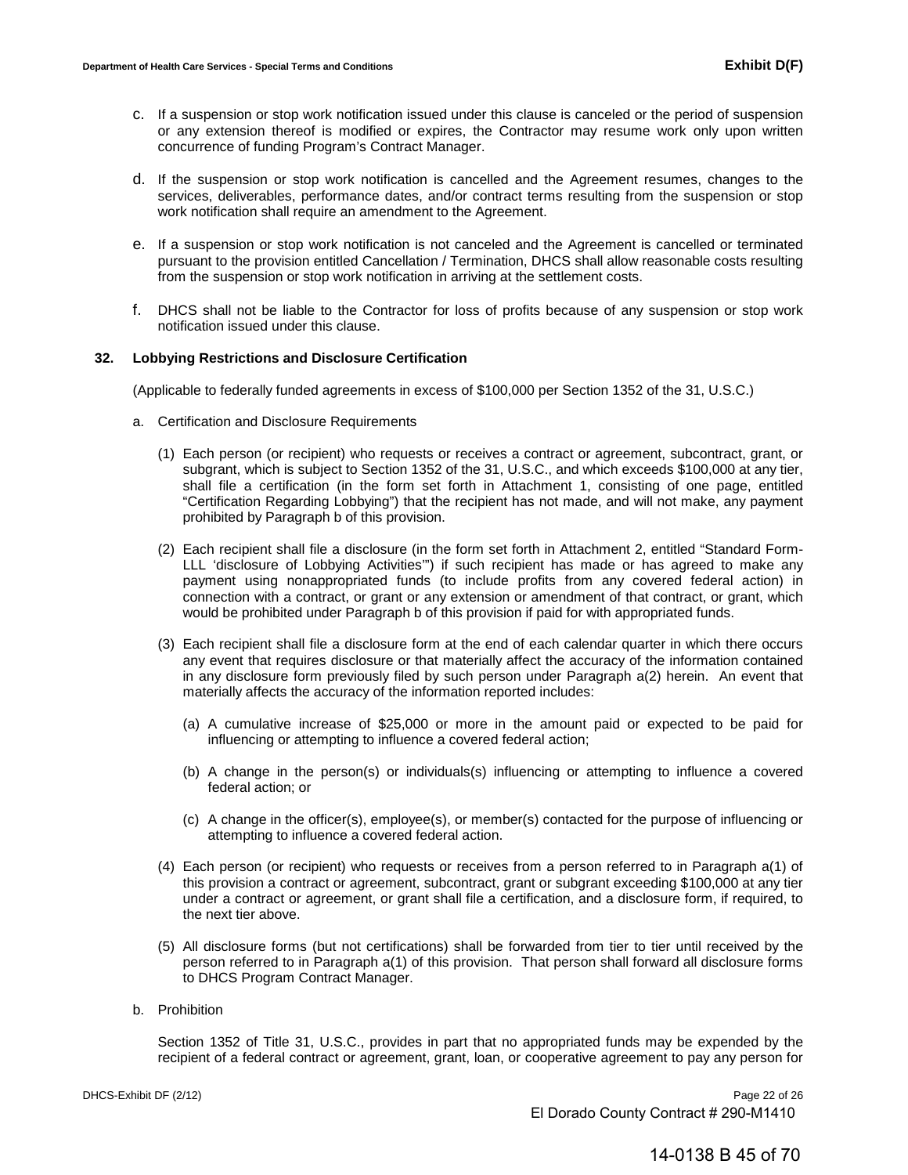- c. If a suspension or stop work notification issued under this clause is canceled or the period of suspension or any extension thereof is modified or expires, the Contractor may resume work only upon written concurrence of funding Program's Contract Manager.
- d. If the suspension or stop work notification is cancelled and the Agreement resumes, changes to the services, deliverables, performance dates, and/or contract terms resulting from the suspension or stop work notification shall require an amendment to the Agreement.
- e. If a suspension or stop work notification is not canceled and the Agreement is cancelled or terminated pursuant to the provision entitled Cancellation / Termination, DHCS shall allow reasonable costs resulting from the suspension or stop work notification in arriving at the settlement costs.
- f. DHCS shall not be liable to the Contractor for loss of profits because of any suspension or stop work notification issued under this clause.

#### **32. Lobbying Restrictions and Disclosure Certification**

(Applicable to federally funded agreements in excess of \$100,000 per Section 1352 of the 31, U.S.C.)

- a. Certification and Disclosure Requirements
	- (1) Each person (or recipient) who requests or receives a contract or agreement, subcontract, grant, or subgrant, which is subject to Section 1352 of the 31, U.S.C., and which exceeds \$100,000 at any tier, shall file a certification (in the form set forth in Attachment 1, consisting of one page, entitled "Certification Regarding Lobbying") that the recipient has not made, and will not make, any payment prohibited by Paragraph b of this provision.
	- (2) Each recipient shall file a disclosure (in the form set forth in Attachment 2, entitled "Standard Form-LLL 'disclosure of Lobbying Activities'") if such recipient has made or has agreed to make any payment using nonappropriated funds (to include profits from any covered federal action) in connection with a contract, or grant or any extension or amendment of that contract, or grant, which would be prohibited under Paragraph b of this provision if paid for with appropriated funds.
	- (3) Each recipient shall file a disclosure form at the end of each calendar quarter in which there occurs any event that requires disclosure or that materially affect the accuracy of the information contained in any disclosure form previously filed by such person under Paragraph a(2) herein. An event that materially affects the accuracy of the information reported includes:
		- (a) A cumulative increase of \$25,000 or more in the amount paid or expected to be paid for influencing or attempting to influence a covered federal action;
		- (b) A change in the person(s) or individuals(s) influencing or attempting to influence a covered federal action; or
		- (c) A change in the officer(s), employee(s), or member(s) contacted for the purpose of influencing or attempting to influence a covered federal action.
	- (4) Each person (or recipient) who requests or receives from a person referred to in Paragraph a(1) of this provision a contract or agreement, subcontract, grant or subgrant exceeding \$100,000 at any tier under a contract or agreement, or grant shall file a certification, and a disclosure form, if required, to the next tier above.
	- (5) All disclosure forms (but not certifications) shall be forwarded from tier to tier until received by the person referred to in Paragraph a(1) of this provision. That person shall forward all disclosure forms to DHCS Program Contract Manager.
- b. Prohibition

Section 1352 of Title 31, U.S.C., provides in part that no appropriated funds may be expended by the recipient of a federal contract or agreement, grant, loan, or cooperative agreement to pay any person for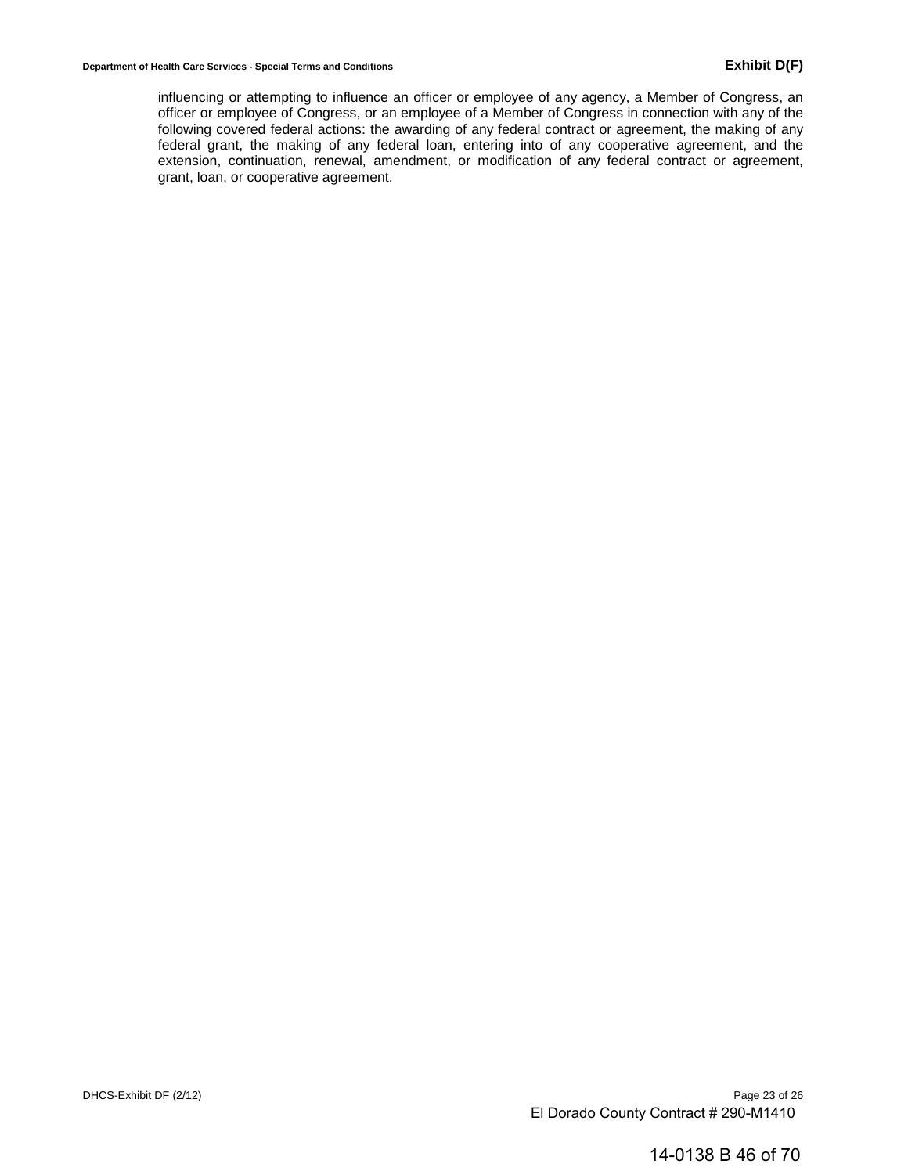influencing or attempting to influence an officer or employee of any agency, a Member of Congress, an officer or employee of Congress, or an employee of a Member of Congress in connection with any of the following covered federal actions: the awarding of any federal contract or agreement, the making of any federal grant, the making of any federal loan, entering into of any cooperative agreement, and the extension, continuation, renewal, amendment, or modification of any federal contract or agreement, grant, loan, or cooperative agreement.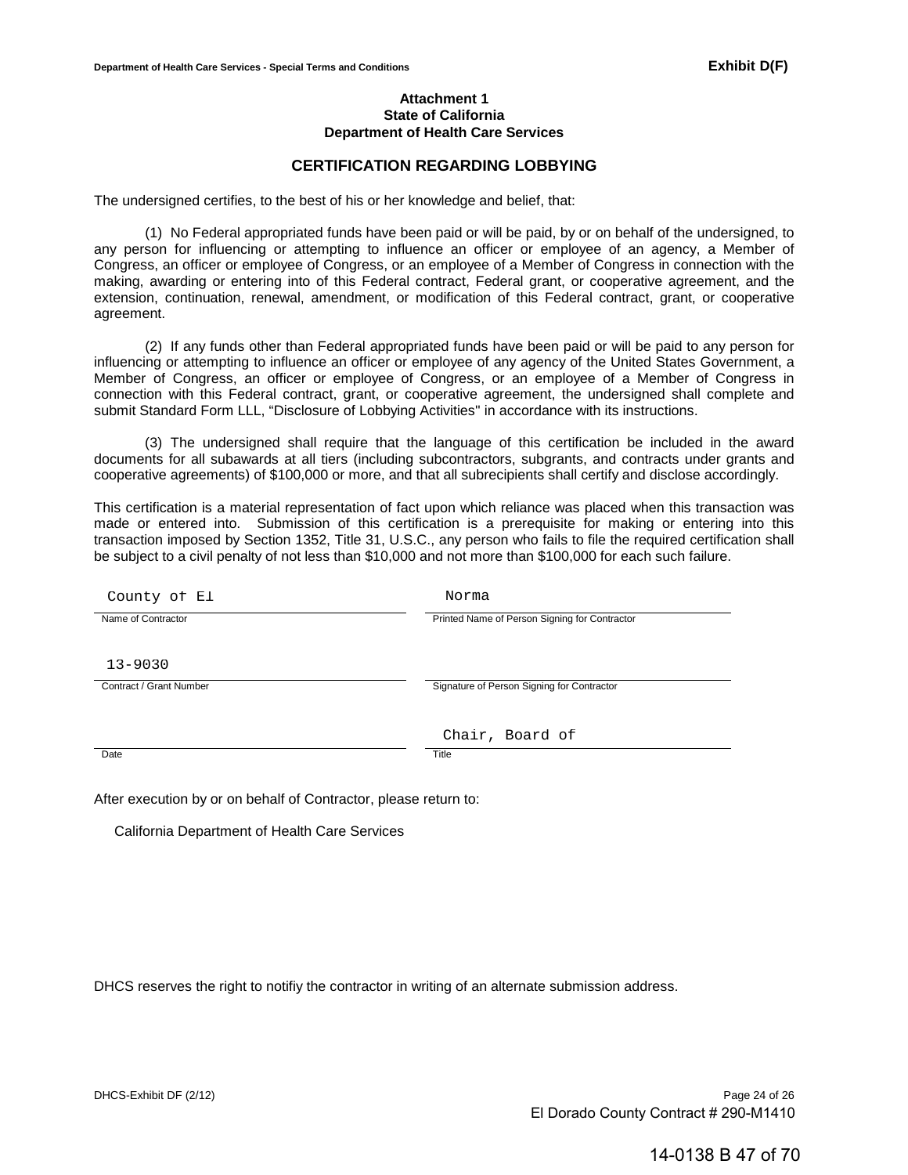### **Attachment 1 State of California Department of Health Care Services**

# **CERTIFICATION REGARDING LOBBYING**

The undersigned certifies, to the best of his or her knowledge and belief, that:

(1) No Federal appropriated funds have been paid or will be paid, by or on behalf of the undersigned, to any person for influencing or attempting to influence an officer or employee of an agency, a Member of Congress, an officer or employee of Congress, or an employee of a Member of Congress in connection with the making, awarding or entering into of this Federal contract, Federal grant, or cooperative agreement, and the extension, continuation, renewal, amendment, or modification of this Federal contract, grant, or cooperative agreement.

(2) If any funds other than Federal appropriated funds have been paid or will be paid to any person for influencing or attempting to influence an officer or employee of any agency of the United States Government, a Member of Congress, an officer or employee of Congress, or an employee of a Member of Congress in connection with this Federal contract, grant, or cooperative agreement, the undersigned shall complete and submit Standard Form LLL, "Disclosure of Lobbying Activities'' in accordance with its instructions.

(3) The undersigned shall require that the language of this certification be included in the award documents for all subawards at all tiers (including subcontractors, subgrants, and contracts under grants and cooperative agreements) of \$100,000 or more, and that all subrecipients shall certify and disclose accordingly.

This certification is a material representation of fact upon which reliance was placed when this transaction was made or entered into. Submission of this certification is a prerequisite for making or entering into this transaction imposed by Section 1352, Title 31, U.S.C., any person who fails to file the required certification shall be subject to a civil penalty of not less than \$10,000 and not more than \$100,000 for each such failure.

| County of El            | Norma                                         |
|-------------------------|-----------------------------------------------|
| Name of Contractor      | Printed Name of Person Signing for Contractor |
| $13 - 9030$             |                                               |
| Contract / Grant Number | Signature of Person Signing for Contractor    |
|                         |                                               |
|                         | Chair, Board of                               |
| Date                    | Title                                         |
|                         |                                               |

After execution by or on behalf of Contractor, please return to:

California Department of Health Care Services

DHCS reserves the right to notifiy the contractor in writing of an alternate submission address.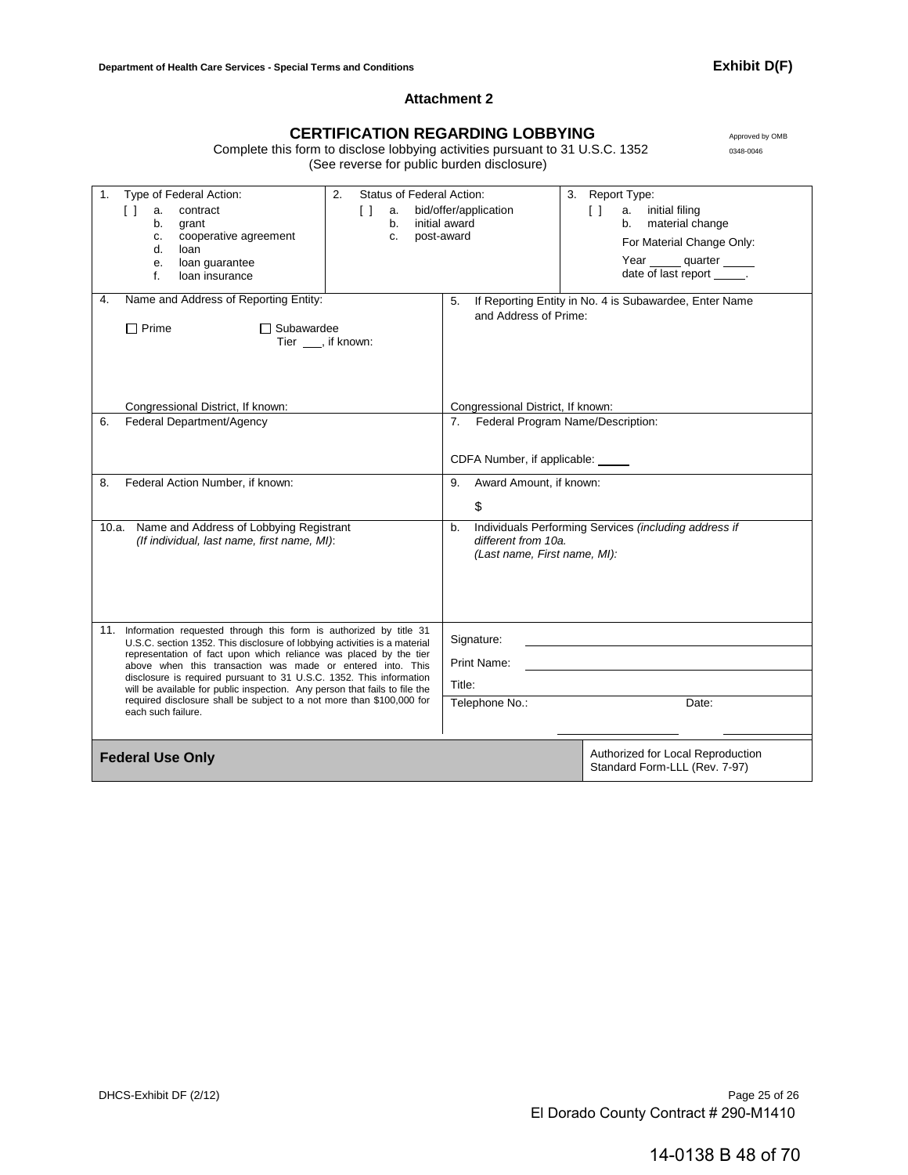## **Attachment 2**

# CERTIFICATION REGARDING LOBBYING Approved by OMB

Complete this form to disclose lobbying activities pursuant to 31 U.S.C. 1352 0348-0046 (See reverse for public burden disclosure)

| Type of Federal Action:<br>1.<br>contract<br>$\Box$<br>a.<br>b.<br>grant<br>cooperative agreement<br>c.<br>d.<br>loan<br>loan guarantee<br>е.<br>f.<br>loan insurance                                                                                                                                                                                                                                                                                                                                                                        | 2.<br>Status of Federal Action:<br>bid/offer/application<br>$\lceil$ $\rceil$<br>a.<br>initial award<br>b.<br>post-award<br>c. |                                                                                                                | 3. Report Type:<br>initial filing<br>$\Box$<br>а.<br>material change<br>b.<br>For Material Change Only:<br>Year quarter<br>date of last report ______. |
|----------------------------------------------------------------------------------------------------------------------------------------------------------------------------------------------------------------------------------------------------------------------------------------------------------------------------------------------------------------------------------------------------------------------------------------------------------------------------------------------------------------------------------------------|--------------------------------------------------------------------------------------------------------------------------------|----------------------------------------------------------------------------------------------------------------|--------------------------------------------------------------------------------------------------------------------------------------------------------|
| Name and Address of Reporting Entity:<br>4.<br>$\Box$ Prime<br><b>□ Subawardee</b>                                                                                                                                                                                                                                                                                                                                                                                                                                                           | Tier ___, if known:                                                                                                            | 5.<br>and Address of Prime:                                                                                    | If Reporting Entity in No. 4 is Subawardee, Enter Name                                                                                                 |
| Congressional District, If known:<br>Federal Department/Agency<br>6.                                                                                                                                                                                                                                                                                                                                                                                                                                                                         |                                                                                                                                | Congressional District, If known:<br>7. Federal Program Name/Description:<br>CDFA Number, if applicable: _____ |                                                                                                                                                        |
| Federal Action Number, if known:<br>8.                                                                                                                                                                                                                                                                                                                                                                                                                                                                                                       |                                                                                                                                | Award Amount, if known:<br>9.<br>\$                                                                            |                                                                                                                                                        |
| Name and Address of Lobbying Registrant<br>10.a.<br>(If individual, last name, first name, MI):                                                                                                                                                                                                                                                                                                                                                                                                                                              |                                                                                                                                | b.<br>different from 10a.<br>(Last name, First name, MI):                                                      | Individuals Performing Services (including address if                                                                                                  |
| Information requested through this form is authorized by title 31<br>11.<br>U.S.C. section 1352. This disclosure of lobbying activities is a material<br>representation of fact upon which reliance was placed by the tier<br>above when this transaction was made or entered into. This<br>disclosure is required pursuant to 31 U.S.C. 1352. This information<br>will be available for public inspection. Any person that fails to file the<br>required disclosure shall be subject to a not more than \$100,000 for<br>each such failure. |                                                                                                                                | Signature:<br>Print Name:<br>Title:<br>Telephone No.:                                                          | Date:                                                                                                                                                  |
| <b>Federal Use Only</b>                                                                                                                                                                                                                                                                                                                                                                                                                                                                                                                      |                                                                                                                                |                                                                                                                | Authorized for Local Reproduction<br>Standard Form-LLL (Rev. 7-97)                                                                                     |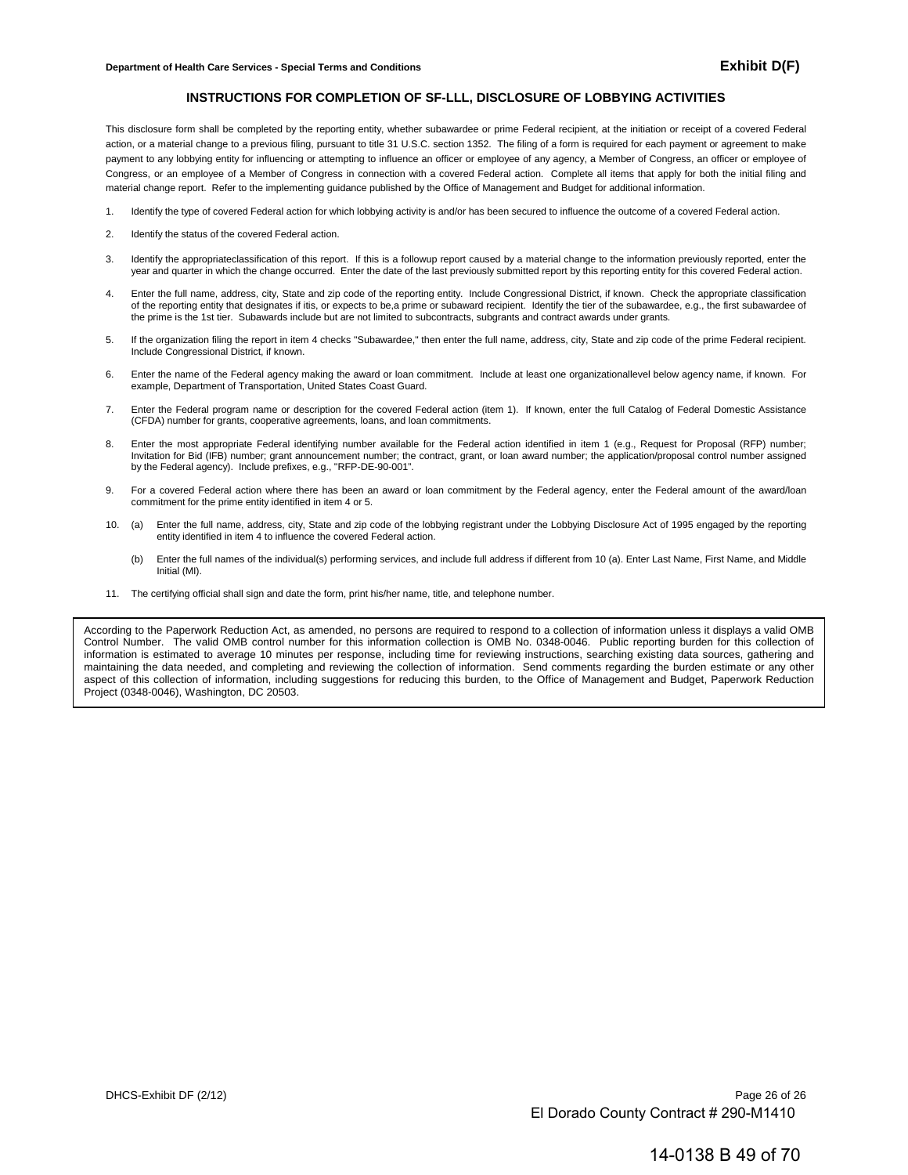#### **INSTRUCTIONS FOR COMPLETION OF SF-LLL, DISCLOSURE OF LOBBYING ACTIVITIES**

This disclosure form shall be completed by the reporting entity, whether subawardee or prime Federal recipient, at the initiation or receipt of a covered Federal action, or a material change to a previous filing, pursuant to title 31 U.S.C. section 1352. The filing of a form is required for each payment or agreement to make payment to any lobbying entity for influencing or attempting to influence an officer or employee of any agency, a Member of Congress, an officer or employee of Congress, or an employee of a Member of Congress in connection with a covered Federal action. Complete all items that apply for both the initial filing and material change report. Refer to the implementing guidance published by the Office of Management and Budget for additional information.

- 1. Identify the type of covered Federal action for which lobbying activity is and/or has been secured to influence the outcome of a covered Federal action.
- 2. Identify the status of the covered Federal action.
- 3. Identify the appropriateclassification of this report. If this is a followup report caused by a material change to the information previously reported, enter the year and quarter in which the change occurred. Enter the date of the last previously submitted report by this reporting entity for this covered Federal action.
- 4. Enter the full name, address, city, State and zip code of the reporting entity. Include Congressional District, if known. Check the appropriate classification of the reporting entity that designates if itis, or expects to be,a prime or subaward recipient. Identify the tier of the subawardee, e.g., the first subawardee of the prime is the 1st tier. Subawards include but are not limited to subcontracts, subgrants and contract awards under grants.
- 5. If the organization filing the report in item 4 checks "Subawardee," then enter the full name, address, city, State and zip code of the prime Federal recipient. Include Congressional District, if known.
- 6. Enter the name of the Federal agency making the award or loan commitment. Include at least one organizationallevel below agency name, if known. For example, Department of Transportation, United States Coast Guard.
- 7. Enter the Federal program name or description for the covered Federal action (item 1). If known, enter the full Catalog of Federal Domestic Assistance (CFDA) number for grants, cooperative agreements, loans, and loan commitments.
- 8. Enter the most appropriate Federal identifying number available for the Federal action identified in item 1 (e.g., Request for Proposal (RFP) number; Invitation for Bid (IFB) number; grant announcement number; the contract, grant, or loan award number; the application/proposal control number assigned by the Federal agency). Include prefixes, e.g., "RFP-DE-90-001".
- 9. For a covered Federal action where there has been an award or loan commitment by the Federal agency, enter the Federal amount of the award/loan commitment for the prime entity identified in item 4 or 5.
- 10. (a) Enter the full name, address, city, State and zip code of the lobbying registrant under the Lobbying Disclosure Act of 1995 engaged by the reporting entity identified in item 4 to influence the covered Federal action.
	- (b) Enter the full names of the individual(s) performing services, and include full address if different from 10 (a). Enter Last Name, First Name, and Middle Initial (MI).
- 11. The certifying official shall sign and date the form, print his/her name, title, and telephone number.

According to the Paperwork Reduction Act, as amended, no persons are required to respond to a collection of information unless it displays a valid OMB Control Number. The valid OMB control number for this information collection is OMB No. 0348-0046. Public reporting burden for this collection of information is estimated to average 10 minutes per response, including time for reviewing instructions, searching existing data sources, gathering and maintaining the data needed, and completing and reviewing the collection of information. Send comments regarding the burden estimate or any other aspect of this collection of information, including suggestions for reducing this burden, to the Office of Management and Budget, Paperwork Reduction Project (0348-0046), Washington, DC 20503.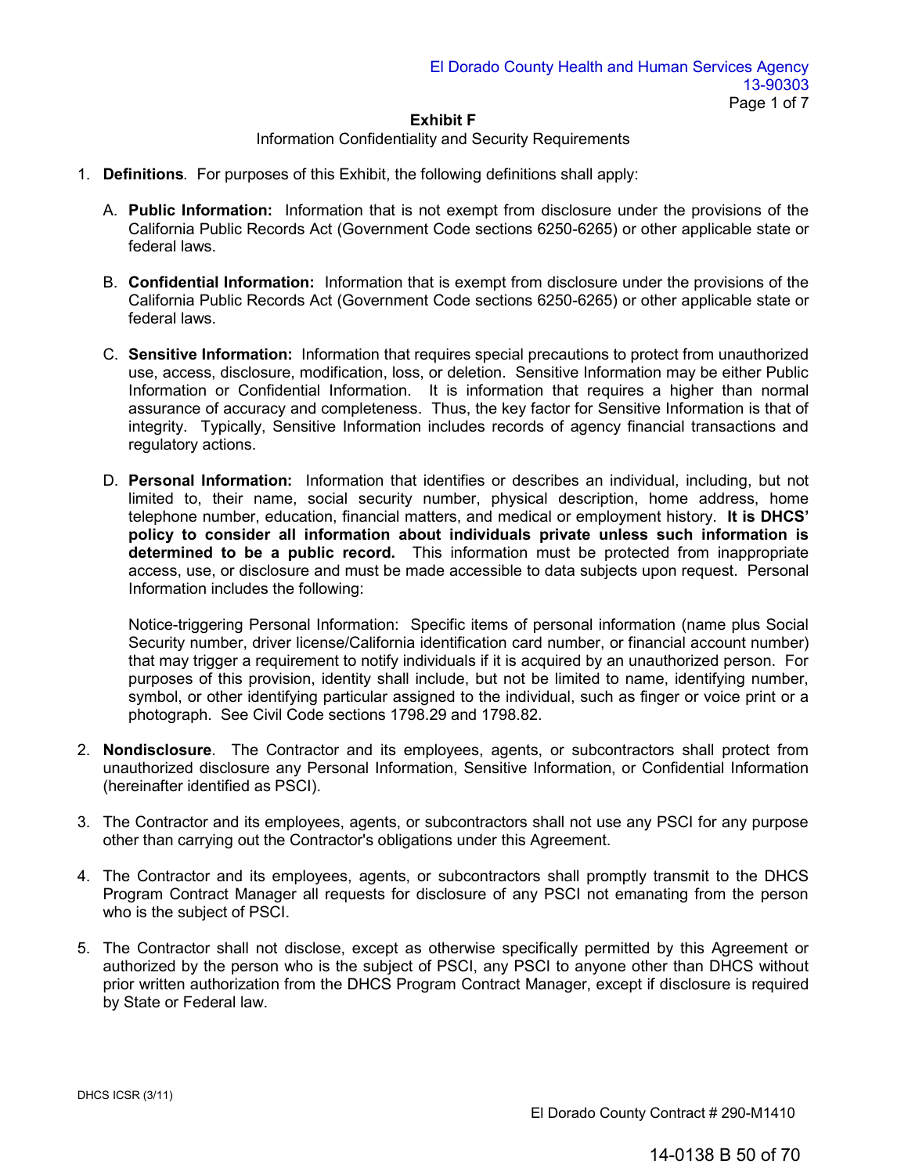# Information Confidentiality and Security Requirements

- 1. **Definitions***.* For purposes of this Exhibit, the following definitions shall apply:
	- A. **Public Information:** Information that is not exempt from disclosure under the provisions of the California Public Records Act (Government Code sections 6250-6265) or other applicable state or federal laws.
	- B. **Confidential Information:** Information that is exempt from disclosure under the provisions of the California Public Records Act (Government Code sections 6250-6265) or other applicable state or federal laws.
	- C. **Sensitive Information:** Information that requires special precautions to protect from unauthorized use, access, disclosure, modification, loss, or deletion. Sensitive Information may be either Public Information or Confidential Information. It is information that requires a higher than normal assurance of accuracy and completeness. Thus, the key factor for Sensitive Information is that of integrity. Typically, Sensitive Information includes records of agency financial transactions and regulatory actions.
	- D. **Personal Information:** Information that identifies or describes an individual, including, but not limited to, their name, social security number, physical description, home address, home telephone number, education, financial matters, and medical or employment history. **It is DHCS' policy to consider all information about individuals private unless such information is determined to be a public record.** This information must be protected from inappropriate access, use, or disclosure and must be made accessible to data subjects upon request. Personal Information includes the following:

Notice-triggering Personal Information: Specific items of personal information (name plus Social Security number, driver license/California identification card number, or financial account number) that may trigger a requirement to notify individuals if it is acquired by an unauthorized person. For purposes of this provision, identity shall include, but not be limited to name, identifying number, symbol, or other identifying particular assigned to the individual, such as finger or voice print or a photograph. See Civil Code sections 1798.29 and 1798.82.

- 2. **Nondisclosure**. The Contractor and its employees, agents, or subcontractors shall protect from unauthorized disclosure any Personal Information, Sensitive Information, or Confidential Information (hereinafter identified as PSCI).
- 3. The Contractor and its employees, agents, or subcontractors shall not use any PSCI for any purpose other than carrying out the Contractor's obligations under this Agreement.
- 4. The Contractor and its employees, agents, or subcontractors shall promptly transmit to the DHCS Program Contract Manager all requests for disclosure of any PSCI not emanating from the person who is the subject of PSCI.
- 5. The Contractor shall not disclose, except as otherwise specifically permitted by this Agreement or authorized by the person who is the subject of PSCI, any PSCI to anyone other than DHCS without prior written authorization from the DHCS Program Contract Manager, except if disclosure is required by State or Federal law.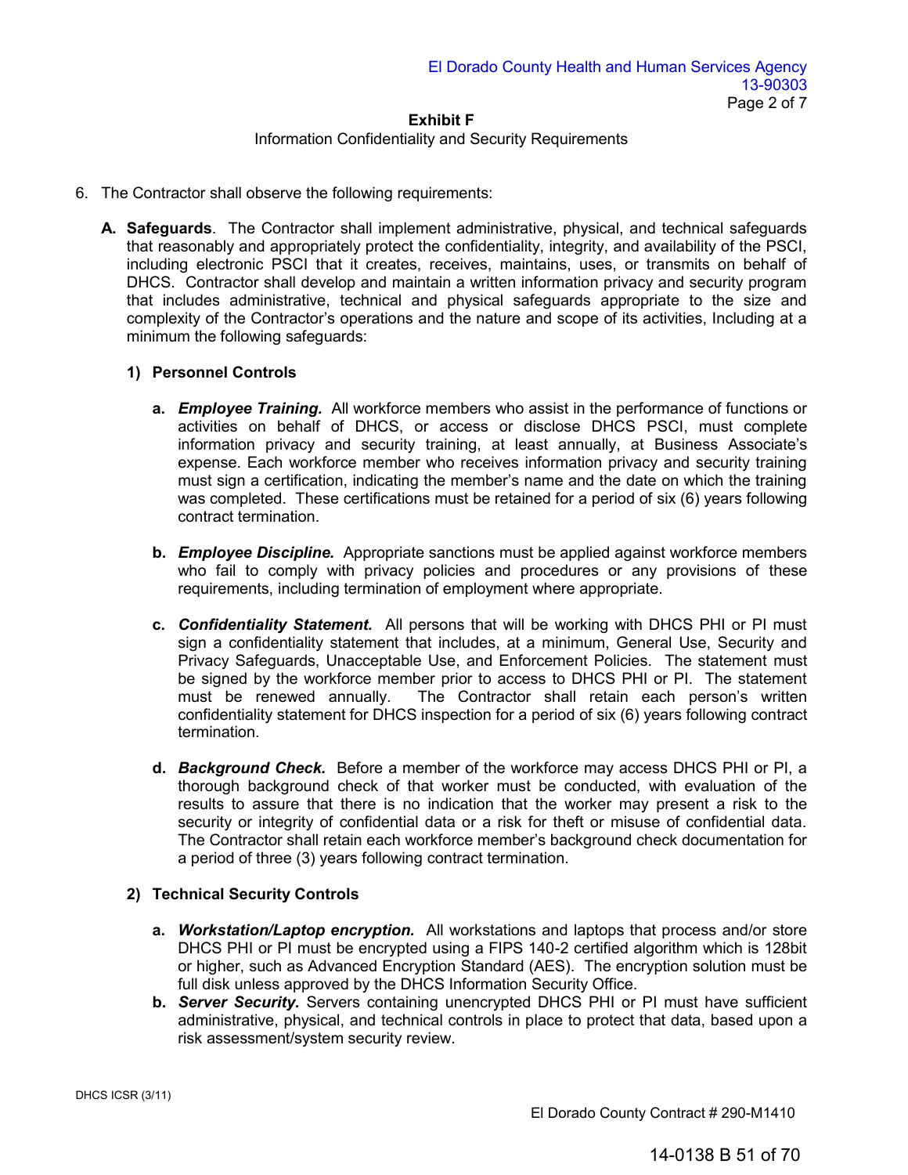# Information Confidentiality and Security Requirements

- 6. The Contractor shall observe the following requirements:
	- **A. Safeguards**. The Contractor shall implement administrative, physical, and technical safeguards that reasonably and appropriately protect the confidentiality, integrity, and availability of the PSCI, including electronic PSCI that it creates, receives, maintains, uses, or transmits on behalf of DHCS. Contractor shall develop and maintain a written information privacy and security program that includes administrative, technical and physical safeguards appropriate to the size and complexity of the Contractor's operations and the nature and scope of its activities, Including at a minimum the following safeguards:

# **1) Personnel Controls**

- **a.** *Employee Training.* All workforce members who assist in the performance of functions or activities on behalf of DHCS, or access or disclose DHCS PSCI, must complete information privacy and security training, at least annually, at Business Associate's expense. Each workforce member who receives information privacy and security training must sign a certification, indicating the member's name and the date on which the training was completed. These certifications must be retained for a period of six (6) years following contract termination.
- **b.** *Employee Discipline.* Appropriate sanctions must be applied against workforce members who fail to comply with privacy policies and procedures or any provisions of these requirements, including termination of employment where appropriate.
- **c.** *Confidentiality Statement.* All persons that will be working with DHCS PHI or PI must sign a confidentiality statement that includes, at a minimum, General Use, Security and Privacy Safeguards, Unacceptable Use, and Enforcement Policies. The statement must be signed by the workforce member prior to access to DHCS PHI or PI. The statement must be renewed annually. The Contractor shall retain each person's written The Contractor shall retain each person's written confidentiality statement for DHCS inspection for a period of six (6) years following contract termination.
- **d.** *Background Check.* Before a member of the workforce may access DHCS PHI or PI, a thorough background check of that worker must be conducted, with evaluation of the results to assure that there is no indication that the worker may present a risk to the security or integrity of confidential data or a risk for theft or misuse of confidential data. The Contractor shall retain each workforce member's background check documentation for a period of three (3) years following contract termination.

# **2) Technical Security Controls**

- **a.** *Workstation/Laptop encryption.* All workstations and laptops that process and/or store DHCS PHI or PI must be encrypted using a FIPS 140-2 certified algorithm which is 128bit or higher, such as Advanced Encryption Standard (AES). The encryption solution must be full disk unless approved by the DHCS Information Security Office.
- **b.** *Server Security.* Servers containing unencrypted DHCS PHI or PI must have sufficient administrative, physical, and technical controls in place to protect that data, based upon a risk assessment/system security review.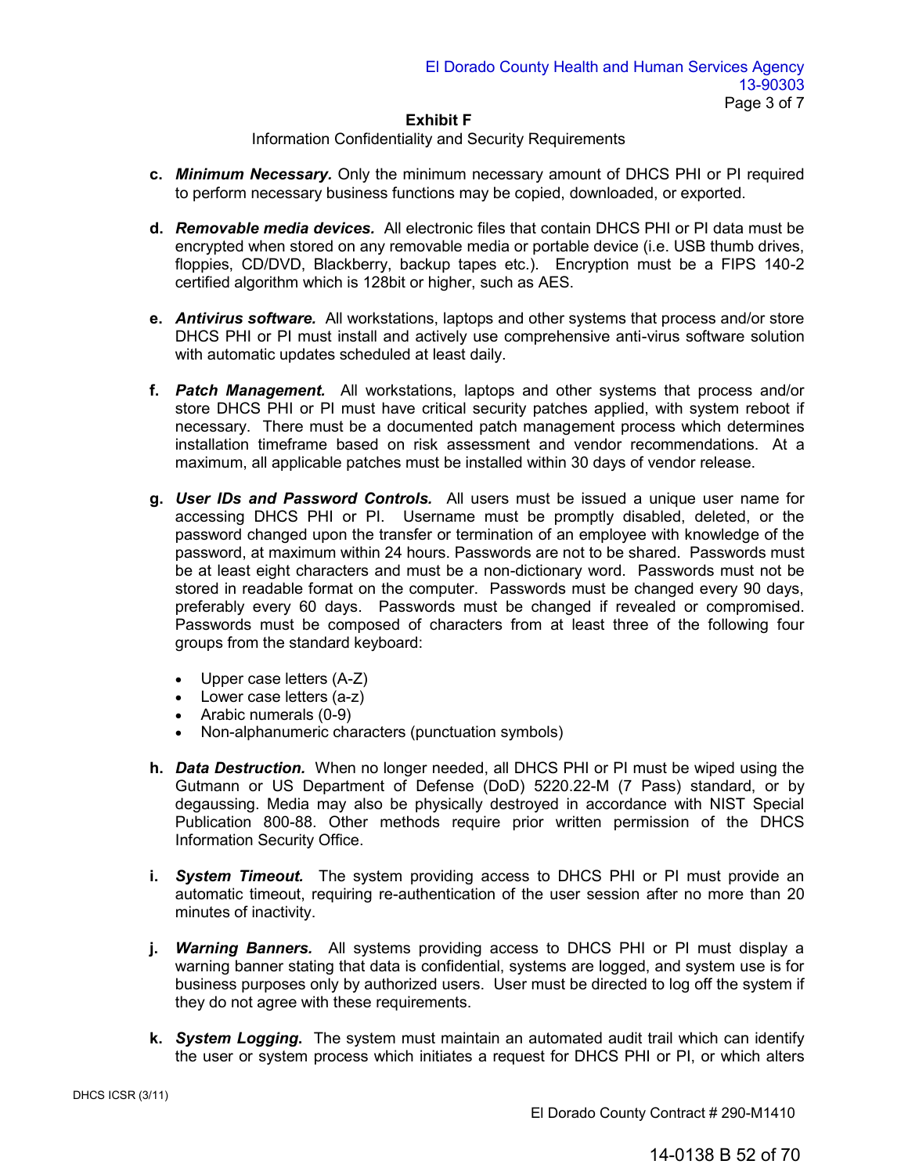Information Confidentiality and Security Requirements

- **c.** *Minimum Necessary.* Only the minimum necessary amount of DHCS PHI or PI required to perform necessary business functions may be copied, downloaded, or exported.
- **d.** *Removable media devices.* All electronic files that contain DHCS PHI or PI data must be encrypted when stored on any removable media or portable device (i.e. USB thumb drives, floppies, CD/DVD, Blackberry, backup tapes etc.). Encryption must be a FIPS 140-2 certified algorithm which is 128bit or higher, such as AES.
- **e.** *Antivirus software.* All workstations, laptops and other systems that process and/or store DHCS PHI or PI must install and actively use comprehensive anti-virus software solution with automatic updates scheduled at least daily.
- **f.** *Patch Management.* All workstations, laptops and other systems that process and/or store DHCS PHI or PI must have critical security patches applied, with system reboot if necessary. There must be a documented patch management process which determines installation timeframe based on risk assessment and vendor recommendations. At a maximum, all applicable patches must be installed within 30 days of vendor release.
- **g.** *User IDs and Password Controls.* All users must be issued a unique user name for accessing DHCS PHI or PI. Username must be promptly disabled, deleted, or the password changed upon the transfer or termination of an employee with knowledge of the password, at maximum within 24 hours. Passwords are not to be shared. Passwords must be at least eight characters and must be a non-dictionary word. Passwords must not be stored in readable format on the computer. Passwords must be changed every 90 days, preferably every 60 days. Passwords must be changed if revealed or compromised. Passwords must be composed of characters from at least three of the following four groups from the standard keyboard:
	- Upper case letters (A-Z)
	- Lower case letters (a-z)
	- Arabic numerals (0-9)
	- Non-alphanumeric characters (punctuation symbols)
- **h.** *Data Destruction.* When no longer needed, all DHCS PHI or PI must be wiped using the Gutmann or US Department of Defense (DoD) 5220.22-M (7 Pass) standard, or by degaussing. Media may also be physically destroyed in accordance with NIST Special Publication 800-88. Other methods require prior written permission of the DHCS Information Security Office.
- **i.** *System Timeout.* The system providing access to DHCS PHI or PI must provide an automatic timeout, requiring re-authentication of the user session after no more than 20 minutes of inactivity.
- **j.** *Warning Banners.* All systems providing access to DHCS PHI or PI must display a warning banner stating that data is confidential, systems are logged, and system use is for business purposes only by authorized users. User must be directed to log off the system if they do not agree with these requirements.
- **k.** *System Logging***.** The system must maintain an automated audit trail which can identify the user or system process which initiates a request for DHCS PHI or PI, or which alters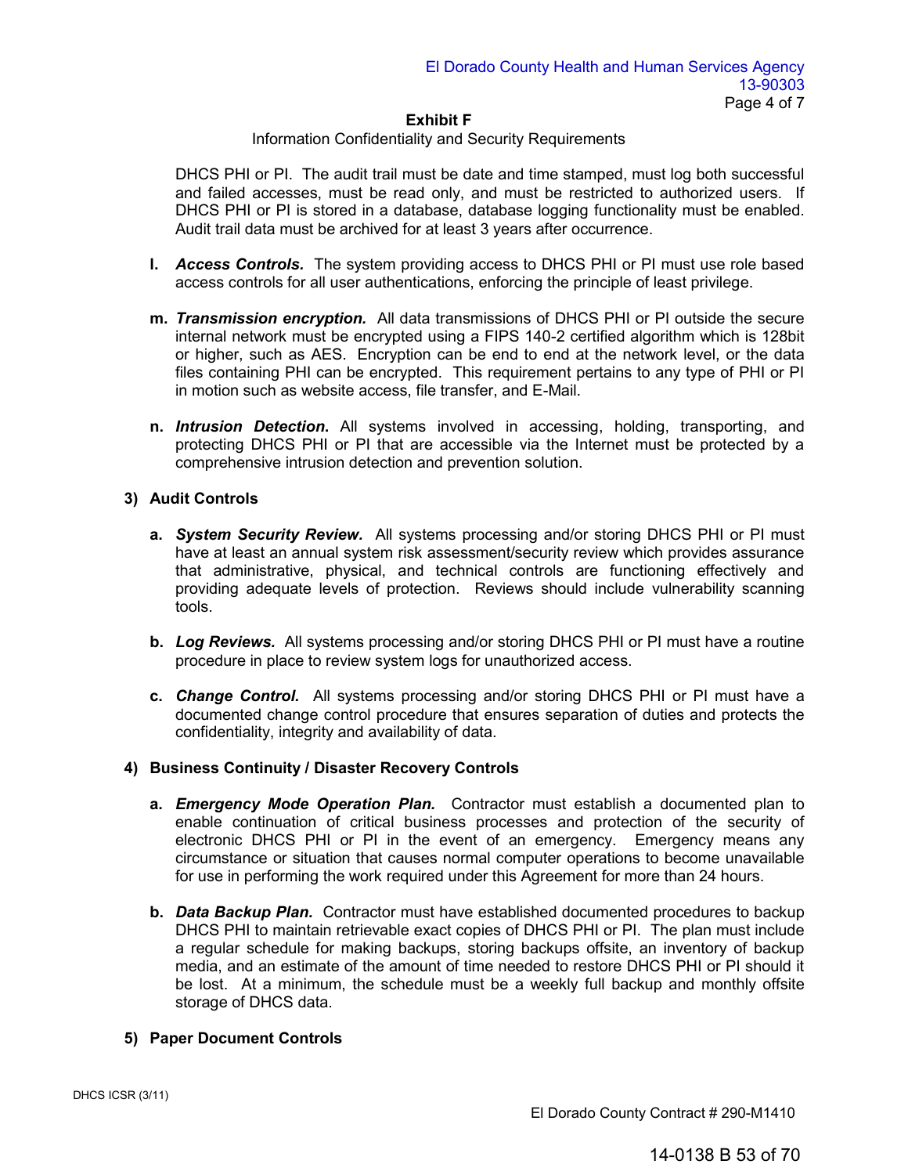# Information Confidentiality and Security Requirements

DHCS PHI or PI. The audit trail must be date and time stamped, must log both successful and failed accesses, must be read only, and must be restricted to authorized users. If DHCS PHI or PI is stored in a database, database logging functionality must be enabled. Audit trail data must be archived for at least 3 years after occurrence.

- **l.** *Access Controls.* The system providing access to DHCS PHI or PI must use role based access controls for all user authentications, enforcing the principle of least privilege.
- **m.** *Transmission encryption.* All data transmissions of DHCS PHI or PI outside the secure internal network must be encrypted using a FIPS 140-2 certified algorithm which is 128bit or higher, such as AES. Encryption can be end to end at the network level, or the data files containing PHI can be encrypted. This requirement pertains to any type of PHI or PI in motion such as website access, file transfer, and E-Mail.
- **n.** *Intrusion Detection***.** All systems involved in accessing, holding, transporting, and protecting DHCS PHI or PI that are accessible via the Internet must be protected by a comprehensive intrusion detection and prevention solution.

# **3) Audit Controls**

- **a.** *System Security Review.* All systems processing and/or storing DHCS PHI or PI must have at least an annual system risk assessment/security review which provides assurance that administrative, physical, and technical controls are functioning effectively and providing adequate levels of protection. Reviews should include vulnerability scanning tools.
- **b.** *Log Reviews.* All systems processing and/or storing DHCS PHI or PI must have a routine procedure in place to review system logs for unauthorized access.
- **c.** *Change Control.* All systems processing and/or storing DHCS PHI or PI must have a documented change control procedure that ensures separation of duties and protects the confidentiality, integrity and availability of data.

# **4) Business Continuity / Disaster Recovery Controls**

- **a.** *Emergency Mode Operation Plan.* Contractor must establish a documented plan to enable continuation of critical business processes and protection of the security of electronic DHCS PHI or PI in the event of an emergency. Emergency means any circumstance or situation that causes normal computer operations to become unavailable for use in performing the work required under this Agreement for more than 24 hours.
- **b.** *Data Backup Plan.* Contractor must have established documented procedures to backup DHCS PHI to maintain retrievable exact copies of DHCS PHI or PI. The plan must include a regular schedule for making backups, storing backups offsite, an inventory of backup media, and an estimate of the amount of time needed to restore DHCS PHI or PI should it be lost. At a minimum, the schedule must be a weekly full backup and monthly offsite storage of DHCS data.

# **5) Paper Document Controls**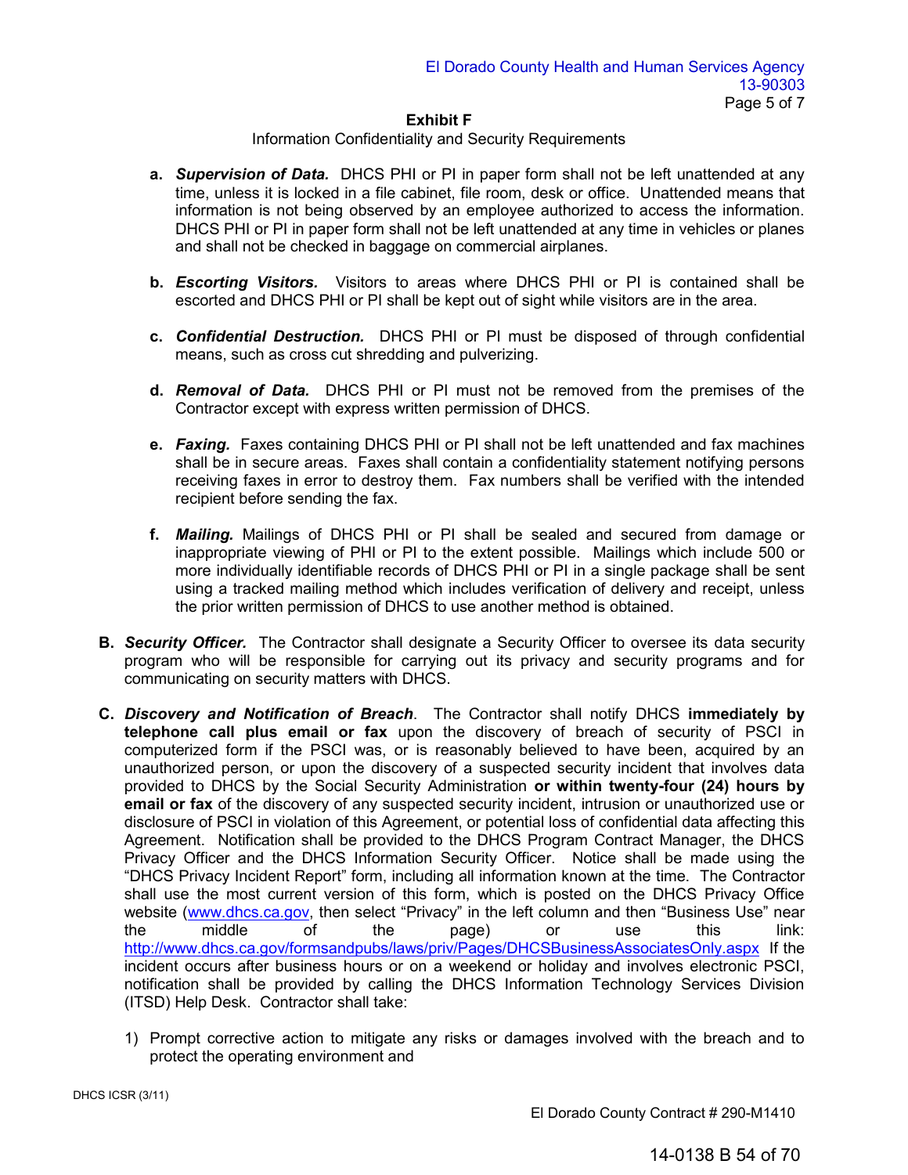# Information Confidentiality and Security Requirements

- **a.** *Supervision of Data.* DHCS PHI or PI in paper form shall not be left unattended at any time, unless it is locked in a file cabinet, file room, desk or office. Unattended means that information is not being observed by an employee authorized to access the information. DHCS PHI or PI in paper form shall not be left unattended at any time in vehicles or planes and shall not be checked in baggage on commercial airplanes.
- **b.** *Escorting Visitors.*Visitors to areas where DHCS PHI or PI is contained shall be escorted and DHCS PHI or PI shall be kept out of sight while visitors are in the area.
- **c.** *Confidential Destruction.*DHCS PHI or PI must be disposed of through confidential means, such as cross cut shredding and pulverizing.
- **d.** *Removal of Data.*DHCS PHI or PI must not be removed from the premises of the Contractor except with express written permission of DHCS.
- **e.** *Faxing.*Faxes containing DHCS PHI or PI shall not be left unattended and fax machines shall be in secure areas. Faxes shall contain a confidentiality statement notifying persons receiving faxes in error to destroy them. Fax numbers shall be verified with the intended recipient before sending the fax.
- **f.** *Mailing.* Mailings of DHCS PHI or PI shall be sealed and secured from damage or inappropriate viewing of PHI or PI to the extent possible. Mailings which include 500 or more individually identifiable records of DHCS PHI or PI in a single package shall be sent using a tracked mailing method which includes verification of delivery and receipt, unless the prior written permission of DHCS to use another method is obtained.
- **B.** *Security Officer.*The Contractor shall designate a Security Officer to oversee its data security program who will be responsible for carrying out its privacy and security programs and for communicating on security matters with DHCS.
- **C.** *Discovery and Notification of Breach*. The Contractor shall notify DHCS **immediately by telephone call plus email or fax** upon the discovery of breach of security of PSCI in computerized form if the PSCI was, or is reasonably believed to have been, acquired by an unauthorized person, or upon the discovery of a suspected security incident that involves data provided to DHCS by the Social Security Administration **or within twenty-four (24) hours by email or fax** of the discovery of any suspected security incident, intrusion or unauthorized use or disclosure of PSCI in violation of this Agreement, or potential loss of confidential data affecting this Agreement. Notification shall be provided to the DHCS Program Contract Manager, the DHCS Privacy Officer and the DHCS Information Security Officer. Notice shall be made using the "DHCS Privacy Incident Report" form, including all information known at the time. The Contractor shall us[e the most current](http://www.dhcs.ca.gov/) version of this form, which is posted on the DHCS Privacy Office website (www.dhcs.ca.gov, then select "Privacy" in the left column and then "Business Use" near<br>the the sage of the page or use this link: the [middle of the page\) or use this](http://www.dhcs.ca.gov/formsandpubs/laws/priv/Pages/DHCSBusinessAssociatesOnly.aspx) link: http://www.dhcs.ca.gov/formsandpubs/laws/priv/Pages/DHCSBusinessAssociatesOnly.aspx If the incident occurs after business hours or on a weekend or holiday and involves electronic PSCI, notification shall be provided by calling the DHCS Information Technology Services Division (ITSD) Help Desk. Contractor shall take:
	- 1) Prompt corrective action to mitigate any risks or damages involved with the breach and to protect the operating environment and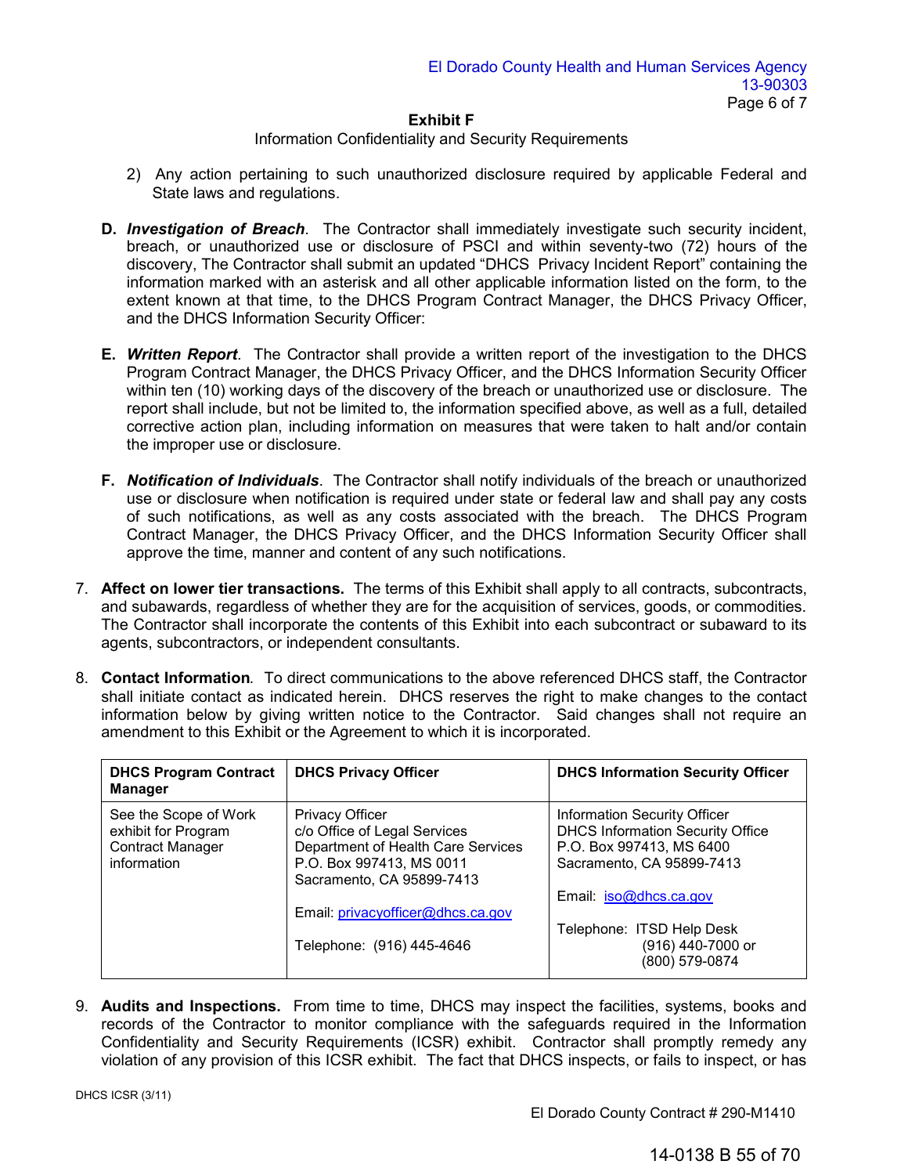# Information Confidentiality and Security Requirements

- 2) Any action pertaining to such unauthorized disclosure required by applicable Federal and State laws and regulations.
- **D.** *Investigation of Breach*. The Contractor shall immediately investigate such security incident, breach, or unauthorized use or disclosure of PSCI and within seventy-two (72) hours of the discovery, The Contractor shall submit an updated "DHCS Privacy Incident Report" containing the information marked with an asterisk and all other applicable information listed on the form, to the extent known at that time, to the DHCS Program Contract Manager, the DHCS Privacy Officer, and the DHCS Information Security Officer:
- **E.** *Written Report*. The Contractor shall provide a written report of the investigation to the DHCS Program Contract Manager, the DHCS Privacy Officer, and the DHCS Information Security Officer within ten (10) working days of the discovery of the breach or unauthorized use or disclosure. The report shall include, but not be limited to, the information specified above, as well as a full, detailed corrective action plan, including information on measures that were taken to halt and/or contain the improper use or disclosure.
- **F.** *Notification of Individuals*. The Contractor shall notify individuals of the breach or unauthorized use or disclosure when notification is required under state or federal law and shall pay any costs of such notifications, as well as any costs associated with the breach. The DHCS Program Contract Manager, the DHCS Privacy Officer, and the DHCS Information Security Officer shall approve the time, manner and content of any such notifications.
- 7. **Affect on lower tier transactions.** The terms of this Exhibit shall apply to all contracts, subcontracts, and subawards, regardless of whether they are for the acquisition of services, goods, or commodities. The Contractor shall incorporate the contents of this Exhibit into each subcontract or subaward to its agents, subcontractors, or independent consultants.
- 8. **Contact Information***.* To direct communications to the above referenced DHCS staff, the Contractor shall initiate contact as indicated herein. DHCS reserves the right to make changes to the contact information below by giving written notice to the Contractor. Said changes shall not require an amendment to this Exhibit or the Agreement to which it is incorporated.

| <b>DHCS Program Contract</b><br><b>Manager</b>                                         | <b>DHCS Privacy Officer</b>                                                                                                                                                                                             | <b>DHCS Information Security Officer</b>                                                                                                                                                                                       |
|----------------------------------------------------------------------------------------|-------------------------------------------------------------------------------------------------------------------------------------------------------------------------------------------------------------------------|--------------------------------------------------------------------------------------------------------------------------------------------------------------------------------------------------------------------------------|
| See the Scope of Work<br>exhibit for Program<br><b>Contract Manager</b><br>information | <b>Privacy Officer</b><br>c/o Office of Legal Services<br>Department of Health Care Services<br>P.O. Box 997413, MS 0011<br>Sacramento, CA 95899-7413<br>Email: privacyofficer@dhcs.ca.gov<br>Telephone: (916) 445-4646 | Information Security Officer<br><b>DHCS Information Security Office</b><br>P.O. Box 997413, MS 6400<br>Sacramento, CA 95899-7413<br>Email: iso@dhcs.ca.gov<br>Telephone: ITSD Help Desk<br>(916) 440-7000 or<br>(800) 579-0874 |

9. **Audits and Inspections.** From time to time, DHCS may inspect the facilities, systems, books and records of the Contractor to monitor compliance with the safeguards required in the Information Confidentiality and Security Requirements (ICSR) exhibit. Contractor shall promptly remedy any violation of any provision of this ICSR exhibit. The fact that DHCS inspects, or fails to inspect, or has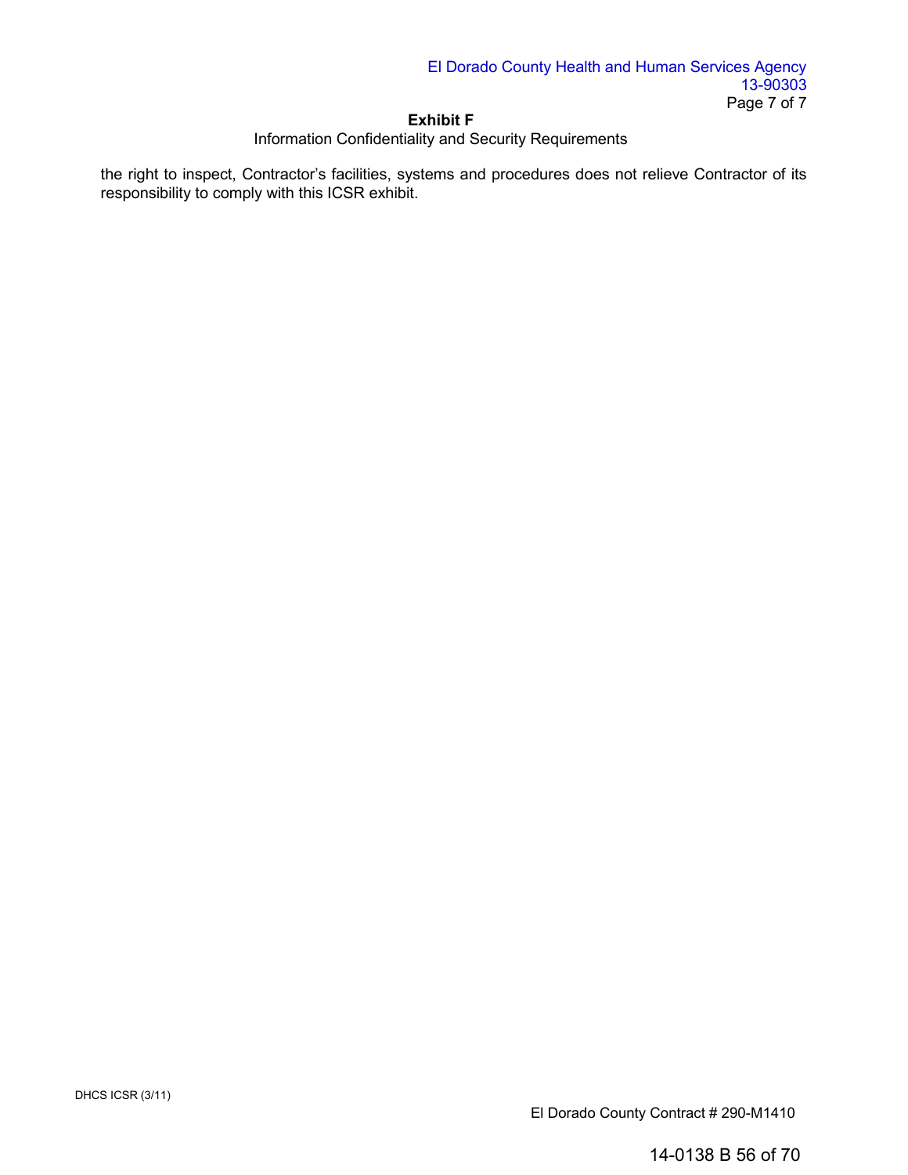# Information Confidentiality and Security Requirements

the right to inspect, Contractor's facilities, systems and procedures does not relieve Contractor of its responsibility to comply with this ICSR exhibit.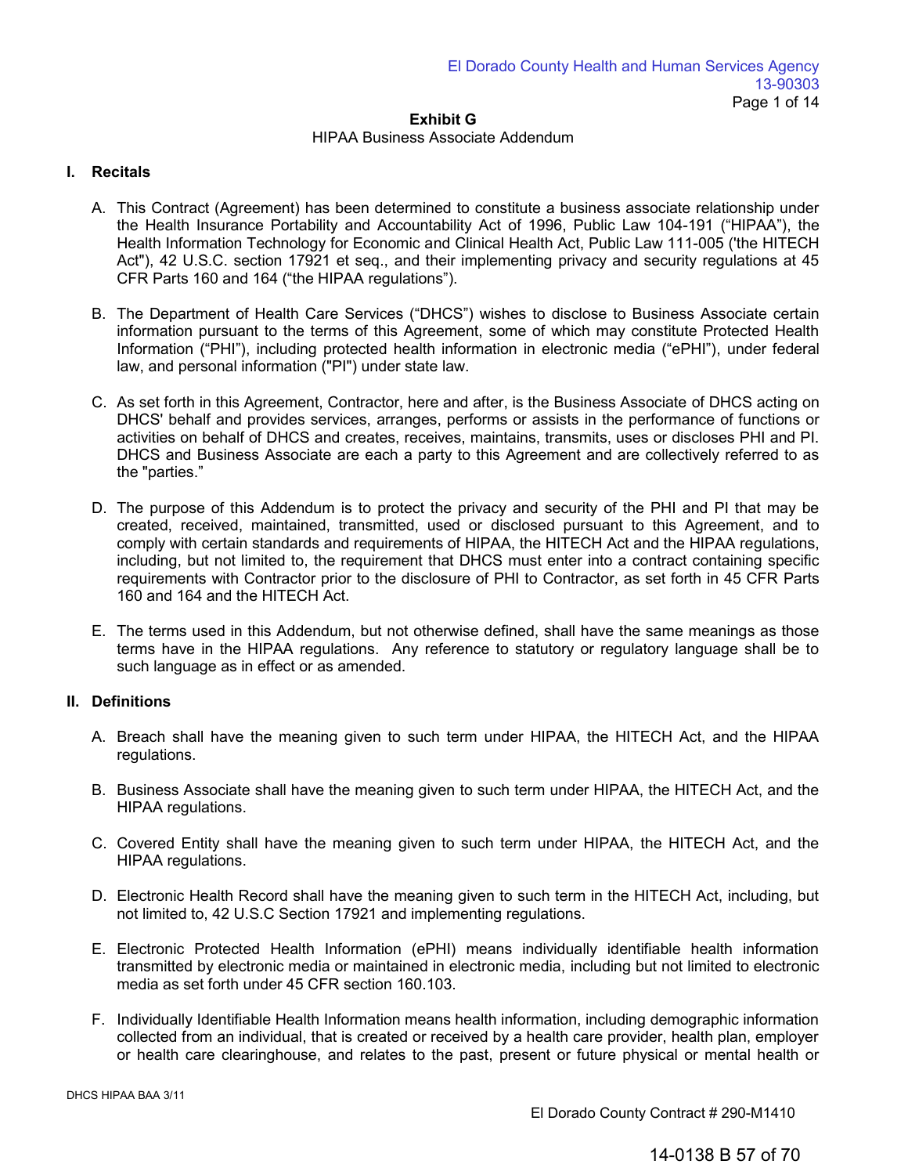## HIPAA Business Associate Addendum

# **I. Recitals**

- A. This Contract (Agreement) has been determined to constitute a business associate relationship under the Health Insurance Portability and Accountability Act of 1996, Public Law 104-191 ("HIPAA"), the Health Information Technology for Economic and Clinical Health Act, Public Law 111-005 ('the HITECH Act"), 42 U.S.C. section 17921 et seq., and their implementing privacy and security regulations at 45 CFR Parts 160 and 164 ("the HIPAA regulations").
- B. The Department of Health Care Services ("DHCS") wishes to disclose to Business Associate certain information pursuant to the terms of this Agreement, some of which may constitute Protected Health Information ("PHI"), including protected health information in electronic media ("ePHI"), under federal law, and personal information ("PI") under state law.
- C. As set forth in this Agreement, Contractor, here and after, is the Business Associate of DHCS acting on DHCS' behalf and provides services, arranges, performs or assists in the performance of functions or activities on behalf of DHCS and creates, receives, maintains, transmits, uses or discloses PHI and PI. DHCS and Business Associate are each a party to this Agreement and are collectively referred to as the "parties."
- D. The purpose of this Addendum is to protect the privacy and security of the PHI and PI that may be created, received, maintained, transmitted, used or disclosed pursuant to this Agreement, and to comply with certain standards and requirements of HIPAA, the HITECH Act and the HIPAA regulations, including, but not limited to, the requirement that DHCS must enter into a contract containing specific requirements with Contractor prior to the disclosure of PHI to Contractor, as set forth in 45 CFR Parts 160 and 164 and the HITECH Act.
- E. The terms used in this Addendum, but not otherwise defined, shall have the same meanings as those terms have in the HIPAA regulations. Any reference to statutory or regulatory language shall be to such language as in effect or as amended.

# **II. Definitions**

- A. Breach shall have the meaning given to such term under HIPAA, the HITECH Act, and the HIPAA regulations.
- B. Business Associate shall have the meaning given to such term under HIPAA, the HITECH Act, and the HIPAA regulations.
- C. Covered Entity shall have the meaning given to such term under HIPAA, the HITECH Act, and the HIPAA regulations.
- D. Electronic Health Record shall have the meaning given to such term in the HITECH Act, including, but not limited to, 42 U.S.C Section 17921 and implementing regulations.
- E. Electronic Protected Health Information (ePHI) means individually identifiable health information transmitted by electronic media or maintained in electronic media, including but not limited to electronic media as set forth under 45 CFR section 160.103.
- F. Individually Identifiable Health Information means health information, including demographic information collected from an individual, that is created or received by a health care provider, health plan, employer or health care clearinghouse, and relates to the past, present or future physical or mental health or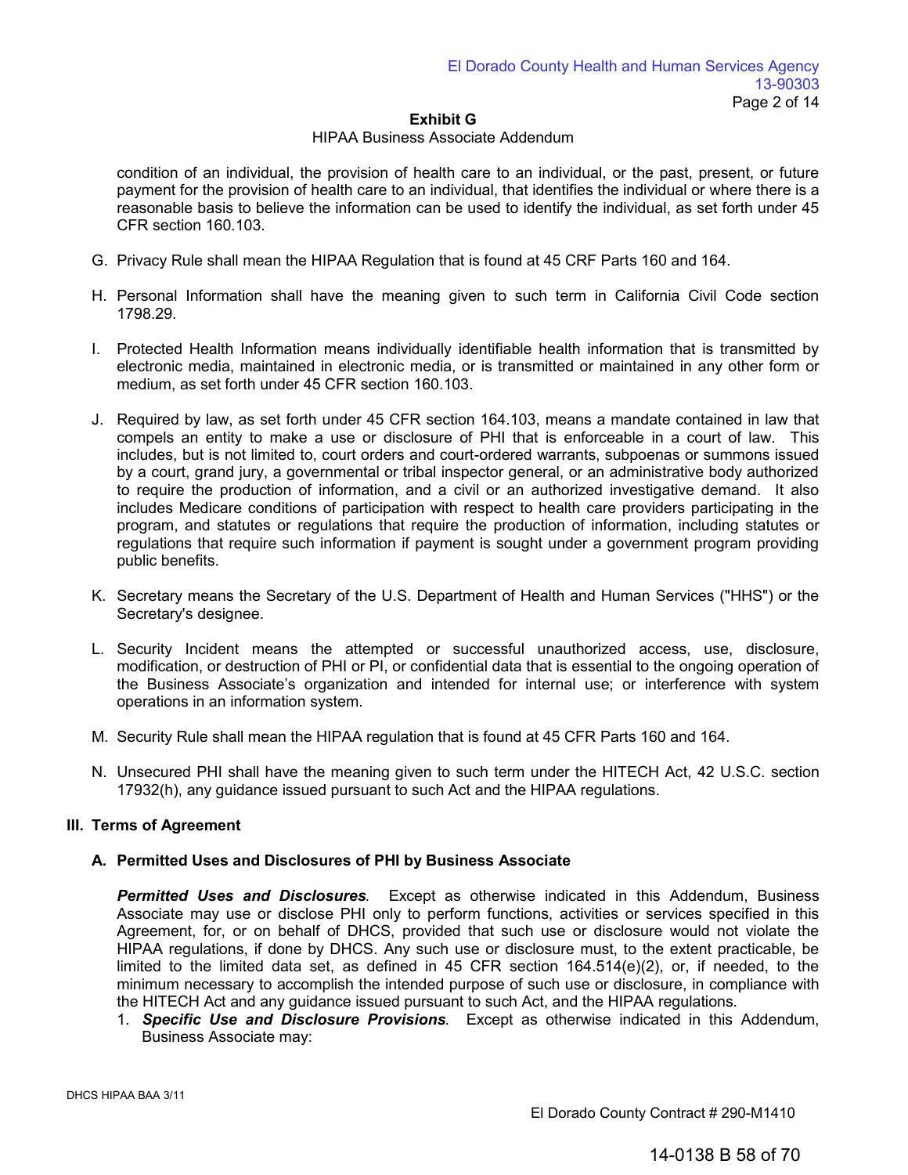#### HIPAA Business Associate Addendum

condition of an individual, the provision of health care to an individual, or the past, present, or future payment for the provision of health care to an individual, that identifies the individual or where there is a reasonable basis to believe the information can be used to identify the individual, as set forth under 45 CFR section 160.103.

- G. Privacy Rule shall mean the HIPAA Regulation that is found at 45 CRF Parts 160 and 164.
- H. Personal Information shall have the meaning given to such term in California Civil Code section 1798.29.
- I. Protected Health Information means individually identifiable health information that is transmitted by electronic media, maintained in electronic media, or is transmitted or maintained in any other form or medium, as set forth under 45 CFR section 160.103.
- J. Required by law, as set forth under 45 CFR section 164.103, means a mandate contained in law that compels an entity to make a use or disclosure of PHI that is enforceable in a court of law. This includes, but is not limited to, court orders and court-ordered warrants, subpoenas or summons issued by a court, grand jury, a governmental or tribal inspector general, or an administrative body authorized to require the production of information, and a civil or an authorized investigative demand. It also includes Medicare conditions of participation with respect to health care providers participating in the program, and statutes or regulations that require the production of information, including statutes or regulations that require such information if payment is sought under a government program providing public benefits.
- K. Secretary means the Secretary of the U.S. Department of Health and Human Services ("HHS") or the Secretary's designee.
- L. Security Incident means the attempted or successful unauthorized access, use, disclosure, modification, or destruction of PHI or PI, or confidential data that is essential to the ongoing operation of the Business Associate's organization and intended for internal use; or interference with system operations in an information system.
- M. Security Rule shall mean the HIPAA regulation that is found at 45 CFR Parts 160 and 164.
- N. Unsecured PHI shall have the meaning given to such term under the HITECH Act, 42 U.S.C. section 17932(h), any guidance issued pursuant to such Act and the HIPAA regulations.

# **III. Terms of Agreement**

# **A. Permitted Uses and Disclosures of PHI by Business Associate**

*Permitted Uses and Disclosures.* Except as otherwise indicated in this Addendum, Business Associate may use or disclose PHI only to perform functions, activities or services specified in this Agreement, for, or on behalf of DHCS, provided that such use or disclosure would not violate the HIPAA regulations, if done by DHCS. Any such use or disclosure must, to the extent practicable, be limited to the limited data set, as defined in 45 CFR section 164.514(e)(2), or, if needed, to the minimum necessary to accomplish the intended purpose of such use or disclosure, in compliance with the HITECH Act and any guidance issued pursuant to such Act, and the HIPAA regulations.

1. *Specific Use and Disclosure Provisions.* Except as otherwise indicated in this Addendum, Business Associate may: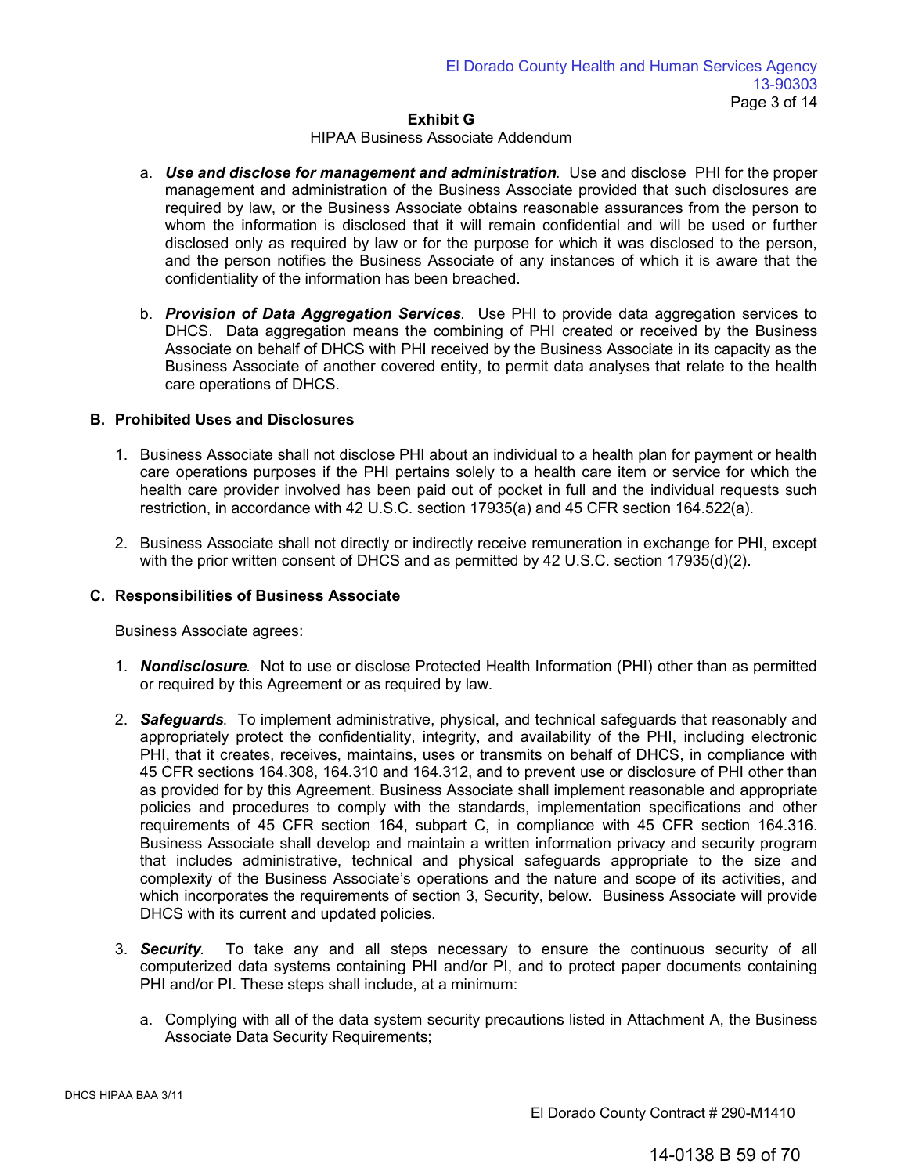#### HIPAA Business Associate Addendum

- a. *Use and disclose for management and administration.* Use and disclose PHI for the proper management and administration of the Business Associate provided that such disclosures are required by law, or the Business Associate obtains reasonable assurances from the person to whom the information is disclosed that it will remain confidential and will be used or further disclosed only as required by law or for the purpose for which it was disclosed to the person, and the person notifies the Business Associate of any instances of which it is aware that the confidentiality of the information has been breached.
- b. *Provision of Data Aggregation Services.* Use PHI to provide data aggregation services to DHCS. Data aggregation means the combining of PHI created or received by the Business Associate on behalf of DHCS with PHI received by the Business Associate in its capacity as the Business Associate of another covered entity, to permit data analyses that relate to the health care operations of DHCS.

## **B. Prohibited Uses and Disclosures**

- 1. Business Associate shall not disclose PHI about an individual to a health plan for payment or health care operations purposes if the PHI pertains solely to a health care item or service for which the health care provider involved has been paid out of pocket in full and the individual requests such restriction, in accordance with 42 U.S.C. section 17935(a) and 45 CFR section 164.522(a).
- 2. Business Associate shall not directly or indirectly receive remuneration in exchange for PHI, except with the prior written consent of DHCS and as permitted by 42 U.S.C. section 17935(d)(2).

### **C. Responsibilities of Business Associate**

Business Associate agrees:

- 1. *Nondisclosure.* Not to use or disclose Protected Health Information (PHI) other than as permitted or required by this Agreement or as required by law.
- 2. *Safeguards.* To implement administrative, physical, and technical safeguards that reasonably and appropriately protect the confidentiality, integrity, and availability of the PHI, including electronic PHI, that it creates, receives, maintains, uses or transmits on behalf of DHCS, in compliance with 45 CFR sections 164.308, 164.310 and 164.312, and to prevent use or disclosure of PHI other than as provided for by this Agreement. Business Associate shall implement reasonable and appropriate policies and procedures to comply with the standards, implementation specifications and other requirements of 45 CFR section 164, subpart C, in compliance with 45 CFR section 164.316. Business Associate shall develop and maintain a written information privacy and security program that includes administrative, technical and physical safeguards appropriate to the size and complexity of the Business Associate's operations and the nature and scope of its activities, and which incorporates the requirements of section 3, Security, below. Business Associate will provide DHCS with its current and updated policies.
- 3. *Security.* To take any and all steps necessary to ensure the continuous security of all computerized data systems containing PHI and/or PI, and to protect paper documents containing PHI and/or PI. These steps shall include, at a minimum:
	- a. Complying with all of the data system security precautions listed in Attachment A, the Business Associate Data Security Requirements;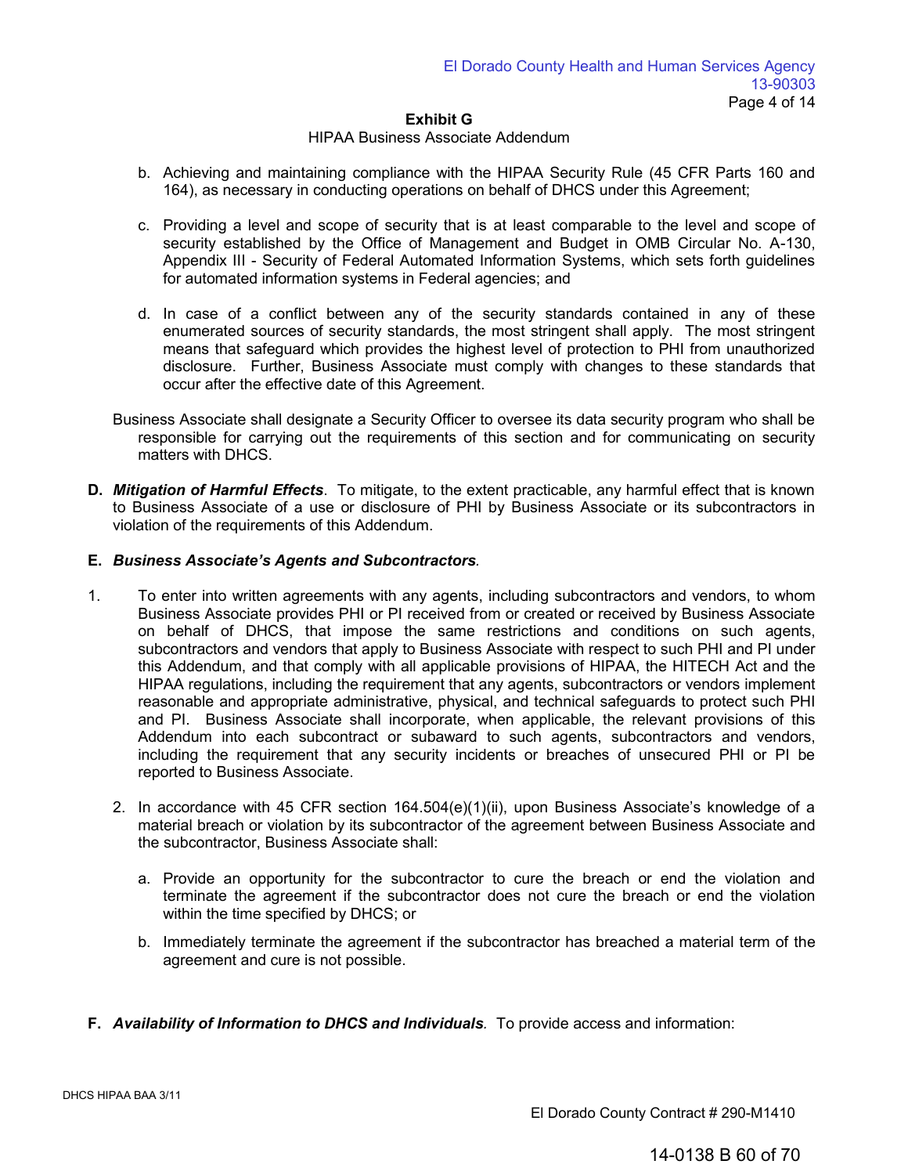#### HIPAA Business Associate Addendum

- b. Achieving and maintaining compliance with the HIPAA Security Rule (45 CFR Parts 160 and 164), as necessary in conducting operations on behalf of DHCS under this Agreement;
- c. Providing a level and scope of security that is at least comparable to the level and scope of security established by the Office of Management and Budget in OMB Circular No. A-130, Appendix III - Security of Federal Automated Information Systems, which sets forth guidelines for automated information systems in Federal agencies; and
- d. In case of a conflict between any of the security standards contained in any of these enumerated sources of security standards, the most stringent shall apply. The most stringent means that safeguard which provides the highest level of protection to PHI from unauthorized disclosure. Further, Business Associate must comply with changes to these standards that occur after the effective date of this Agreement.
- Business Associate shall designate a Security Officer to oversee its data security program who shall be responsible for carrying out the requirements of this section and for communicating on security matters with DHCS.
- **D.** *Mitigation of Harmful Effects*. To mitigate, to the extent practicable, any harmful effect that is known to Business Associate of a use or disclosure of PHI by Business Associate or its subcontractors in violation of the requirements of this Addendum.

## **E.** *Business Associate's Agents and Subcontractors.*

- 1. To enter into written agreements with any agents, including subcontractors and vendors, to whom Business Associate provides PHI or PI received from or created or received by Business Associate on behalf of DHCS, that impose the same restrictions and conditions on such agents, subcontractors and vendors that apply to Business Associate with respect to such PHI and PI under this Addendum, and that comply with all applicable provisions of HIPAA, the HITECH Act and the HIPAA regulations, including the requirement that any agents, subcontractors or vendors implement reasonable and appropriate administrative, physical, and technical safeguards to protect such PHI and PI. Business Associate shall incorporate, when applicable, the relevant provisions of this Addendum into each subcontract or subaward to such agents, subcontractors and vendors, including the requirement that any security incidents or breaches of unsecured PHI or PI be reported to Business Associate.
	- 2. In accordance with 45 CFR section 164.504(e)(1)(ii), upon Business Associate's knowledge of a material breach or violation by its subcontractor of the agreement between Business Associate and the subcontractor, Business Associate shall:
		- a. Provide an opportunity for the subcontractor to cure the breach or end the violation and terminate the agreement if the subcontractor does not cure the breach or end the violation within the time specified by DHCS; or
		- b. Immediately terminate the agreement if the subcontractor has breached a material term of the agreement and cure is not possible.
- **F.** *Availability of Information to DHCS and Individuals.* To provide access and information: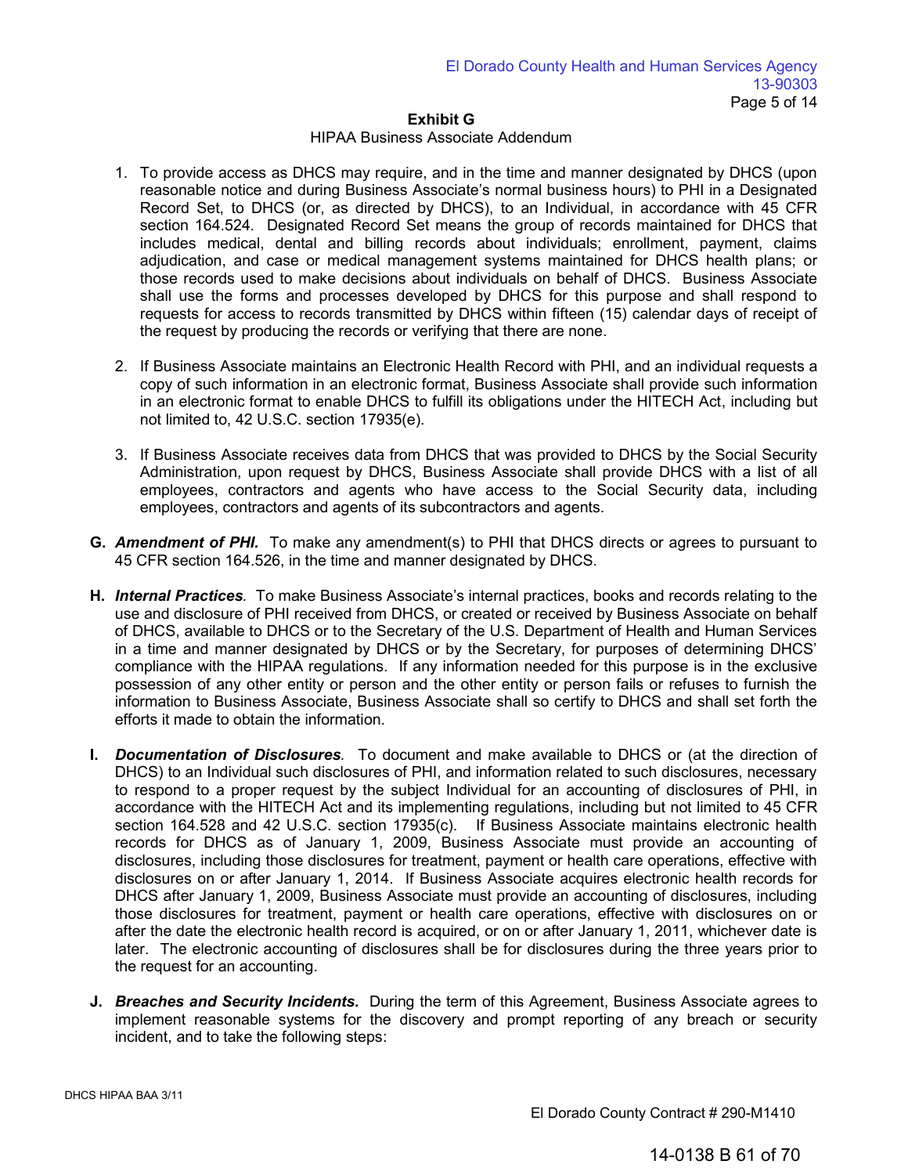### HIPAA Business Associate Addendum

- 1. To provide access as DHCS may require, and in the time and manner designated by DHCS (upon reasonable notice and during Business Associate's normal business hours) to PHI in a Designated Record Set, to DHCS (or, as directed by DHCS), to an Individual, in accordance with 45 CFR section 164.524. Designated Record Set means the group of records maintained for DHCS that includes medical, dental and billing records about individuals; enrollment, payment, claims adjudication, and case or medical management systems maintained for DHCS health plans; or those records used to make decisions about individuals on behalf of DHCS. Business Associate shall use the forms and processes developed by DHCS for this purpose and shall respond to requests for access to records transmitted by DHCS within fifteen (15) calendar days of receipt of the request by producing the records or verifying that there are none.
- 2. If Business Associate maintains an Electronic Health Record with PHI, and an individual requests a copy of such information in an electronic format, Business Associate shall provide such information in an electronic format to enable DHCS to fulfill its obligations under the HITECH Act, including but not limited to, 42 U.S.C. section 17935(e).
- 3. If Business Associate receives data from DHCS that was provided to DHCS by the Social Security Administration, upon request by DHCS, Business Associate shall provide DHCS with a list of all employees, contractors and agents who have access to the Social Security data, including employees, contractors and agents of its subcontractors and agents.
- **G.** *Amendment of PHI.*To make any amendment(s) to PHI that DHCS directs or agrees to pursuant to 45 CFR section 164.526, in the time and manner designated by DHCS.
- **H.** *Internal Practices.* To make Business Associate's internal practices, books and records relating to the use and disclosure of PHI received from DHCS, or created or received by Business Associate on behalf of DHCS, available to DHCS or to the Secretary of the U.S. Department of Health and Human Services in a time and manner designated by DHCS or by the Secretary, for purposes of determining DHCS' compliance with the HIPAA regulations. If any information needed for this purpose is in the exclusive possession of any other entity or person and the other entity or person fails or refuses to furnish the information to Business Associate, Business Associate shall so certify to DHCS and shall set forth the efforts it made to obtain the information.
- **I.** *Documentation of Disclosures.* To document and make available to DHCS or (at the direction of DHCS) to an Individual such disclosures of PHI, and information related to such disclosures, necessary to respond to a proper request by the subject Individual for an accounting of disclosures of PHI, in accordance with the HITECH Act and its implementing regulations, including but not limited to 45 CFR section 164.528 and 42 U.S.C. section 17935(c). If Business Associate maintains electronic health records for DHCS as of January 1, 2009, Business Associate must provide an accounting of disclosures, including those disclosures for treatment, payment or health care operations, effective with disclosures on or after January 1, 2014. If Business Associate acquires electronic health records for DHCS after January 1, 2009, Business Associate must provide an accounting of disclosures, including those disclosures for treatment, payment or health care operations, effective with disclosures on or after the date the electronic health record is acquired, or on or after January 1, 2011, whichever date is later. The electronic accounting of disclosures shall be for disclosures during the three years prior to the request for an accounting.
- **J.** *Breaches and Security Incidents.* During the term of this Agreement, Business Associate agrees to implement reasonable systems for the discovery and prompt reporting of any breach or security incident, and to take the following steps: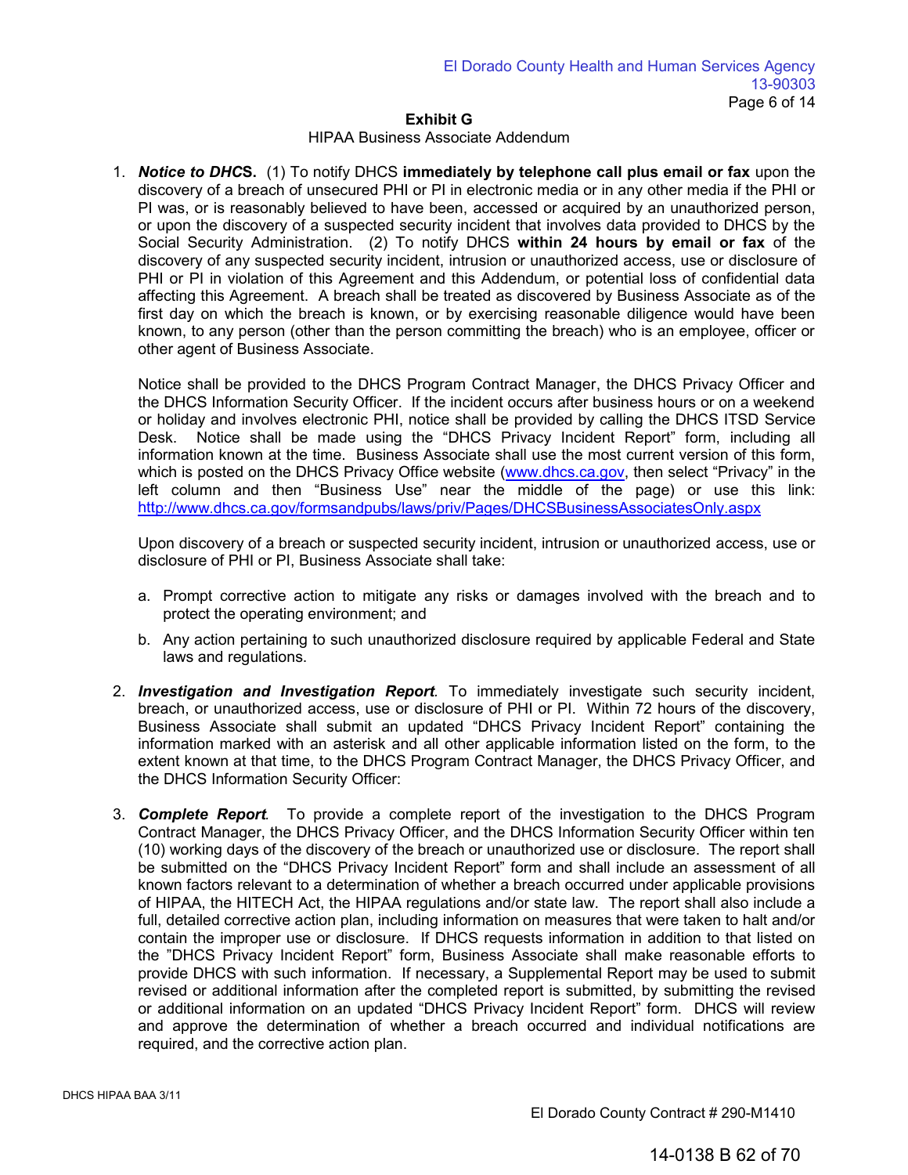## HIPAA Business Associate Addendum

1. *Notice to DHC***S.** (1) To notify DHCS **immediately by telephone call plus email or fax** upon the discovery of a breach of unsecured PHI or PI in electronic media or in any other media if the PHI or PI was, or is reasonably believed to have been, accessed or acquired by an unauthorized person, or upon the discovery of a suspected security incident that involves data provided to DHCS by the Social Security Administration. (2) To notify DHCS **within 24 hours by email or fax** of the discovery of any suspected security incident, intrusion or unauthorized access, use or disclosure of PHI or PI in violation of this Agreement and this Addendum, or potential loss of confidential data affecting this Agreement. A breach shall be treated as discovered by Business Associate as of the first day on which the breach is known, or by exercising reasonable diligence would have been known, to any person (other than the person committing the breach) who is an employee, officer or other agent of Business Associate.

Notice shall be provided to the DHCS Program Contract Manager, the DHCS Privacy Officer and the DHCS Information Security Officer. If the incident occurs after business hours or on a weekend or holiday and involves electronic PHI, notice shall be provided by calling the DHCS ITSD Service Desk. Notice shall be made using the "DHCS Privacy Incident Report" form, including all information known at the time. Business Associate shall use the most current version of this form, which is posted on the DHCS Privacy Office website [\(www.dhcs.ca.gov,](http://www.dhcs.ca.gov/) then select "Privacy" in the left column and then "Business Use" near the middle of the page) or use this link: <http://www.dhcs.ca.gov/formsandpubs/laws/priv/Pages/DHCSBusinessAssociatesOnly.aspx>

Upon discovery of a breach or suspected security incident, intrusion or unauthorized access, use or disclosure of PHI or PI, Business Associate shall take:

- a. Prompt corrective action to mitigate any risks or damages involved with the breach and to protect the operating environment; and
- b. Any action pertaining to such unauthorized disclosure required by applicable Federal and State laws and regulations.
- 2. *Investigation and Investigation Report.* To immediately investigate such security incident, breach, or unauthorized access, use or disclosure of PHI or PI. Within 72 hours of the discovery, Business Associate shall submit an updated "DHCS Privacy Incident Report" containing the information marked with an asterisk and all other applicable information listed on the form, to the extent known at that time, to the DHCS Program Contract Manager, the DHCS Privacy Officer, and the DHCS Information Security Officer:
- 3. *Complete Report.* To provide a complete report of the investigation to the DHCS Program Contract Manager, the DHCS Privacy Officer, and the DHCS Information Security Officer within ten (10) working days of the discovery of the breach or unauthorized use or disclosure. The report shall be submitted on the "DHCS Privacy Incident Report" form and shall include an assessment of all known factors relevant to a determination of whether a breach occurred under applicable provisions of HIPAA, the HITECH Act, the HIPAA regulations and/or state law. The report shall also include a full, detailed corrective action plan, including information on measures that were taken to halt and/or contain the improper use or disclosure. If DHCS requests information in addition to that listed on the "DHCS Privacy Incident Report" form, Business Associate shall make reasonable efforts to provide DHCS with such information. If necessary, a Supplemental Report may be used to submit revised or additional information after the completed report is submitted, by submitting the revised or additional information on an updated "DHCS Privacy Incident Report" form. DHCS will review and approve the determination of whether a breach occurred and individual notifications are required, and the corrective action plan.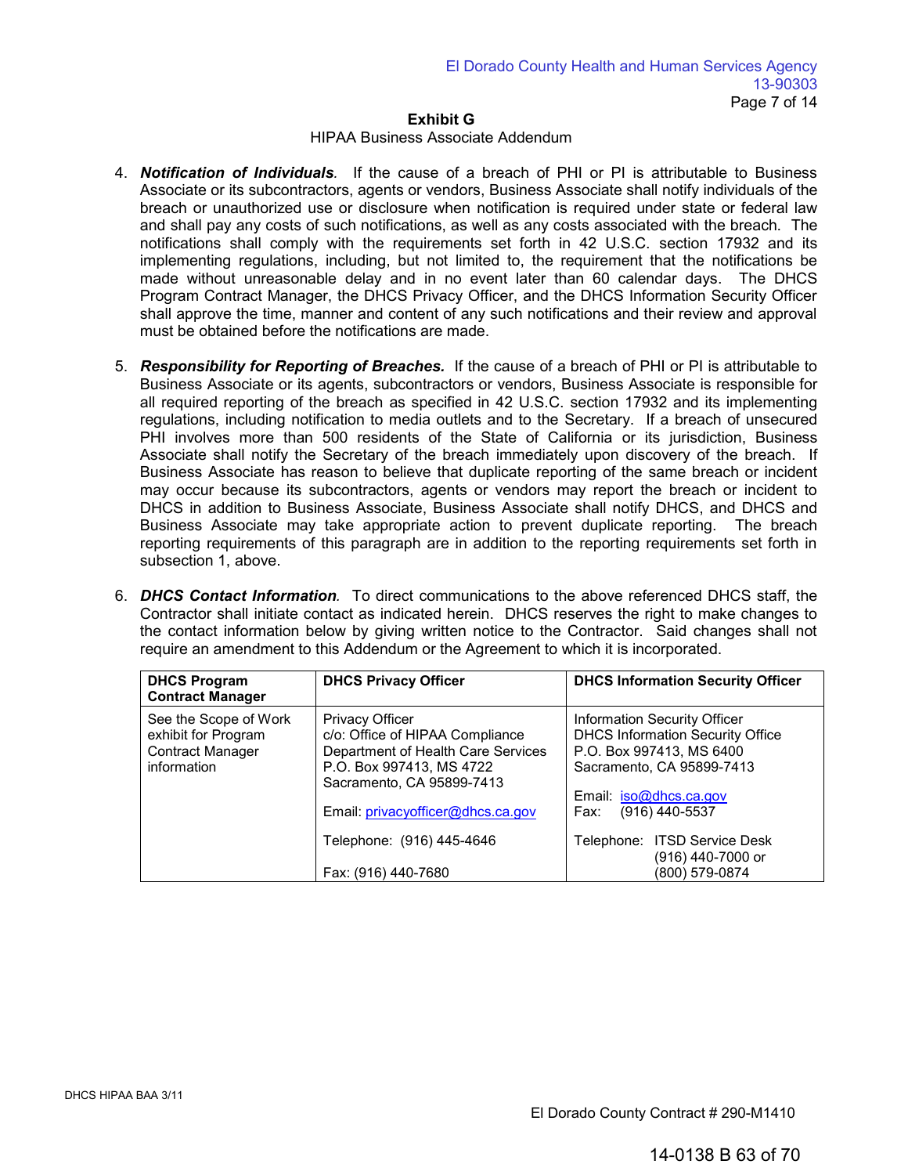## HIPAA Business Associate Addendum

- 4. *Notification of Individuals.* If the cause of a breach of PHI or PI is attributable to Business Associate or its subcontractors, agents or vendors, Business Associate shall notify individuals of the breach or unauthorized use or disclosure when notification is required under state or federal law and shall pay any costs of such notifications, as well as any costs associated with the breach. The notifications shall comply with the requirements set forth in 42 U.S.C. section 17932 and its implementing regulations, including, but not limited to, the requirement that the notifications be made without unreasonable delay and in no event later than 60 calendar days. The DHCS Program Contract Manager, the DHCS Privacy Officer, and the DHCS Information Security Officer shall approve the time, manner and content of any such notifications and their review and approval must be obtained before the notifications are made.
- 5. *Responsibility for Reporting of Breaches.* If the cause of a breach of PHI or PI is attributable to Business Associate or its agents, subcontractors or vendors, Business Associate is responsible for all required reporting of the breach as specified in 42 U.S.C. section 17932 and its implementing regulations, including notification to media outlets and to the Secretary. If a breach of unsecured PHI involves more than 500 residents of the State of California or its jurisdiction, Business Associate shall notify the Secretary of the breach immediately upon discovery of the breach. If Business Associate has reason to believe that duplicate reporting of the same breach or incident may occur because its subcontractors, agents or vendors may report the breach or incident to DHCS in addition to Business Associate, Business Associate shall notify DHCS, and DHCS and Business Associate may take appropriate action to prevent duplicate reporting. The breach reporting requirements of this paragraph are in addition to the reporting requirements set forth in subsection 1, above.
- 6. *DHCS Contact Information.* To direct communications to the above referenced DHCS staff, the Contractor shall initiate contact as indicated herein. DHCS reserves the right to make changes to the contact information below by giving written notice to the Contractor. Said changes shall not require an amendment to this Addendum or the Agreement to which it is incorporated.

| <b>DHCS Program</b><br><b>Contract Manager</b>                                  | <b>DHCS Privacy Officer</b>                                                                                                                                                                   | <b>DHCS Information Security Officer</b>                                                                                                                                                    |
|---------------------------------------------------------------------------------|-----------------------------------------------------------------------------------------------------------------------------------------------------------------------------------------------|---------------------------------------------------------------------------------------------------------------------------------------------------------------------------------------------|
| See the Scope of Work<br>exhibit for Program<br>Contract Manager<br>information | <b>Privacy Officer</b><br>c/o: Office of HIPAA Compliance<br>Department of Health Care Services<br>P.O. Box 997413, MS 4722<br>Sacramento, CA 95899-7413<br>Email: privacyofficer@dhcs.ca.gov | <b>Information Security Officer</b><br><b>DHCS Information Security Office</b><br>P.O. Box 997413, MS 6400<br>Sacramento, CA 95899-7413<br>Email: iso@dhcs.ca.gov<br>(916) 440-5537<br>Fax: |
|                                                                                 | Telephone: (916) 445-4646                                                                                                                                                                     | Telephone: ITSD Service Desk<br>(916) 440-7000 or                                                                                                                                           |
|                                                                                 | Fax: (916) 440-7680                                                                                                                                                                           | (800) 579-0874                                                                                                                                                                              |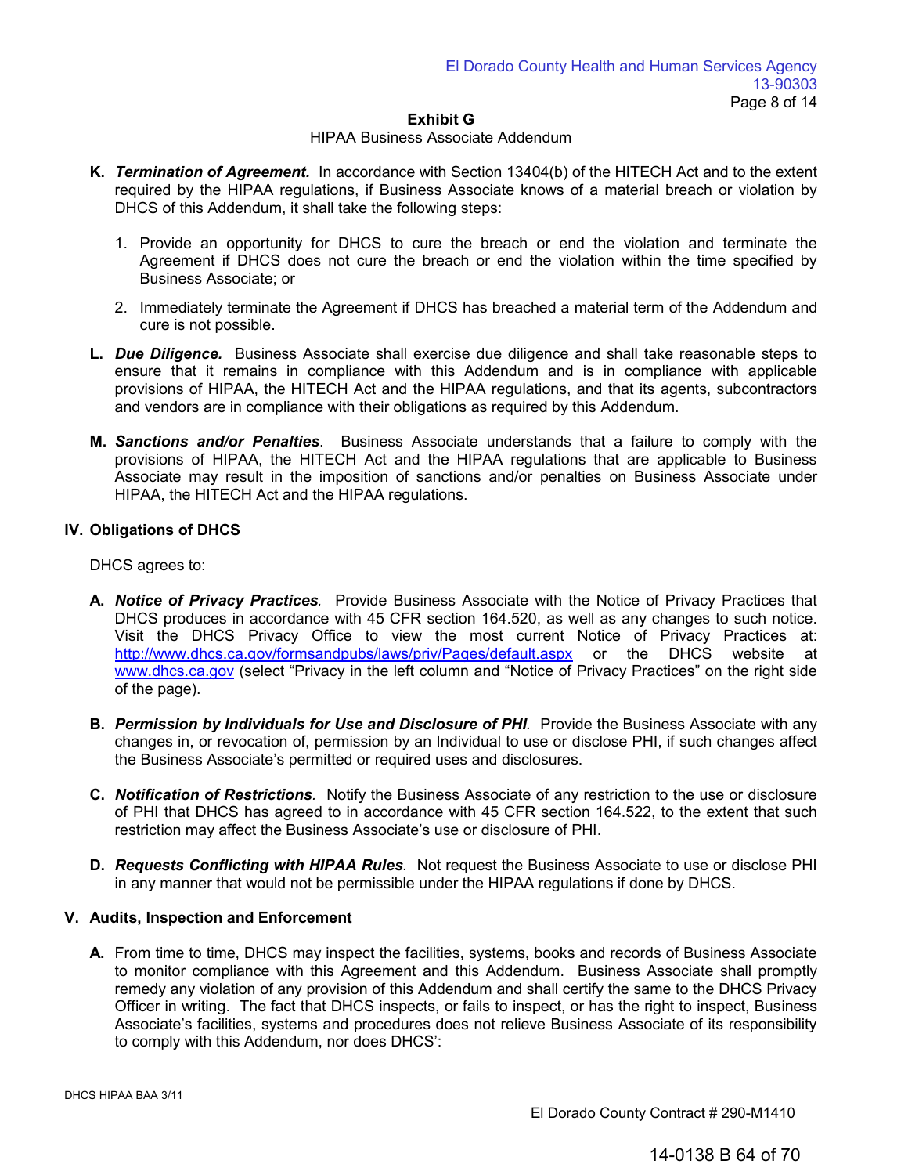#### HIPAA Business Associate Addendum

- **K.** *Termination of Agreement.* In accordance with Section 13404(b) of the HITECH Act and to the extent required by the HIPAA regulations, if Business Associate knows of a material breach or violation by DHCS of this Addendum, it shall take the following steps:
	- 1. Provide an opportunity for DHCS to cure the breach or end the violation and terminate the Agreement if DHCS does not cure the breach or end the violation within the time specified by Business Associate; or
	- 2. Immediately terminate the Agreement if DHCS has breached a material term of the Addendum and cure is not possible.
- **L.** *Due Diligence.* Business Associate shall exercise due diligence and shall take reasonable steps to ensure that it remains in compliance with this Addendum and is in compliance with applicable provisions of HIPAA, the HITECH Act and the HIPAA regulations, and that its agents, subcontractors and vendors are in compliance with their obligations as required by this Addendum.
- **M.** *Sanctions and/or Penalties*. Business Associate understands that a failure to comply with the provisions of HIPAA, the HITECH Act and the HIPAA regulations that are applicable to Business Associate may result in the imposition of sanctions and/or penalties on Business Associate under HIPAA, the HITECH Act and the HIPAA regulations.

# **IV. Obligations of DHCS**

DHCS agrees to:

- **A.** *Notice of Privacy Practices.* Provide Business Associate with the Notice of Privacy Practices that DHCS produces in accordance with 45 CFR section 164.520, as well as any changes to such notice. Visit the DHCS Privacy Office to view the most current Notice of Privacy Practices at: [http://www.dhcs.ca](http://www.dhcs.ca.gov/).gov/formsandpubs/laws/priv/Pages/default.aspx or the DHCS website at www.dhcs.ca.gov (select "Privacy in the left column and "Notice of Privacy Practices" on the right side of the page).
- **B.** *Permission by Individuals for Use and Disclosure of PHI.* Provide the Business Associate with any changes in, or revocation of, permission by an Individual to use or disclose PHI, if such changes affect the Business Associate's permitted or required uses and disclosures.
- **C.** *Notification of Restrictions.* Notify the Business Associate of any restriction to the use or disclosure of PHI that DHCS has agreed to in accordance with 45 CFR section 164.522, to the extent that such restriction may affect the Business Associate's use or disclosure of PHI.
- **D.** *Requests Conflicting with HIPAA Rules.* Not request the Business Associate to use or disclose PHI in any manner that would not be permissible under the HIPAA regulations if done by DHCS.

# **V. Audits, Inspection and Enforcement**

**A.** From time to time, DHCS may inspect the facilities, systems, books and records of Business Associate to monitor compliance with this Agreement and this Addendum. Business Associate shall promptly remedy any violation of any provision of this Addendum and shall certify the same to the DHCS Privacy Officer in writing. The fact that DHCS inspects, or fails to inspect, or has the right to inspect, Business Associate's facilities, systems and procedures does not relieve Business Associate of its responsibility to comply with this Addendum, nor does DHCS':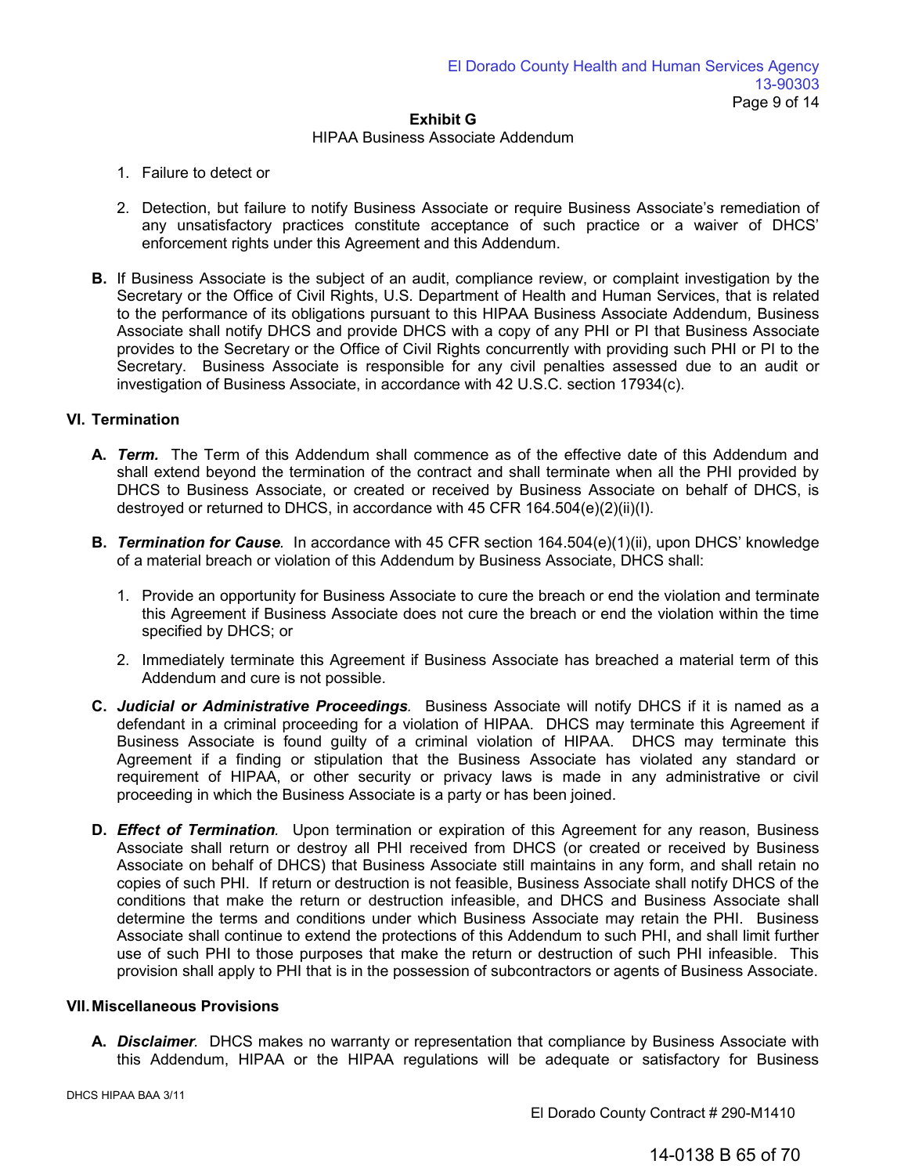## HIPAA Business Associate Addendum

- 1. Failure to detect or
- 2. Detection, but failure to notify Business Associate or require Business Associate's remediation of any unsatisfactory practices constitute acceptance of such practice or a waiver of DHCS' enforcement rights under this Agreement and this Addendum.
- **B.** If Business Associate is the subject of an audit, compliance review, or complaint investigation by the Secretary or the Office of Civil Rights, U.S. Department of Health and Human Services, that is related to the performance of its obligations pursuant to this HIPAA Business Associate Addendum, Business Associate shall notify DHCS and provide DHCS with a copy of any PHI or PI that Business Associate provides to the Secretary or the Office of Civil Rights concurrently with providing such PHI or PI to the Secretary. Business Associate is responsible for any civil penalties assessed due to an audit or investigation of Business Associate, in accordance with 42 U.S.C. section 17934(c).

# **VI. Termination**

- **A.** *Term.* The Term of this Addendum shall commence as of the effective date of this Addendum and shall extend beyond the termination of the contract and shall terminate when all the PHI provided by DHCS to Business Associate, or created or received by Business Associate on behalf of DHCS, is destroyed or returned to DHCS, in accordance with 45 CFR 164.504(e)(2)(ii)(I).
- **B.** *Termination for Cause.* In accordance with 45 CFR section 164.504(e)(1)(ii), upon DHCS' knowledge of a material breach or violation of this Addendum by Business Associate, DHCS shall:
	- 1. Provide an opportunity for Business Associate to cure the breach or end the violation and terminate this Agreement if Business Associate does not cure the breach or end the violation within the time specified by DHCS; or
	- 2. Immediately terminate this Agreement if Business Associate has breached a material term of this Addendum and cure is not possible.
- **C.** *Judicial or Administrative Proceedings.* Business Associate will notify DHCS if it is named as a defendant in a criminal proceeding for a violation of HIPAA. DHCS may terminate this Agreement if Business Associate is found guilty of a criminal violation of HIPAA. DHCS may terminate this Agreement if a finding or stipulation that the Business Associate has violated any standard or requirement of HIPAA, or other security or privacy laws is made in any administrative or civil proceeding in which the Business Associate is a party or has been joined.
- **D.** *Effect of Termination.* Upon termination or expiration of this Agreement for any reason, Business Associate shall return or destroy all PHI received from DHCS (or created or received by Business Associate on behalf of DHCS) that Business Associate still maintains in any form, and shall retain no copies of such PHI. If return or destruction is not feasible, Business Associate shall notify DHCS of the conditions that make the return or destruction infeasible, and DHCS and Business Associate shall determine the terms and conditions under which Business Associate may retain the PHI. Business Associate shall continue to extend the protections of this Addendum to such PHI, and shall limit further use of such PHI to those purposes that make the return or destruction of such PHI infeasible. This provision shall apply to PHI that is in the possession of subcontractors or agents of Business Associate.

# **VII. Miscellaneous Provisions**

**A.** *Disclaimer.* DHCS makes no warranty or representation that compliance by Business Associate with this Addendum, HIPAA or the HIPAA regulations will be adequate or satisfactory for Business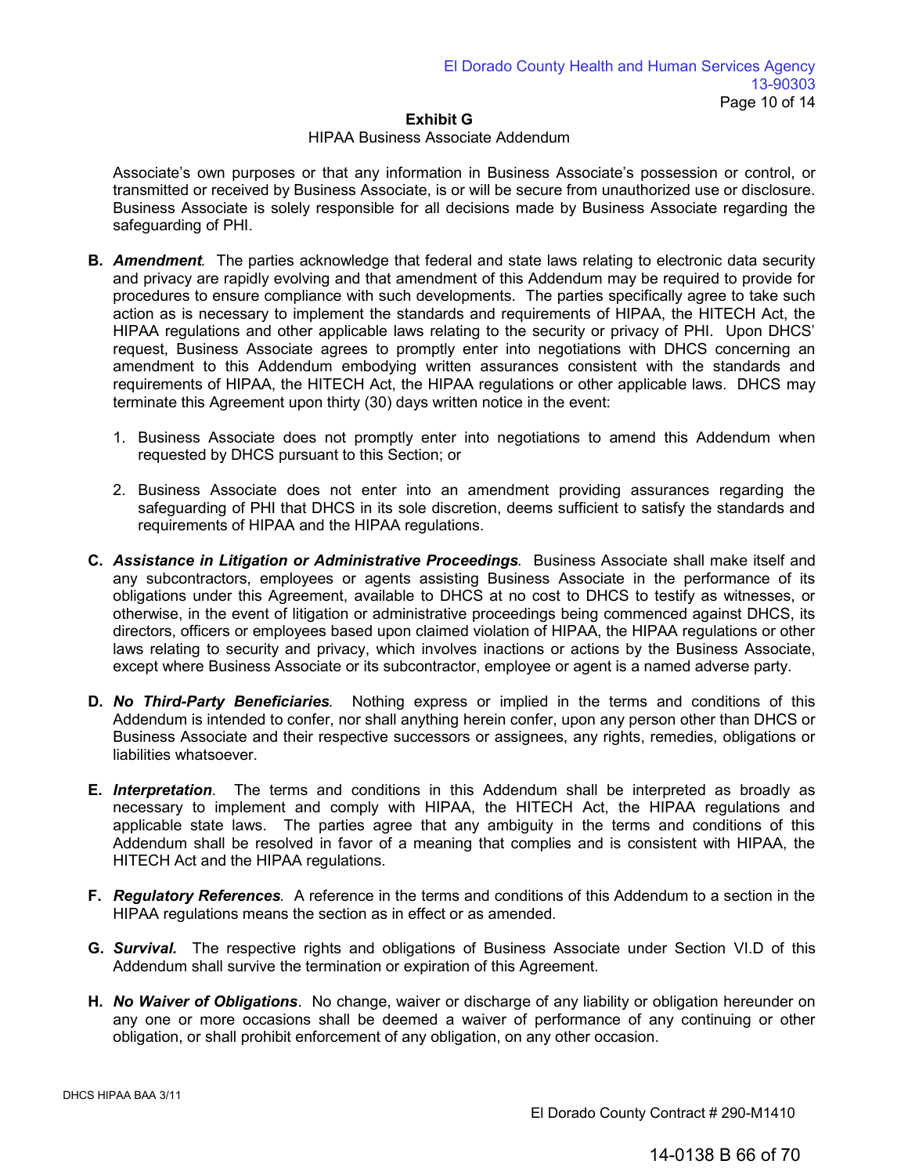#### HIPAA Business Associate Addendum

Associate's own purposes or that any information in Business Associate's possession or control, or transmitted or received by Business Associate, is or will be secure from unauthorized use or disclosure. Business Associate is solely responsible for all decisions made by Business Associate regarding the safeguarding of PHI.

- **B.** *Amendment.* The parties acknowledge that federal and state laws relating to electronic data security and privacy are rapidly evolving and that amendment of this Addendum may be required to provide for procedures to ensure compliance with such developments. The parties specifically agree to take such action as is necessary to implement the standards and requirements of HIPAA, the HITECH Act, the HIPAA regulations and other applicable laws relating to the security or privacy of PHI. Upon DHCS' request, Business Associate agrees to promptly enter into negotiations with DHCS concerning an amendment to this Addendum embodying written assurances consistent with the standards and requirements of HIPAA, the HITECH Act, the HIPAA regulations or other applicable laws. DHCS may terminate this Agreement upon thirty (30) days written notice in the event:
	- 1. Business Associate does not promptly enter into negotiations to amend this Addendum when requested by DHCS pursuant to this Section; or
	- 2. Business Associate does not enter into an amendment providing assurances regarding the safeguarding of PHI that DHCS in its sole discretion, deems sufficient to satisfy the standards and requirements of HIPAA and the HIPAA regulations.
- **C.** *Assistance in Litigation or Administrative Proceedings.* Business Associate shall make itself and any subcontractors, employees or agents assisting Business Associate in the performance of its obligations under this Agreement, available to DHCS at no cost to DHCS to testify as witnesses, or otherwise, in the event of litigation or administrative proceedings being commenced against DHCS, its directors, officers or employees based upon claimed violation of HIPAA, the HIPAA regulations or other laws relating to security and privacy, which involves inactions or actions by the Business Associate, except where Business Associate or its subcontractor, employee or agent is a named adverse party.
- **D.** *No Third-Party Beneficiaries.* Nothing express or implied in the terms and conditions of this Addendum is intended to confer, nor shall anything herein confer, upon any person other than DHCS or Business Associate and their respective successors or assignees, any rights, remedies, obligations or liabilities whatsoever.
- **E.** *Interpretation*. The terms and conditions in this Addendum shall be interpreted as broadly as necessary to implement and comply with HIPAA, the HITECH Act, the HIPAA regulations and applicable state laws. The parties agree that any ambiguity in the terms and conditions of this Addendum shall be resolved in favor of a meaning that complies and is consistent with HIPAA, the HITECH Act and the HIPAA regulations.
- **F.** *Regulatory References.* A reference in the terms and conditions of this Addendum to a section in the HIPAA regulations means the section as in effect or as amended.
- **G.** *Survival.*The respective rights and obligations of Business Associate under Section VI.D of this Addendum shall survive the termination or expiration of this Agreement.
- **H.** *No Waiver of Obligations*. No change, waiver or discharge of any liability or obligation hereunder on any one or more occasions shall be deemed a waiver of performance of any continuing or other obligation, or shall prohibit enforcement of any obligation, on any other occasion.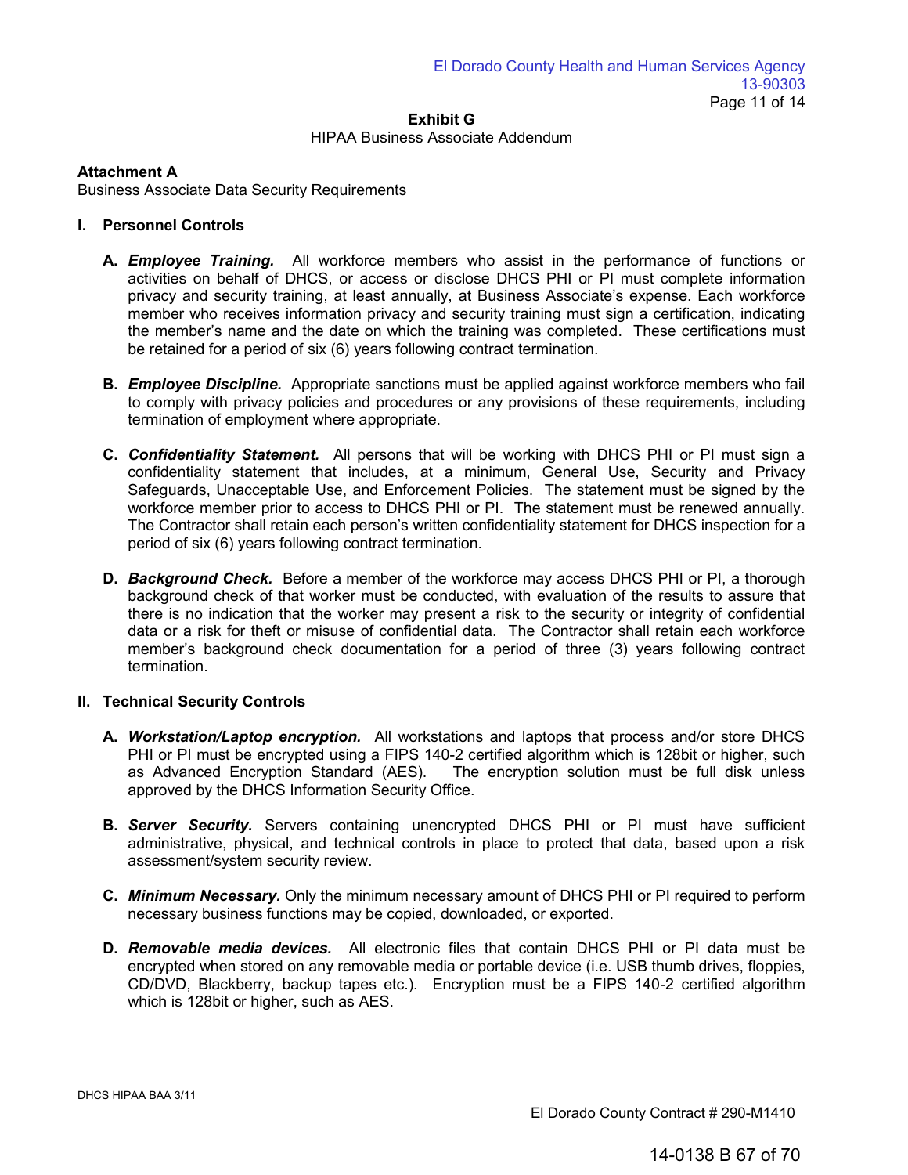## HIPAA Business Associate Addendum

# **Attachment A**

Business Associate Data Security Requirements

# **I. Personnel Controls**

- **A.** *Employee Training.* All workforce members who assist in the performance of functions or activities on behalf of DHCS, or access or disclose DHCS PHI or PI must complete information privacy and security training, at least annually, at Business Associate's expense. Each workforce member who receives information privacy and security training must sign a certification, indicating the member's name and the date on which the training was completed. These certifications must be retained for a period of six (6) years following contract termination.
- **B.** *Employee Discipline.* Appropriate sanctions must be applied against workforce members who fail to comply with privacy policies and procedures or any provisions of these requirements, including termination of employment where appropriate.
- **C.** *Confidentiality Statement.* All persons that will be working with DHCS PHI or PI must sign a confidentiality statement that includes, at a minimum, General Use, Security and Privacy Safeguards, Unacceptable Use, and Enforcement Policies. The statement must be signed by the workforce member prior to access to DHCS PHI or PI. The statement must be renewed annually. The Contractor shall retain each person's written confidentiality statement for DHCS inspection for a period of six (6) years following contract termination.
- **D.** *Background Check.* Before a member of the workforce may access DHCS PHI or PI, a thorough background check of that worker must be conducted, with evaluation of the results to assure that there is no indication that the worker may present a risk to the security or integrity of confidential data or a risk for theft or misuse of confidential data. The Contractor shall retain each workforce member's background check documentation for a period of three (3) years following contract termination.

# **II. Technical Security Controls**

- **A.** *Workstation/Laptop encryption.* All workstations and laptops that process and/or store DHCS PHI or PI must be encrypted using a FIPS 140-2 certified algorithm which is 128bit or higher, such as Advanced Encryption Standard (AES). The encryption solution must be full disk unless approved by the DHCS Information Security Office.
- **B.** *Server Security.* Servers containing unencrypted DHCS PHI or PI must have sufficient administrative, physical, and technical controls in place to protect that data, based upon a risk assessment/system security review.
- **C.** *Minimum Necessary.* Only the minimum necessary amount of DHCS PHI or PI required to perform necessary business functions may be copied, downloaded, or exported.
- **D.** *Removable media devices.* All electronic files that contain DHCS PHI or PI data must be encrypted when stored on any removable media or portable device (i.e. USB thumb drives, floppies, CD/DVD, Blackberry, backup tapes etc.). Encryption must be a FIPS 140-2 certified algorithm which is 128bit or higher, such as AES.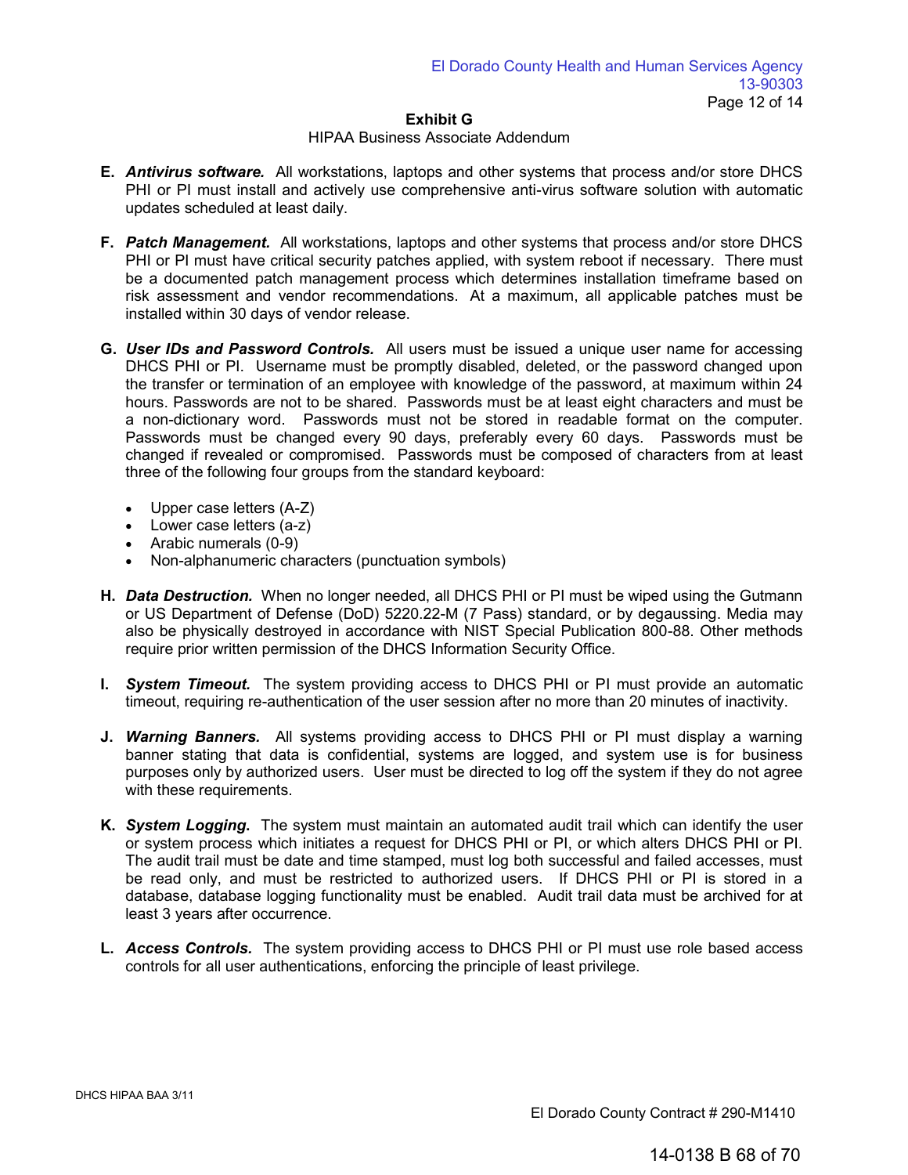#### HIPAA Business Associate Addendum

- **E.** *Antivirus software.* All workstations, laptops and other systems that process and/or store DHCS PHI or PI must install and actively use comprehensive anti-virus software solution with automatic updates scheduled at least daily.
- **F.** *Patch Management.* All workstations, laptops and other systems that process and/or store DHCS PHI or PI must have critical security patches applied, with system reboot if necessary. There must be a documented patch management process which determines installation timeframe based on risk assessment and vendor recommendations. At a maximum, all applicable patches must be installed within 30 days of vendor release.
- **G.** *User IDs and Password Controls.* All users must be issued a unique user name for accessing DHCS PHI or PI. Username must be promptly disabled, deleted, or the password changed upon the transfer or termination of an employee with knowledge of the password, at maximum within 24 hours. Passwords are not to be shared. Passwords must be at least eight characters and must be a non-dictionary word. Passwords must not be stored in readable format on the computer. Passwords must be changed every 90 days, preferably every 60 days. Passwords must be changed if revealed or compromised. Passwords must be composed of characters from at least three of the following four groups from the standard keyboard:
	- Upper case letters (A-Z)
	- Lower case letters (a-z)
	- Arabic numerals (0-9)
	- Non-alphanumeric characters (punctuation symbols)
- **H.** *Data Destruction.* When no longer needed, all DHCS PHI or PI must be wiped using the Gutmann or US Department of Defense (DoD) 5220.22-M (7 Pass) standard, or by degaussing. Media may also be physically destroyed in accordance with NIST Special Publication 800-88. Other methods require prior written permission of the DHCS Information Security Office.
- **I.** *System Timeout.* The system providing access to DHCS PHI or PI must provide an automatic timeout, requiring re-authentication of the user session after no more than 20 minutes of inactivity.
- **J.** *Warning Banners.* All systems providing access to DHCS PHI or PI must display a warning banner stating that data is confidential, systems are logged, and system use is for business purposes only by authorized users. User must be directed to log off the system if they do not agree with these requirements.
- **K.** *System Logging***.** The system must maintain an automated audit trail which can identify the user or system process which initiates a request for DHCS PHI or PI, or which alters DHCS PHI or PI. The audit trail must be date and time stamped, must log both successful and failed accesses, must be read only, and must be restricted to authorized users. If DHCS PHI or PI is stored in a database, database logging functionality must be enabled. Audit trail data must be archived for at least 3 years after occurrence.
- **L.** *Access Controls.* The system providing access to DHCS PHI or PI must use role based access controls for all user authentications, enforcing the principle of least privilege.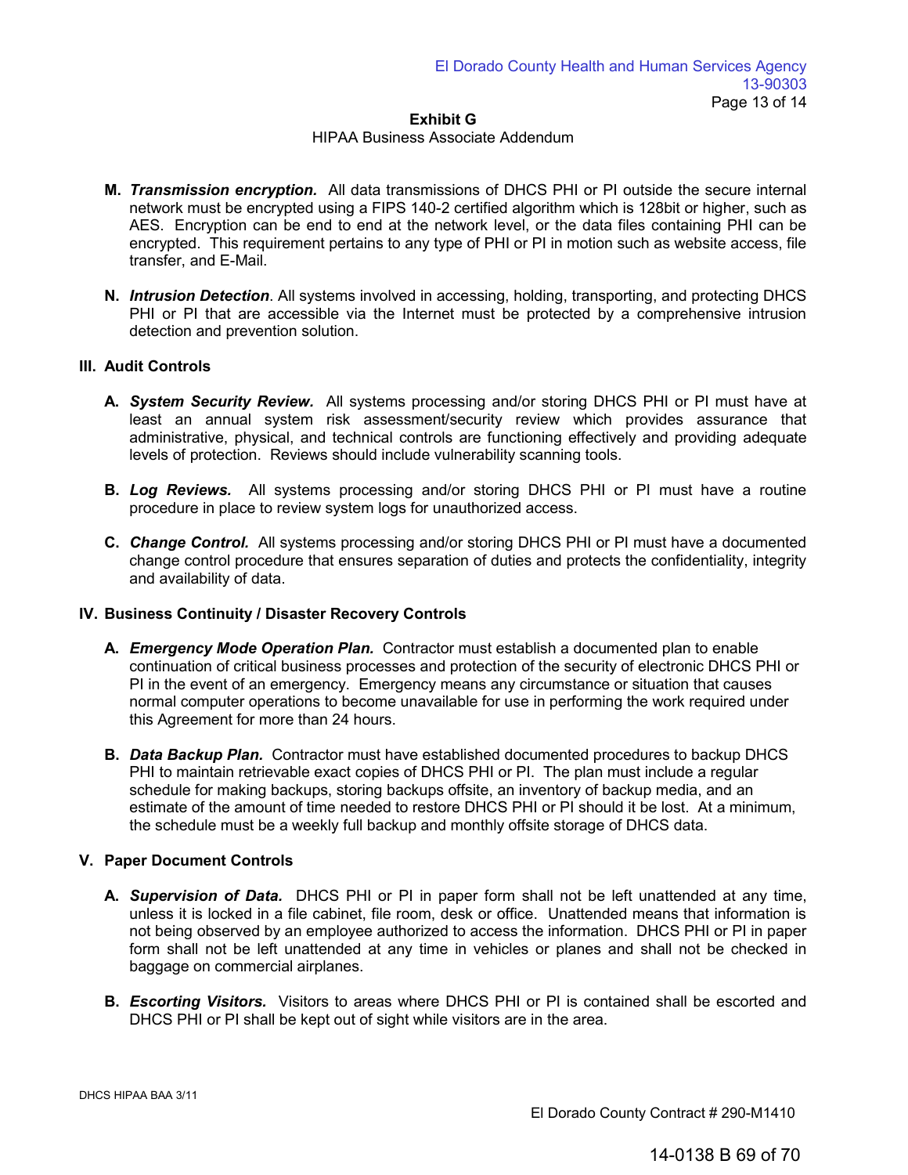## HIPAA Business Associate Addendum

- **M.** *Transmission encryption.* All data transmissions of DHCS PHI or PI outside the secure internal network must be encrypted using a FIPS 140-2 certified algorithm which is 128bit or higher, such as AES. Encryption can be end to end at the network level, or the data files containing PHI can be encrypted. This requirement pertains to any type of PHI or PI in motion such as website access, file transfer, and E-Mail.
- **N.** *Intrusion Detection*. All systems involved in accessing, holding, transporting, and protecting DHCS PHI or PI that are accessible via the Internet must be protected by a comprehensive intrusion detection and prevention solution.

# **III. Audit Controls**

- **A.** *System Security Review.* All systems processing and/or storing DHCS PHI or PI must have at least an annual system risk assessment/security review which provides assurance that administrative, physical, and technical controls are functioning effectively and providing adequate levels of protection. Reviews should include vulnerability scanning tools.
- **B.** *Log Reviews.* All systems processing and/or storing DHCS PHI or PI must have a routine procedure in place to review system logs for unauthorized access.
- **C.** *Change Control.* All systems processing and/or storing DHCS PHI or PI must have a documented change control procedure that ensures separation of duties and protects the confidentiality, integrity and availability of data.

# **IV. Business Continuity / Disaster Recovery Controls**

- **A.** *Emergency Mode Operation Plan.* Contractor must establish a documented plan to enable continuation of critical business processes and protection of the security of electronic DHCS PHI or PI in the event of an emergency. Emergency means any circumstance or situation that causes normal computer operations to become unavailable for use in performing the work required under this Agreement for more than 24 hours.
- **B.** *Data Backup Plan.* Contractor must have established documented procedures to backup DHCS PHI to maintain retrievable exact copies of DHCS PHI or PI. The plan must include a regular schedule for making backups, storing backups offsite, an inventory of backup media, and an estimate of the amount of time needed to restore DHCS PHI or PI should it be lost. At a minimum, the schedule must be a weekly full backup and monthly offsite storage of DHCS data.

# **V. Paper Document Controls**

- **A.** *Supervision of Data.* DHCS PHI or PI in paper form shall not be left unattended at any time, unless it is locked in a file cabinet, file room, desk or office. Unattended means that information is not being observed by an employee authorized to access the information. DHCS PHI or PI in paper form shall not be left unattended at any time in vehicles or planes and shall not be checked in baggage on commercial airplanes.
- **B.** *Escorting Visitors.*Visitors to areas where DHCS PHI or PI is contained shall be escorted and DHCS PHI or PI shall be kept out of sight while visitors are in the area.